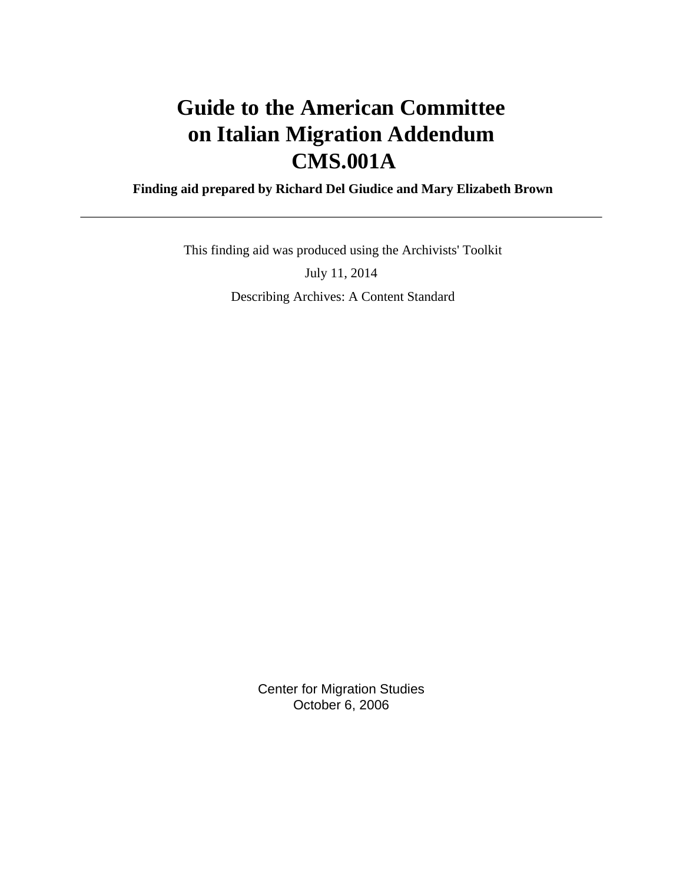# **Guide to the American Committee on Italian Migration Addendum CMS.001A**

 **Finding aid prepared by Richard Del Giudice and Mary Elizabeth Brown**

 This finding aid was produced using the Archivists' Toolkit July 11, 2014 Describing Archives: A Content Standard

> Center for Migration Studies October 6, 2006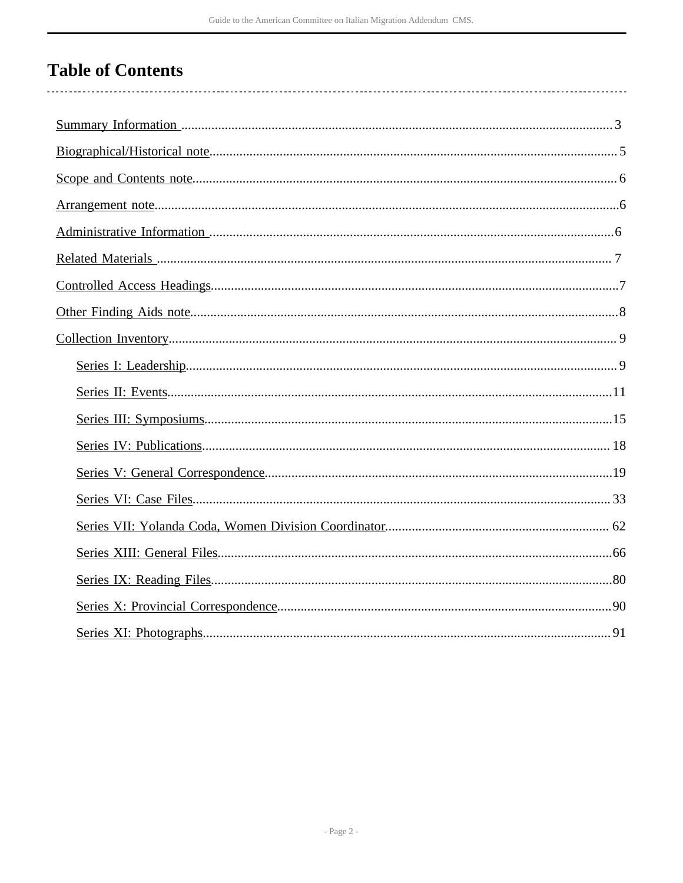# **Table of Contents**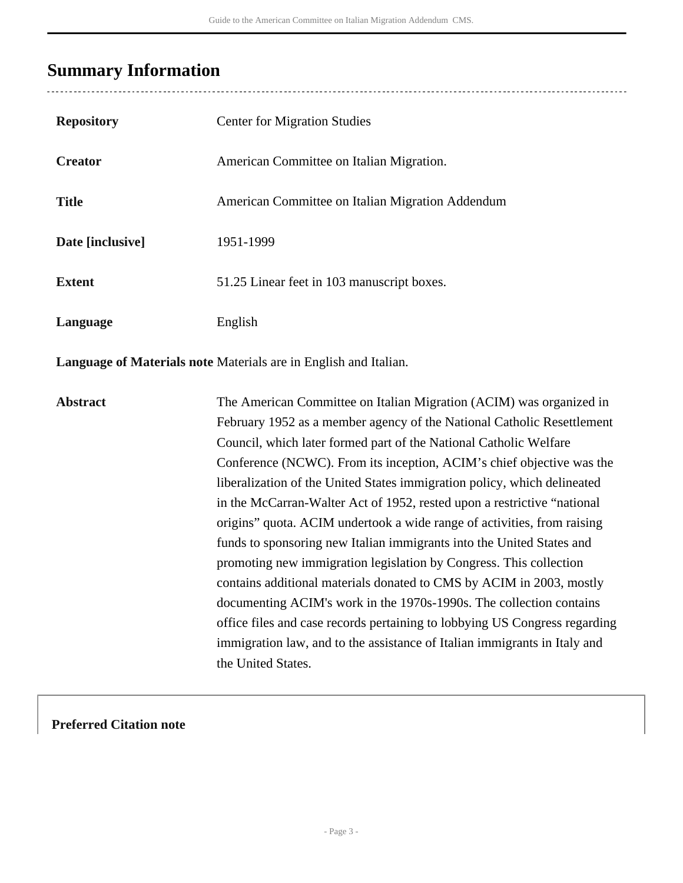# <span id="page-2-0"></span>**Summary Information**

| <b>Repository</b> | <b>Center for Migration Studies</b>              |
|-------------------|--------------------------------------------------|
| <b>Creator</b>    | American Committee on Italian Migration.         |
| <b>Title</b>      | American Committee on Italian Migration Addendum |
| Date [inclusive]  | 1951-1999                                        |
| <b>Extent</b>     | 51.25 Linear feet in 103 manuscript boxes.       |
| Language          | English                                          |

**Language of Materials note** Materials are in English and Italian.

**Abstract** The American Committee on Italian Migration (ACIM) was organized in February 1952 as a member agency of the National Catholic Resettlement Council, which later formed part of the National Catholic Welfare Conference (NCWC). From its inception, ACIM's chief objective was the liberalization of the United States immigration policy, which delineated in the McCarran-Walter Act of 1952, rested upon a restrictive "national origins" quota. ACIM undertook a wide range of activities, from raising funds to sponsoring new Italian immigrants into the United States and promoting new immigration legislation by Congress. This collection contains additional materials donated to CMS by ACIM in 2003, mostly documenting ACIM's work in the 1970s-1990s. The collection contains office files and case records pertaining to lobbying US Congress regarding immigration law, and to the assistance of Italian immigrants in Italy and the United States.

## **Preferred Citation note**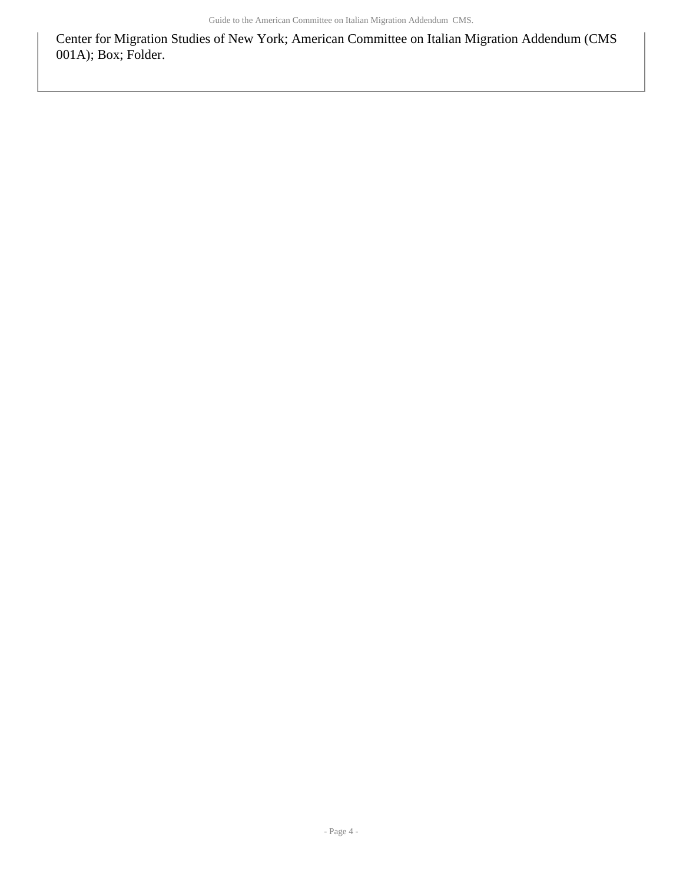Center for Migration Studies of New York; American Committee on Italian Migration Addendum (CMS 001A); Box; Folder.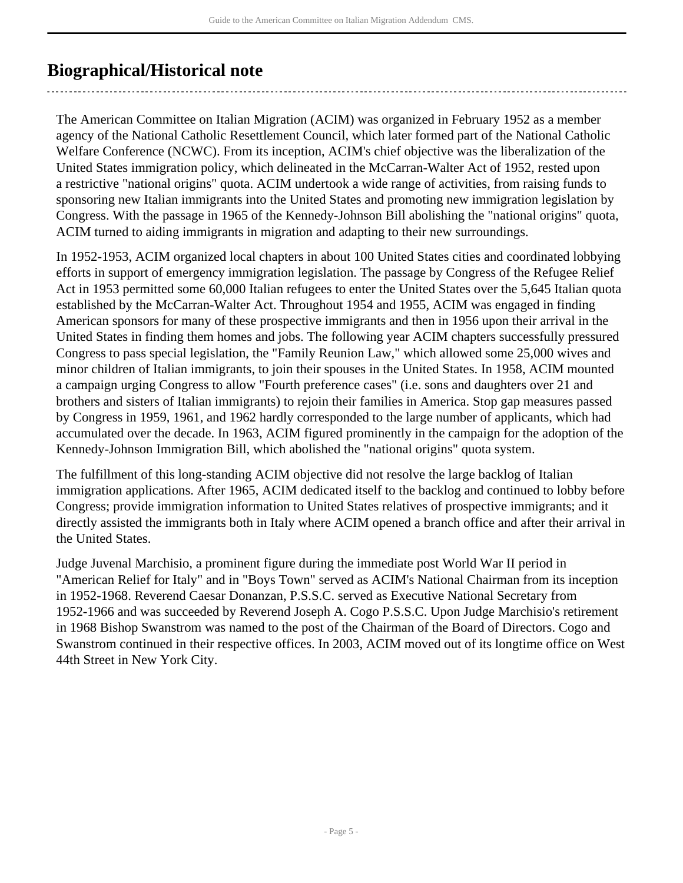# <span id="page-4-0"></span>**Biographical/Historical note**

The American Committee on Italian Migration (ACIM) was organized in February 1952 as a member agency of the National Catholic Resettlement Council, which later formed part of the National Catholic Welfare Conference (NCWC). From its inception, ACIM's chief objective was the liberalization of the United States immigration policy, which delineated in the McCarran-Walter Act of 1952, rested upon a restrictive "national origins" quota. ACIM undertook a wide range of activities, from raising funds to sponsoring new Italian immigrants into the United States and promoting new immigration legislation by Congress. With the passage in 1965 of the Kennedy-Johnson Bill abolishing the "national origins" quota, ACIM turned to aiding immigrants in migration and adapting to their new surroundings.

In 1952-1953, ACIM organized local chapters in about 100 United States cities and coordinated lobbying efforts in support of emergency immigration legislation. The passage by Congress of the Refugee Relief Act in 1953 permitted some 60,000 Italian refugees to enter the United States over the 5,645 Italian quota established by the McCarran-Walter Act. Throughout 1954 and 1955, ACIM was engaged in finding American sponsors for many of these prospective immigrants and then in 1956 upon their arrival in the United States in finding them homes and jobs. The following year ACIM chapters successfully pressured Congress to pass special legislation, the "Family Reunion Law," which allowed some 25,000 wives and minor children of Italian immigrants, to join their spouses in the United States. In 1958, ACIM mounted a campaign urging Congress to allow "Fourth preference cases" (i.e. sons and daughters over 21 and brothers and sisters of Italian immigrants) to rejoin their families in America. Stop gap measures passed by Congress in 1959, 1961, and 1962 hardly corresponded to the large number of applicants, which had accumulated over the decade. In 1963, ACIM figured prominently in the campaign for the adoption of the Kennedy-Johnson Immigration Bill, which abolished the "national origins" quota system.

The fulfillment of this long-standing ACIM objective did not resolve the large backlog of Italian immigration applications. After 1965, ACIM dedicated itself to the backlog and continued to lobby before Congress; provide immigration information to United States relatives of prospective immigrants; and it directly assisted the immigrants both in Italy where ACIM opened a branch office and after their arrival in the United States.

Judge Juvenal Marchisio, a prominent figure during the immediate post World War II period in "American Relief for Italy" and in "Boys Town" served as ACIM's National Chairman from its inception in 1952-1968. Reverend Caesar Donanzan, P.S.S.C. served as Executive National Secretary from 1952-1966 and was succeeded by Reverend Joseph A. Cogo P.S.S.C. Upon Judge Marchisio's retirement in 1968 Bishop Swanstrom was named to the post of the Chairman of the Board of Directors. Cogo and Swanstrom continued in their respective offices. In 2003, ACIM moved out of its longtime office on West 44th Street in New York City.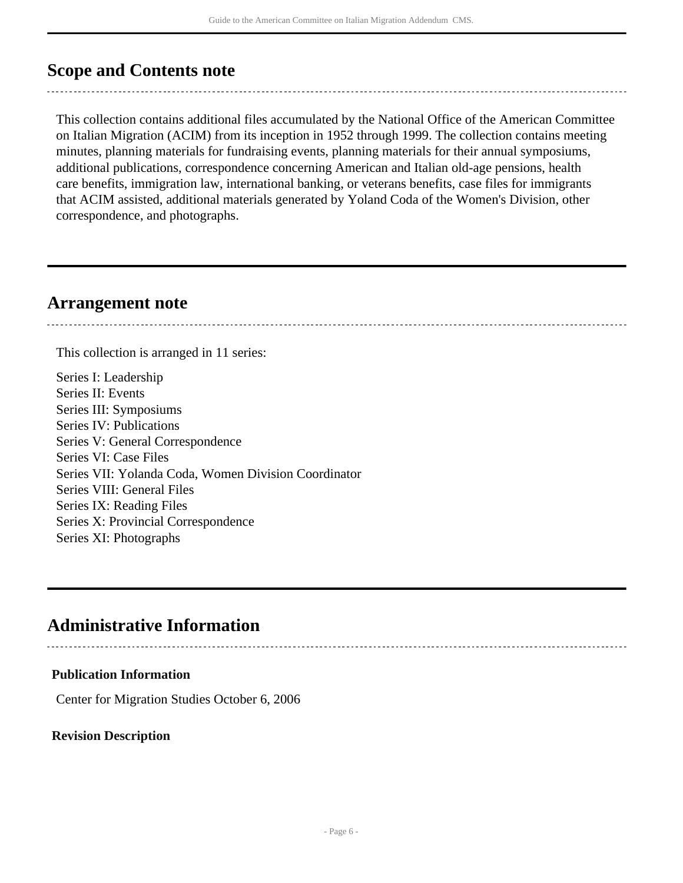## <span id="page-5-0"></span>**Scope and Contents note**

This collection contains additional files accumulated by the National Office of the American Committee on Italian Migration (ACIM) from its inception in 1952 through 1999. The collection contains meeting minutes, planning materials for fundraising events, planning materials for their annual symposiums, additional publications, correspondence concerning American and Italian old-age pensions, health care benefits, immigration law, international banking, or veterans benefits, case files for immigrants that ACIM assisted, additional materials generated by Yoland Coda of the Women's Division, other correspondence, and photographs.

## <span id="page-5-1"></span>**Arrangement note**

This collection is arranged in 11 series:

Series I: Leadership Series II: Events Series III: Symposiums Series IV: Publications Series V: General Correspondence Series VI: Case Files Series VII: Yolanda Coda, Women Division Coordinator Series VIII: General Files Series IX: Reading Files Series X: Provincial Correspondence Series XI: Photographs

## <span id="page-5-2"></span>**Administrative Information**

## **Publication Information**

Center for Migration Studies October 6, 2006

## **Revision Description**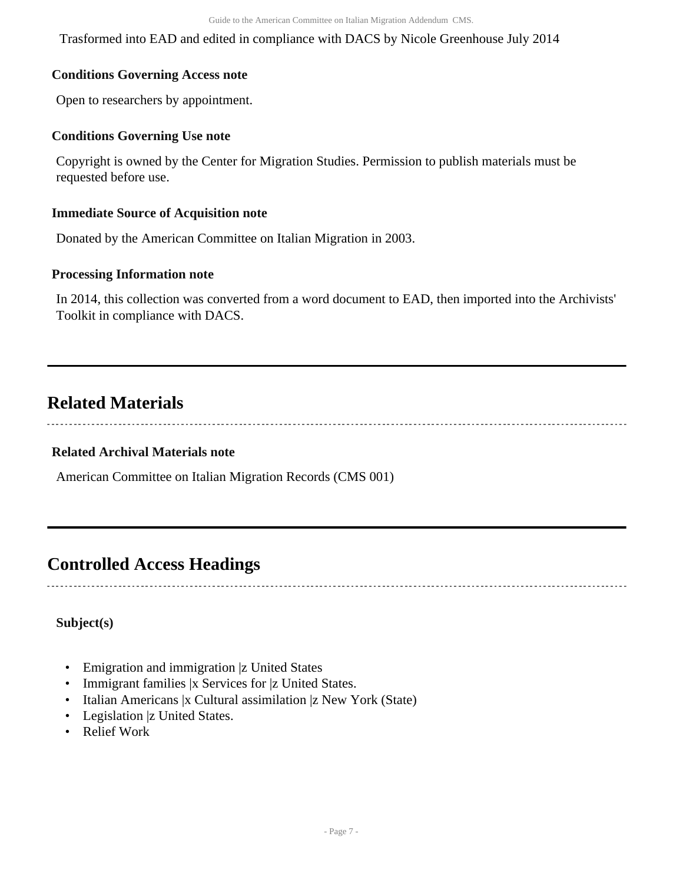Trasformed into EAD and edited in compliance with DACS by Nicole Greenhouse July 2014

## **Conditions Governing Access note**

Open to researchers by appointment.

## **Conditions Governing Use note**

Copyright is owned by the Center for Migration Studies. Permission to publish materials must be requested before use.

### **Immediate Source of Acquisition note**

Donated by the American Committee on Italian Migration in 2003.

## **Processing Information note**

In 2014, this collection was converted from a word document to EAD, then imported into the Archivists' Toolkit in compliance with DACS.

## <span id="page-6-0"></span>**Related Materials**

### **Related Archival Materials note**

American Committee on Italian Migration Records (CMS 001)

## <span id="page-6-1"></span>**Controlled Access Headings**

## **Subject(s)**

- Emigration and immigration |z United States
- Immigrant families |x Services for |z United States.
- Italian Americans |x Cultural assimilation |z New York (State)
- Legislation |z United States.
- Relief Work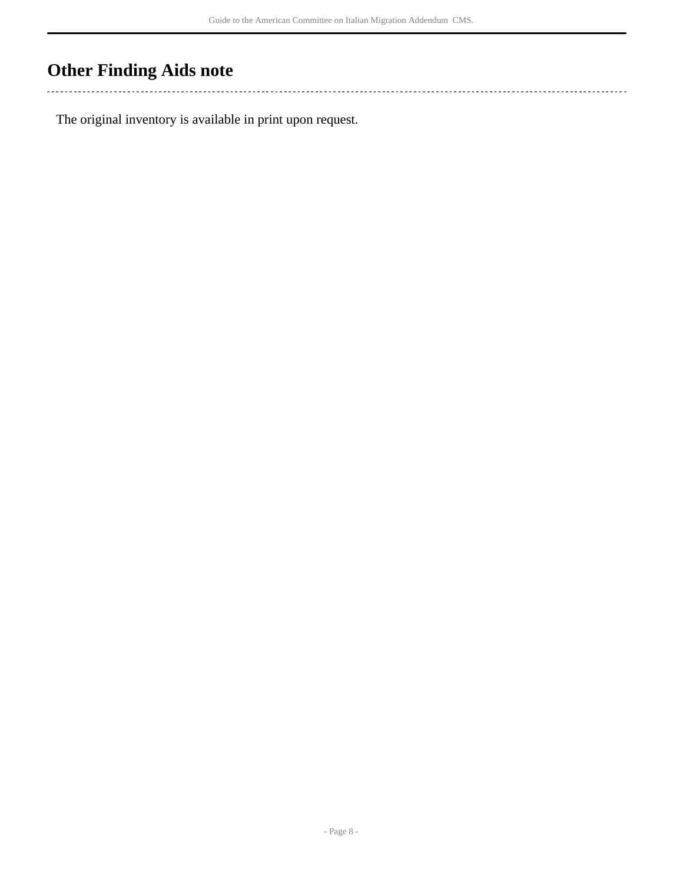# <span id="page-7-0"></span>**Other Finding Aids note**

 $\sim$  . . . 

The original inventory is available in print upon request.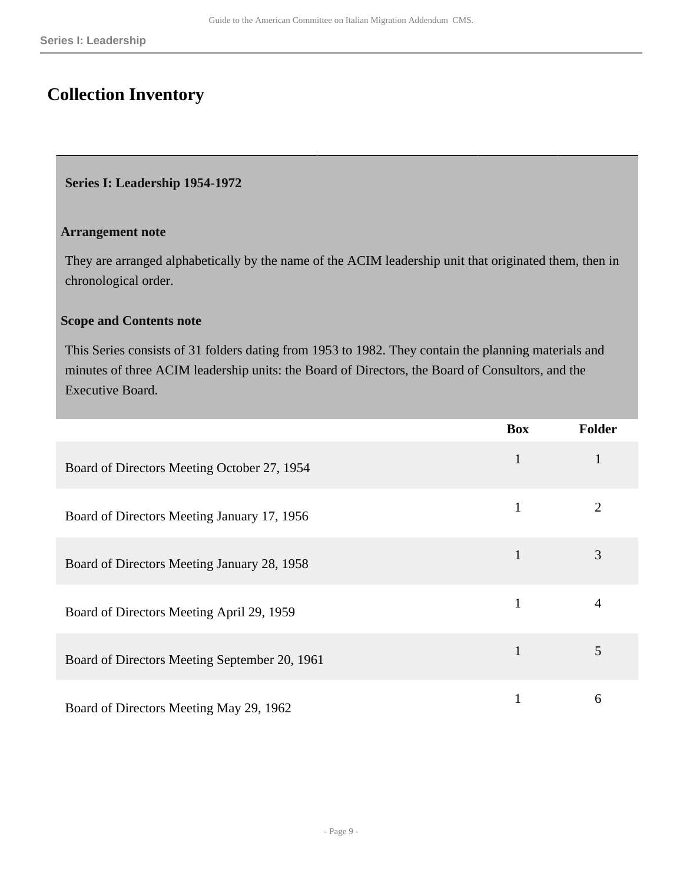# <span id="page-8-0"></span>**Collection Inventory**

## <span id="page-8-1"></span>**Series I: Leadership 1954-1972**

### **Arrangement note**

They are arranged alphabetically by the name of the ACIM leadership unit that originated them, then in chronological order.

## **Scope and Contents note**

This Series consists of 31 folders dating from 1953 to 1982. They contain the planning materials and minutes of three ACIM leadership units: the Board of Directors, the Board of Consultors, and the Executive Board.

|                                               | <b>Box</b>   | <b>Folder</b>  |
|-----------------------------------------------|--------------|----------------|
| Board of Directors Meeting October 27, 1954   | $\mathbf{1}$ |                |
| Board of Directors Meeting January 17, 1956   |              | $\overline{2}$ |
| Board of Directors Meeting January 28, 1958   |              | 3              |
| Board of Directors Meeting April 29, 1959     |              | 4              |
| Board of Directors Meeting September 20, 1961 |              | 5              |
| Board of Directors Meeting May 29, 1962       |              | 6              |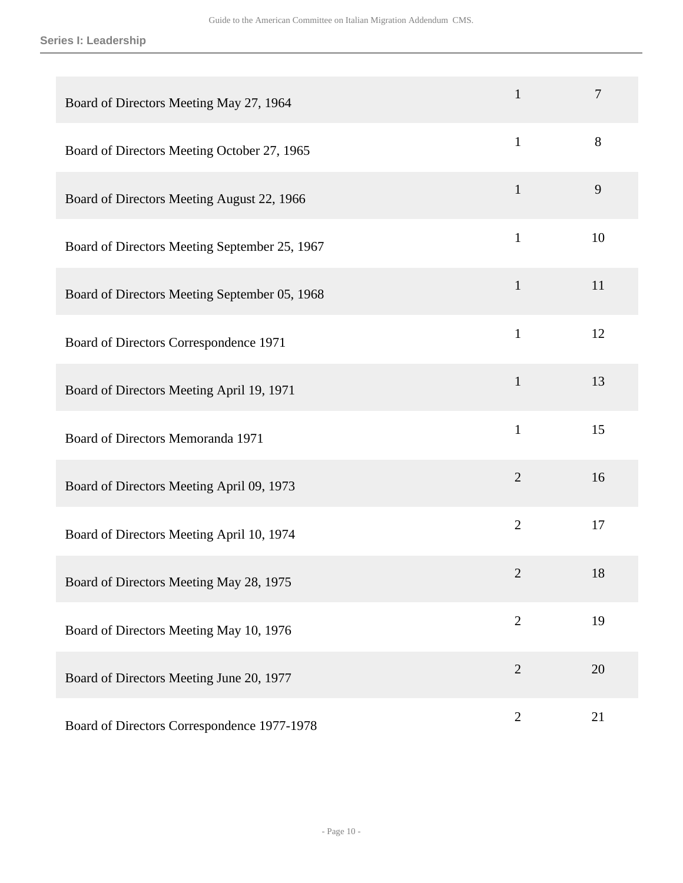| Board of Directors Meeting May 27, 1964       | $\mathbf{1}$   | $\overline{7}$ |
|-----------------------------------------------|----------------|----------------|
| Board of Directors Meeting October 27, 1965   | $\mathbf{1}$   | 8              |
| Board of Directors Meeting August 22, 1966    | $\mathbf{1}$   | 9              |
| Board of Directors Meeting September 25, 1967 | $\mathbf{1}$   | 10             |
| Board of Directors Meeting September 05, 1968 | $\mathbf{1}$   | 11             |
| Board of Directors Correspondence 1971        | $\mathbf{1}$   | 12             |
| Board of Directors Meeting April 19, 1971     | $\mathbf{1}$   | 13             |
| Board of Directors Memoranda 1971             | $\mathbf{1}$   | 15             |
| Board of Directors Meeting April 09, 1973     | $\overline{2}$ | 16             |
| Board of Directors Meeting April 10, 1974     | $\overline{2}$ | 17             |
| Board of Directors Meeting May 28, 1975       | 2              | 18             |
| Board of Directors Meeting May 10, 1976       | $\mathbf{2}$   | 19             |
| Board of Directors Meeting June 20, 1977      | $\overline{2}$ | 20             |
| Board of Directors Correspondence 1977-1978   | $\overline{2}$ | 21             |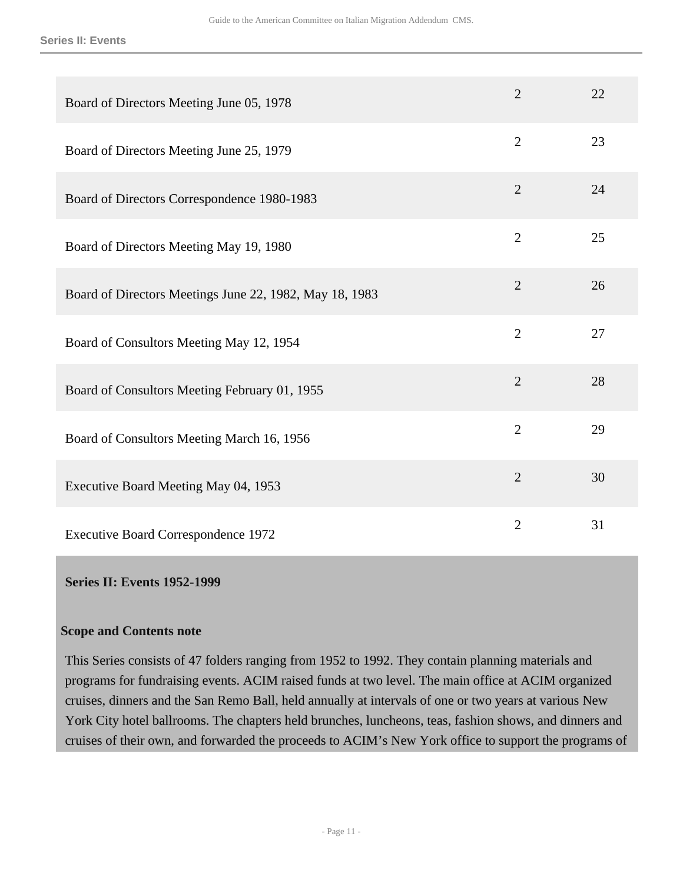| Board of Directors Meeting June 05, 1978                | $\overline{2}$ | 22 |
|---------------------------------------------------------|----------------|----|
| Board of Directors Meeting June 25, 1979                | $\overline{2}$ | 23 |
| Board of Directors Correspondence 1980-1983             | $\overline{2}$ | 24 |
| Board of Directors Meeting May 19, 1980                 | $\overline{2}$ | 25 |
| Board of Directors Meetings June 22, 1982, May 18, 1983 | $\overline{2}$ | 26 |
| Board of Consultors Meeting May 12, 1954                | $\overline{2}$ | 27 |
| Board of Consultors Meeting February 01, 1955           | $\overline{2}$ | 28 |
| Board of Consultors Meeting March 16, 1956              | $\overline{2}$ | 29 |
| Executive Board Meeting May 04, 1953                    | $\overline{2}$ | 30 |
| <b>Executive Board Correspondence 1972</b>              | $\overline{2}$ | 31 |

## <span id="page-10-0"></span>**Series II: Events 1952-1999**

## **Scope and Contents note**

This Series consists of 47 folders ranging from 1952 to 1992. They contain planning materials and programs for fundraising events. ACIM raised funds at two level. The main office at ACIM organized cruises, dinners and the San Remo Ball, held annually at intervals of one or two years at various New York City hotel ballrooms. The chapters held brunches, luncheons, teas, fashion shows, and dinners and cruises of their own, and forwarded the proceeds to ACIM's New York office to support the programs of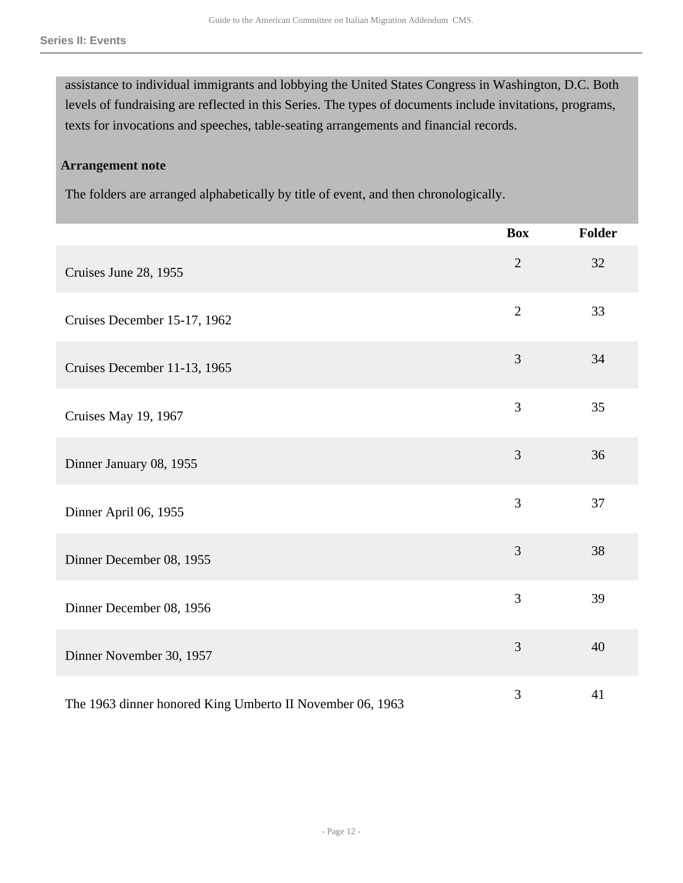assistance to individual immigrants and lobbying the United States Congress in Washington, D.C. Both levels of fundraising are reflected in this Series. The types of documents include invitations, programs, texts for invocations and speeches, table-seating arrangements and financial records.

## **Arrangement note**

The folders are arranged alphabetically by title of event, and then chronologically.

|                                                           | <b>Box</b>     | <b>Folder</b> |
|-----------------------------------------------------------|----------------|---------------|
| Cruises June 28, 1955                                     | $\overline{2}$ | 32            |
| Cruises December 15-17, 1962                              | $\overline{2}$ | 33            |
| Cruises December 11-13, 1965                              | 3              | 34            |
| Cruises May 19, 1967                                      | 3              | 35            |
| Dinner January 08, 1955                                   | 3              | 36            |
| Dinner April 06, 1955                                     | $\overline{3}$ | 37            |
| Dinner December 08, 1955                                  | 3              | 38            |
| Dinner December 08, 1956                                  | 3              | 39            |
| Dinner November 30, 1957                                  | 3              | 40            |
| The 1963 dinner honored King Umberto II November 06, 1963 | 3              | 41            |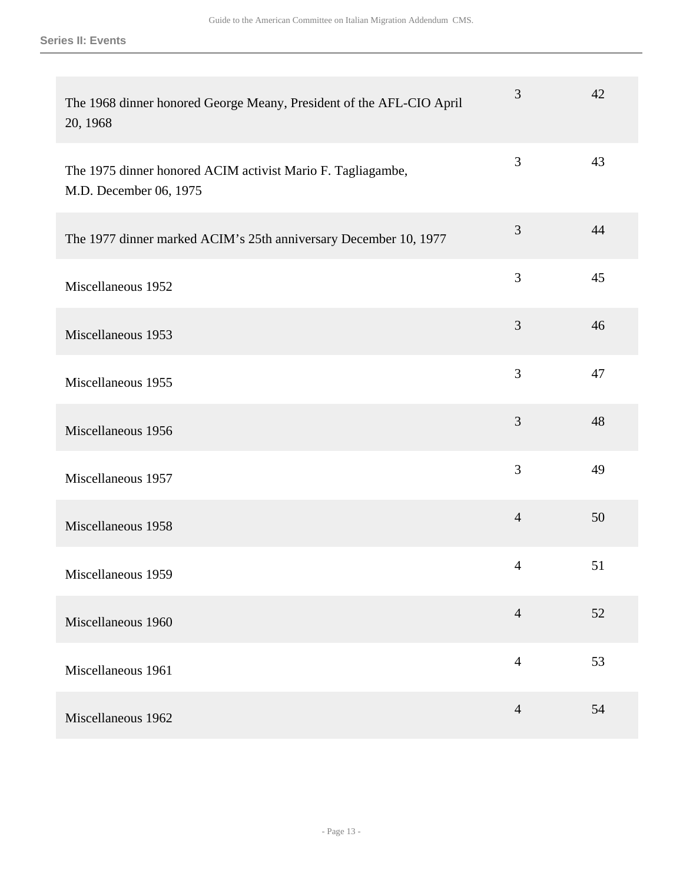| The 1968 dinner honored George Meany, President of the AFL-CIO April<br>20, 1968      | 3              | 42 |
|---------------------------------------------------------------------------------------|----------------|----|
| The 1975 dinner honored ACIM activist Mario F. Tagliagambe,<br>M.D. December 06, 1975 | $\mathfrak{Z}$ | 43 |
| The 1977 dinner marked ACIM's 25th anniversary December 10, 1977                      | 3              | 44 |
| Miscellaneous 1952                                                                    | 3              | 45 |
| Miscellaneous 1953                                                                    | 3              | 46 |
| Miscellaneous 1955                                                                    | $\mathfrak{Z}$ | 47 |
| Miscellaneous 1956                                                                    | $\mathfrak{Z}$ | 48 |
| Miscellaneous 1957                                                                    | 3              | 49 |
| Miscellaneous 1958                                                                    | $\overline{4}$ | 50 |
| Miscellaneous 1959                                                                    | $\overline{4}$ | 51 |
| Miscellaneous 1960                                                                    | $\overline{4}$ | 52 |
| Miscellaneous 1961                                                                    | $\overline{4}$ | 53 |
| Miscellaneous 1962                                                                    | $\overline{4}$ | 54 |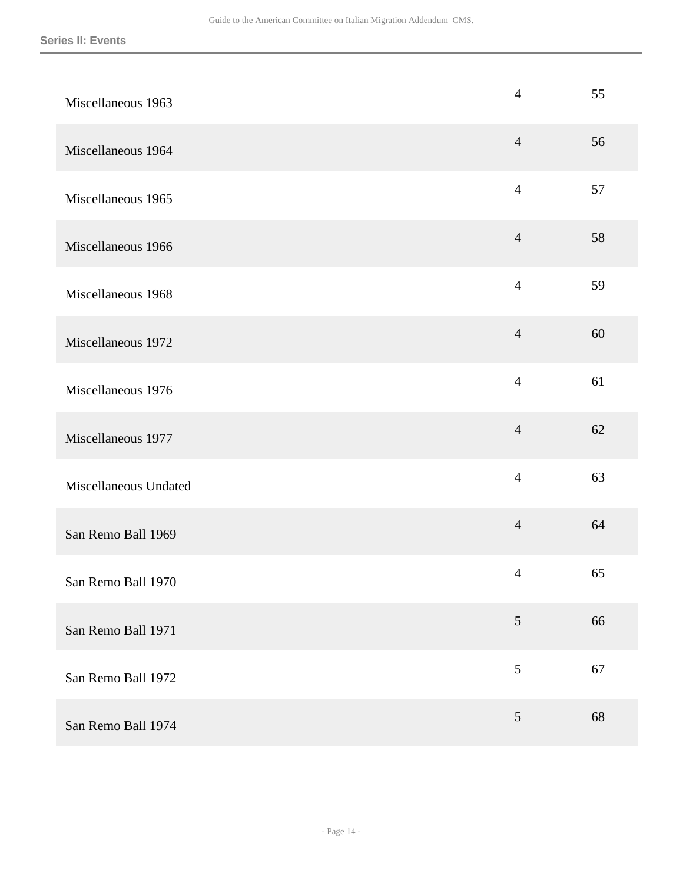| Miscellaneous 1963    | $\overline{4}$ | 55 |
|-----------------------|----------------|----|
| Miscellaneous 1964    | $\overline{4}$ | 56 |
| Miscellaneous 1965    | $\overline{4}$ | 57 |
| Miscellaneous 1966    | $\overline{4}$ | 58 |
| Miscellaneous 1968    | $\overline{4}$ | 59 |
| Miscellaneous 1972    | $\overline{4}$ | 60 |
| Miscellaneous 1976    | $\overline{4}$ | 61 |
| Miscellaneous 1977    | $\overline{4}$ | 62 |
| Miscellaneous Undated | $\overline{4}$ | 63 |
| San Remo Ball 1969    | $\overline{4}$ | 64 |
| San Remo Ball 1970    | $\overline{4}$ | 65 |
| San Remo Ball 1971    | $\mathfrak{S}$ | 66 |
| San Remo Ball 1972    | 5              | 67 |
| San Remo Ball 1974    | 5              | 68 |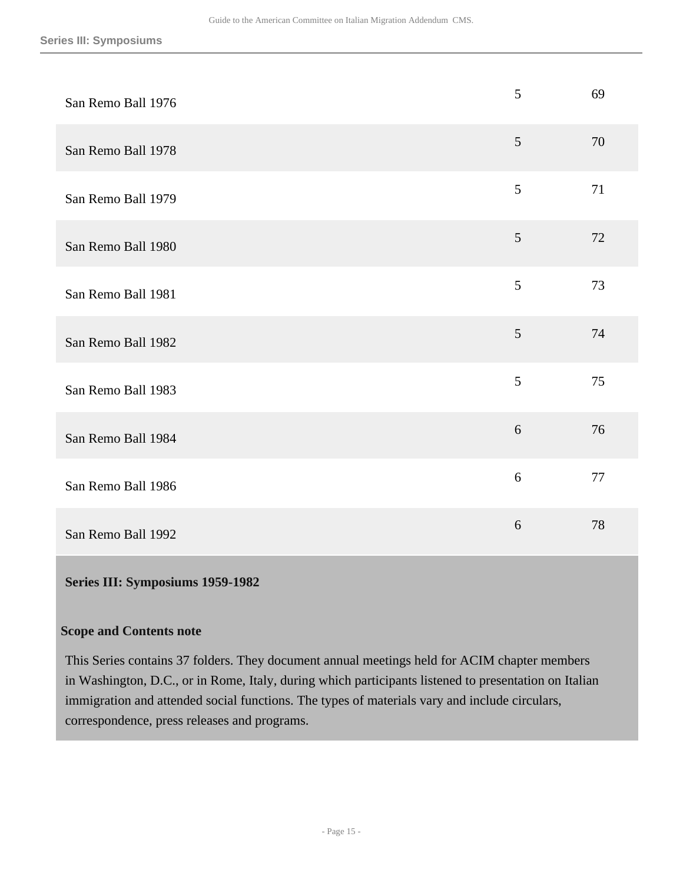| San Remo Ball 1976 | 5 | 69 |
|--------------------|---|----|
| San Remo Ball 1978 | 5 | 70 |
| San Remo Ball 1979 | 5 | 71 |
| San Remo Ball 1980 | 5 | 72 |
| San Remo Ball 1981 | 5 | 73 |
| San Remo Ball 1982 | 5 | 74 |
| San Remo Ball 1983 | 5 | 75 |
| San Remo Ball 1984 | 6 | 76 |
| San Remo Ball 1986 | 6 | 77 |
| San Remo Ball 1992 | 6 | 78 |

## <span id="page-14-0"></span>**Series III: Symposiums 1959-1982**

## **Scope and Contents note**

This Series contains 37 folders. They document annual meetings held for ACIM chapter members in Washington, D.C., or in Rome, Italy, during which participants listened to presentation on Italian immigration and attended social functions. The types of materials vary and include circulars, correspondence, press releases and programs.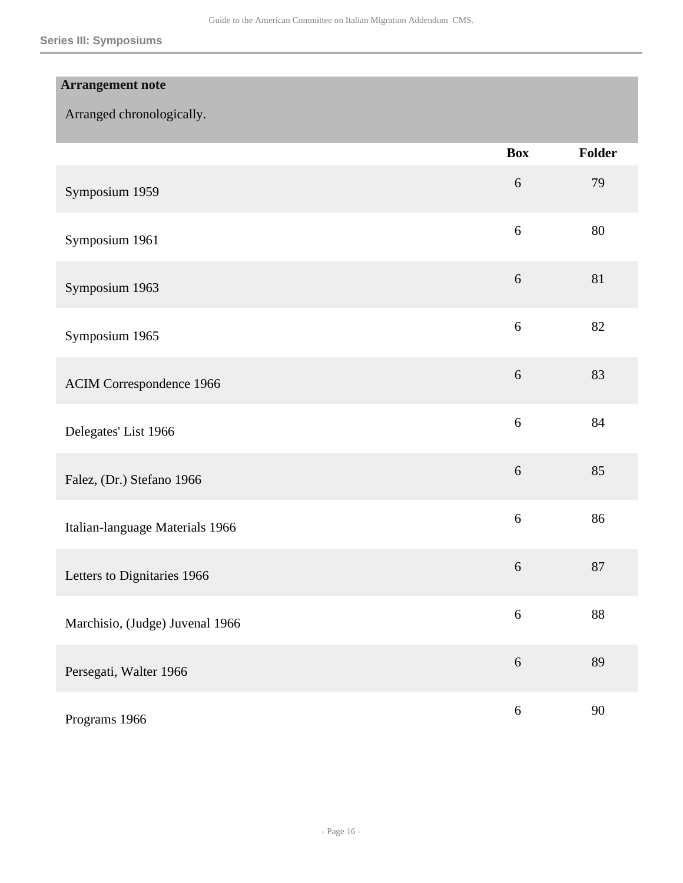| <b>Arrangement note</b>         |            |        |
|---------------------------------|------------|--------|
| Arranged chronologically.       |            |        |
|                                 | <b>Box</b> | Folder |
| Symposium 1959                  | $6\,$      | 79     |
| Symposium 1961                  | $6\,$      | 80     |
| Symposium 1963                  | $\sqrt{6}$ | 81     |
| Symposium 1965                  | $6\,$      | 82     |
| <b>ACIM Correspondence 1966</b> | $\sqrt{6}$ | 83     |
| Delegates' List 1966            | 6          | 84     |
| Falez, (Dr.) Stefano 1966       | $6\,$      | 85     |
| Italian-language Materials 1966 | 6          | 86     |
| Letters to Dignitaries 1966     | 6          | 87     |
| Marchisio, (Judge) Juvenal 1966 | $\sqrt{6}$ | 88     |
| Persegati, Walter 1966          | $\sqrt{6}$ | 89     |
| Programs 1966                   | $6\,$      | 90     |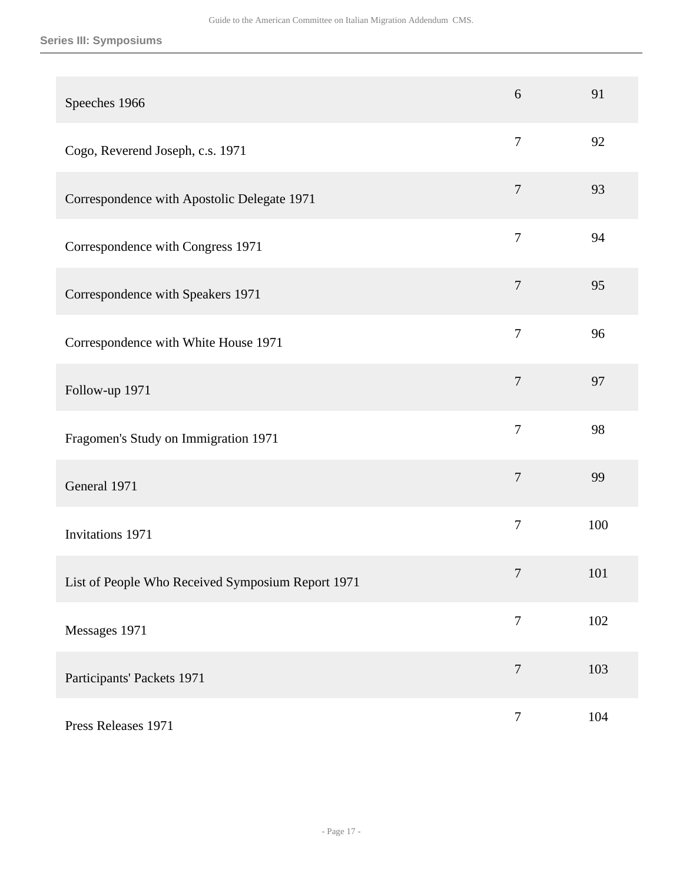## **Series III: Symposiums**

| Speeches 1966                                     | 6                | 91  |
|---------------------------------------------------|------------------|-----|
| Cogo, Reverend Joseph, c.s. 1971                  | $\boldsymbol{7}$ | 92  |
| Correspondence with Apostolic Delegate 1971       | $\tau$           | 93  |
| Correspondence with Congress 1971                 | $\overline{7}$   | 94  |
| Correspondence with Speakers 1971                 | $\boldsymbol{7}$ | 95  |
| Correspondence with White House 1971              | $\overline{7}$   | 96  |
| Follow-up 1971                                    | $\overline{7}$   | 97  |
| Fragomen's Study on Immigration 1971              | $\overline{7}$   | 98  |
| General 1971                                      | $\overline{7}$   | 99  |
| Invitations 1971                                  | $\tau$           | 100 |
| List of People Who Received Symposium Report 1971 | $\overline{7}$   | 101 |
| Messages 1971                                     | $\tau$           | 102 |
| Participants' Packets 1971                        | $\overline{7}$   | 103 |
| Press Releases 1971                               | $\boldsymbol{7}$ | 104 |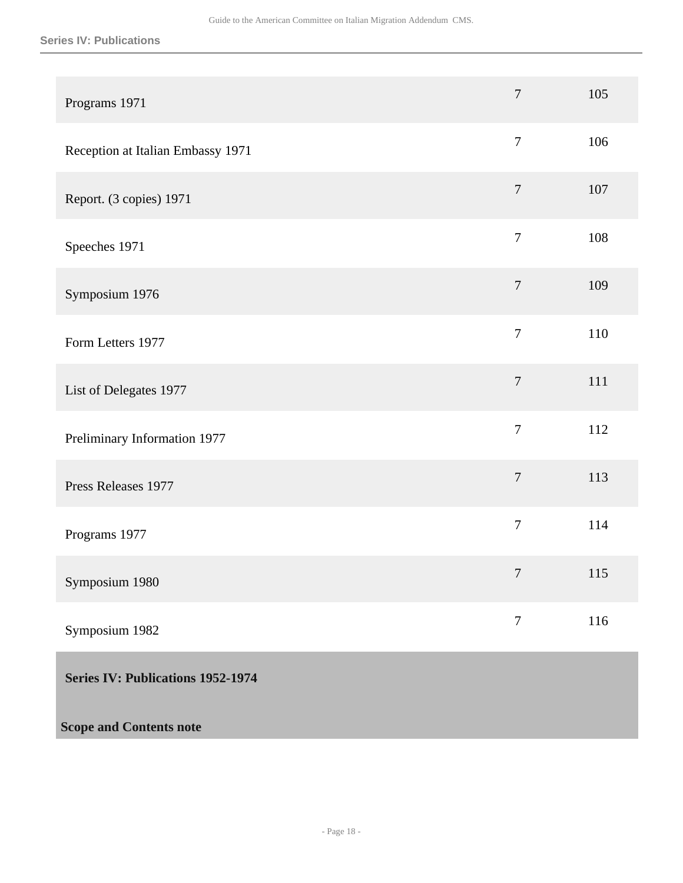## **Series IV: Publications**

<span id="page-17-0"></span>

| Programs 1971                     | $\tau$           | 105 |
|-----------------------------------|------------------|-----|
| Reception at Italian Embassy 1971 | $\boldsymbol{7}$ | 106 |
| Report. (3 copies) 1971           | $\boldsymbol{7}$ | 107 |
| Speeches 1971                     | $\boldsymbol{7}$ | 108 |
| Symposium 1976                    | $\boldsymbol{7}$ | 109 |
| Form Letters 1977                 | $\tau$           | 110 |
| List of Delegates 1977            | $\boldsymbol{7}$ | 111 |
| Preliminary Information 1977      | $\tau$           | 112 |
| Press Releases 1977               | $\boldsymbol{7}$ | 113 |
| Programs 1977                     | $\boldsymbol{7}$ | 114 |
| Symposium 1980                    | $\tau$           | 115 |
| Symposium 1982                    | $\boldsymbol{7}$ | 116 |
| Series IV: Publications 1952-1974 |                  |     |
| <b>Scope and Contents note</b>    |                  |     |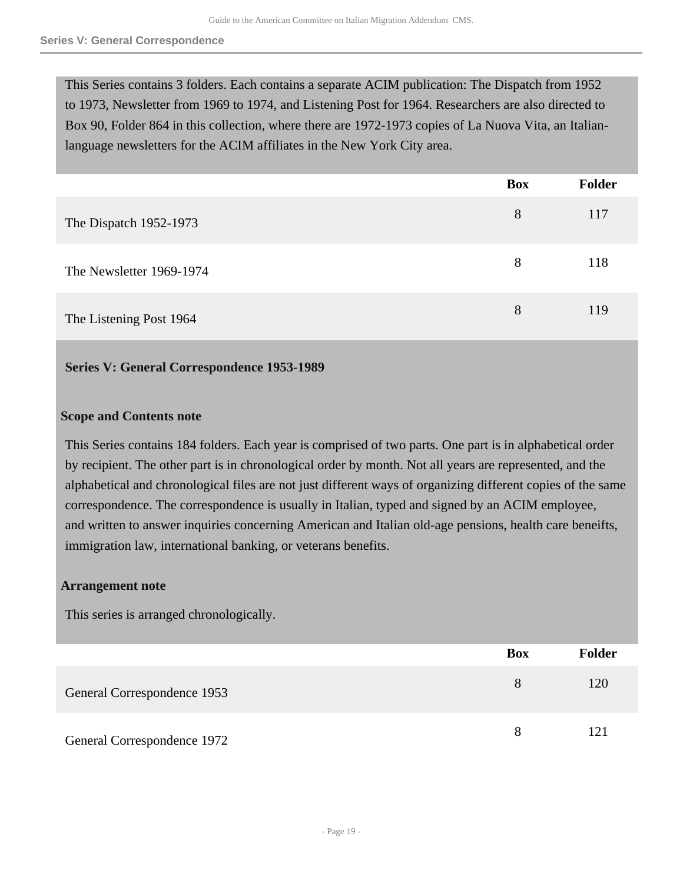This Series contains 3 folders. Each contains a separate ACIM publication: The Dispatch from 1952 to 1973, Newsletter from 1969 to 1974, and Listening Post for 1964. Researchers are also directed to Box 90, Folder 864 in this collection, where there are 1972-1973 copies of La Nuova Vita, an Italianlanguage newsletters for the ACIM affiliates in the New York City area.

|                          | <b>Box</b> | Folder |
|--------------------------|------------|--------|
| The Dispatch 1952-1973   | 8          | 117    |
| The Newsletter 1969-1974 | 8          | 118    |
| The Listening Post 1964  | 8          | 119    |

## <span id="page-18-0"></span>**Series V: General Correspondence 1953-1989**

## **Scope and Contents note**

This Series contains 184 folders. Each year is comprised of two parts. One part is in alphabetical order by recipient. The other part is in chronological order by month. Not all years are represented, and the alphabetical and chronological files are not just different ways of organizing different copies of the same correspondence. The correspondence is usually in Italian, typed and signed by an ACIM employee, and written to answer inquiries concerning American and Italian old-age pensions, health care beneifts, immigration law, international banking, or veterans benefits.

## **Arrangement note**

This series is arranged chronologically.

|                             | <b>Box</b> | <b>Folder</b> |
|-----------------------------|------------|---------------|
| General Correspondence 1953 | 8          | 120           |
| General Correspondence 1972 |            | 121           |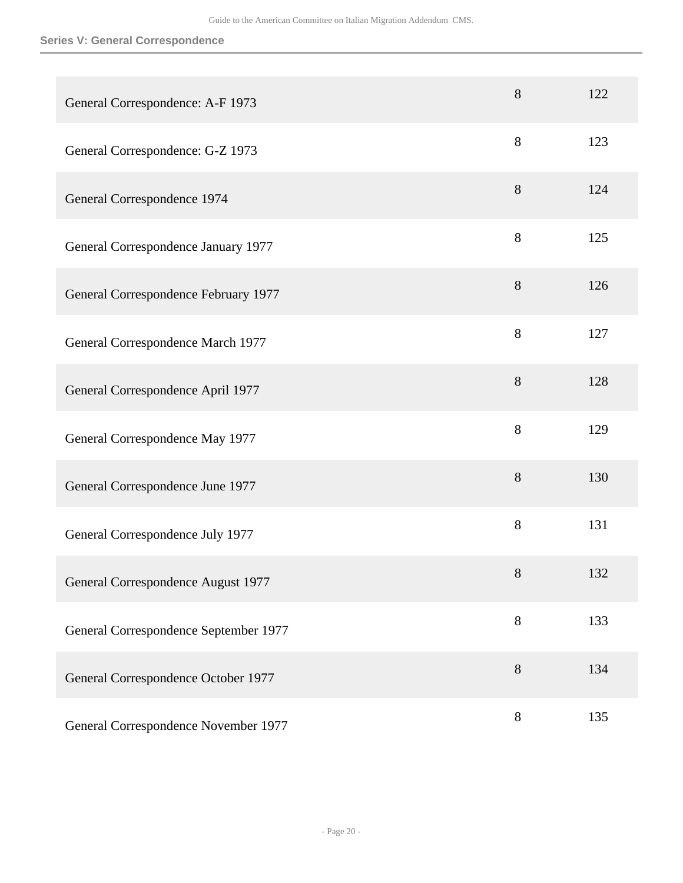| General Correspondence: A-F 1973      | 8     | 122 |
|---------------------------------------|-------|-----|
| General Correspondence: G-Z 1973      | $8\,$ | 123 |
| General Correspondence 1974           | 8     | 124 |
| General Correspondence January 1977   | 8     | 125 |
| General Correspondence February 1977  | 8     | 126 |
| General Correspondence March 1977     | 8     | 127 |
| General Correspondence April 1977     | 8     | 128 |
| General Correspondence May 1977       | 8     | 129 |
| General Correspondence June 1977      | 8     | 130 |
| General Correspondence July 1977      | 8     | 131 |
| General Correspondence August 1977    | $8\,$ | 132 |
| General Correspondence September 1977 | 8     | 133 |
| General Correspondence October 1977   | 8     | 134 |
| General Correspondence November 1977  | $8\,$ | 135 |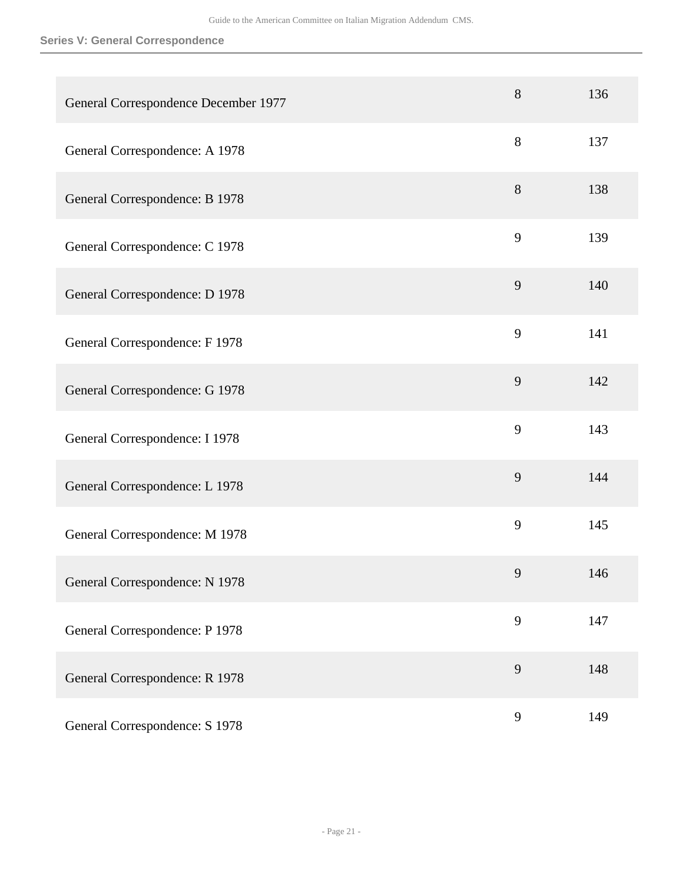| General Correspondence December 1977 | 8     | 136 |
|--------------------------------------|-------|-----|
| General Correspondence: A 1978       | 8     | 137 |
| General Correspondence: B 1978       | $8\,$ | 138 |
| General Correspondence: C 1978       | 9     | 139 |
| General Correspondence: D 1978       | 9     | 140 |
| General Correspondence: F 1978       | 9     | 141 |
| General Correspondence: G 1978       | 9     | 142 |
| General Correspondence: I 1978       | 9     | 143 |
| General Correspondence: L 1978       | 9     | 144 |
| General Correspondence: M 1978       | 9     | 145 |
| General Correspondence: N 1978       | 9     | 146 |
| General Correspondence: P 1978       | 9     | 147 |
| General Correspondence: R 1978       | 9     | 148 |
| General Correspondence: S 1978       | 9     | 149 |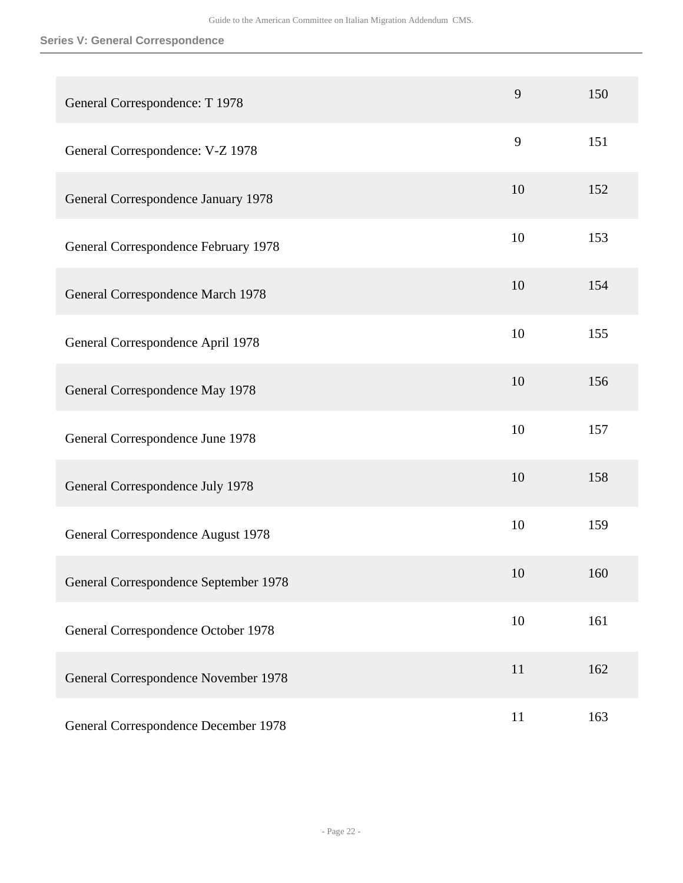| General Correspondence: T 1978        | 9  | 150 |
|---------------------------------------|----|-----|
| General Correspondence: V-Z 1978      | 9  | 151 |
| General Correspondence January 1978   | 10 | 152 |
| General Correspondence February 1978  | 10 | 153 |
| General Correspondence March 1978     | 10 | 154 |
| General Correspondence April 1978     | 10 | 155 |
| General Correspondence May 1978       | 10 | 156 |
| General Correspondence June 1978      | 10 | 157 |
| General Correspondence July 1978      | 10 | 158 |
| General Correspondence August 1978    | 10 | 159 |
| General Correspondence September 1978 | 10 | 160 |
| General Correspondence October 1978   | 10 | 161 |
| General Correspondence November 1978  | 11 | 162 |
| General Correspondence December 1978  | 11 | 163 |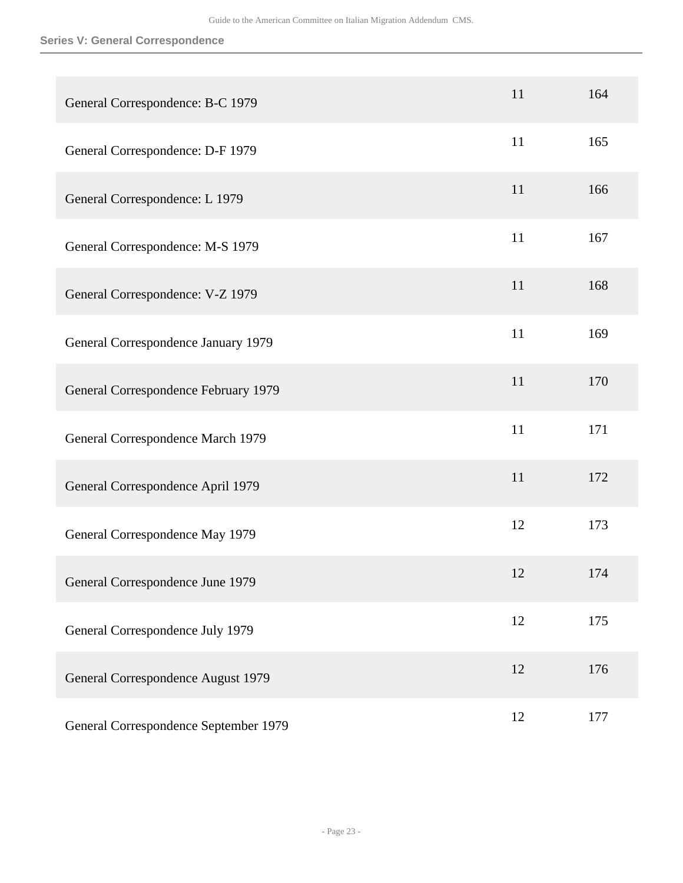| General Correspondence: B-C 1979      | 11 | 164 |
|---------------------------------------|----|-----|
| General Correspondence: D-F 1979      | 11 | 165 |
| General Correspondence: L 1979        | 11 | 166 |
| General Correspondence: M-S 1979      | 11 | 167 |
| General Correspondence: V-Z 1979      | 11 | 168 |
| General Correspondence January 1979   | 11 | 169 |
| General Correspondence February 1979  | 11 | 170 |
| General Correspondence March 1979     | 11 | 171 |
| General Correspondence April 1979     | 11 | 172 |
| General Correspondence May 1979       | 12 | 173 |
| General Correspondence June 1979      | 12 | 174 |
| General Correspondence July 1979      | 12 | 175 |
| General Correspondence August 1979    | 12 | 176 |
| General Correspondence September 1979 | 12 | 177 |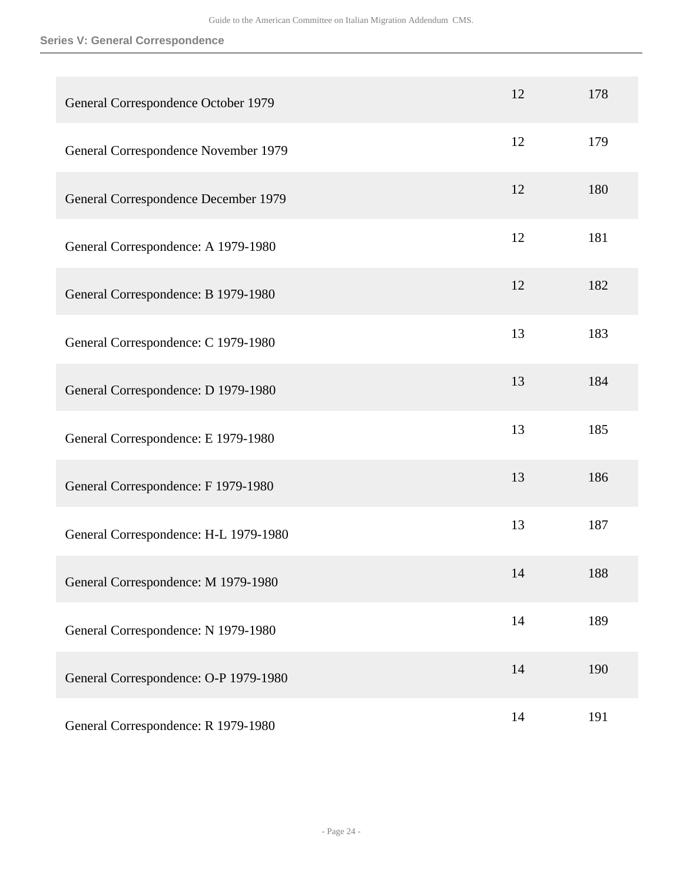| General Correspondence October 1979   | 12 | 178 |
|---------------------------------------|----|-----|
| General Correspondence November 1979  | 12 | 179 |
| General Correspondence December 1979  | 12 | 180 |
| General Correspondence: A 1979-1980   | 12 | 181 |
| General Correspondence: B 1979-1980   | 12 | 182 |
| General Correspondence: C 1979-1980   | 13 | 183 |
| General Correspondence: D 1979-1980   | 13 | 184 |
| General Correspondence: E 1979-1980   | 13 | 185 |
| General Correspondence: F 1979-1980   | 13 | 186 |
| General Correspondence: H-L 1979-1980 | 13 | 187 |
| General Correspondence: M 1979-1980   | 14 | 188 |
| General Correspondence: N 1979-1980   | 14 | 189 |
| General Correspondence: O-P 1979-1980 | 14 | 190 |
| General Correspondence: R 1979-1980   | 14 | 191 |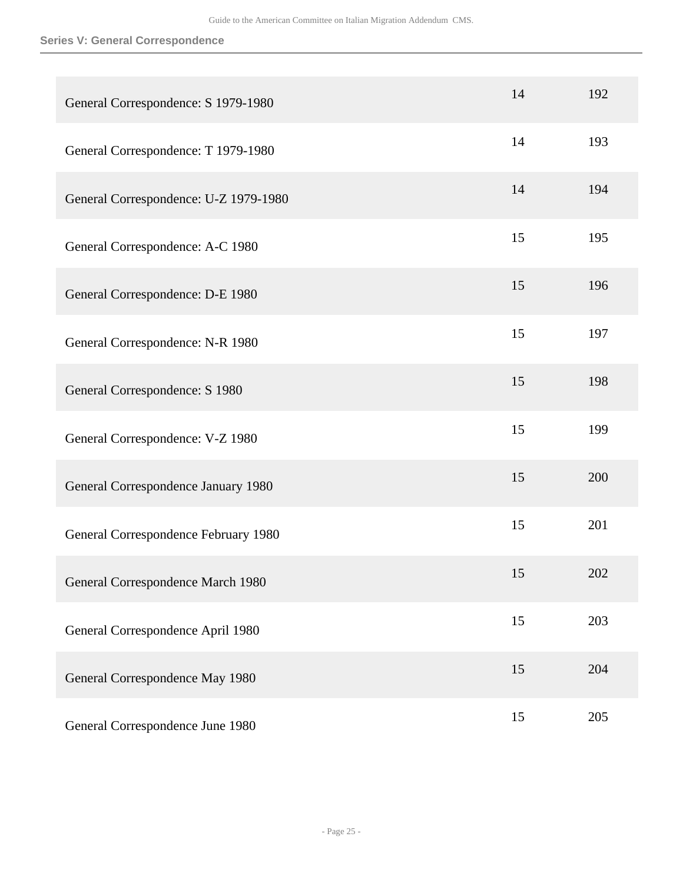| General Correspondence: S 1979-1980   | 14 | 192 |
|---------------------------------------|----|-----|
| General Correspondence: T 1979-1980   | 14 | 193 |
| General Correspondence: U-Z 1979-1980 | 14 | 194 |
| General Correspondence: A-C 1980      | 15 | 195 |
| General Correspondence: D-E 1980      | 15 | 196 |
| General Correspondence: N-R 1980      | 15 | 197 |
| General Correspondence: S 1980        | 15 | 198 |
| General Correspondence: V-Z 1980      | 15 | 199 |
| General Correspondence January 1980   | 15 | 200 |
| General Correspondence February 1980  | 15 | 201 |
| General Correspondence March 1980     | 15 | 202 |
| General Correspondence April 1980     | 15 | 203 |
| General Correspondence May 1980       | 15 | 204 |
| General Correspondence June 1980      | 15 | 205 |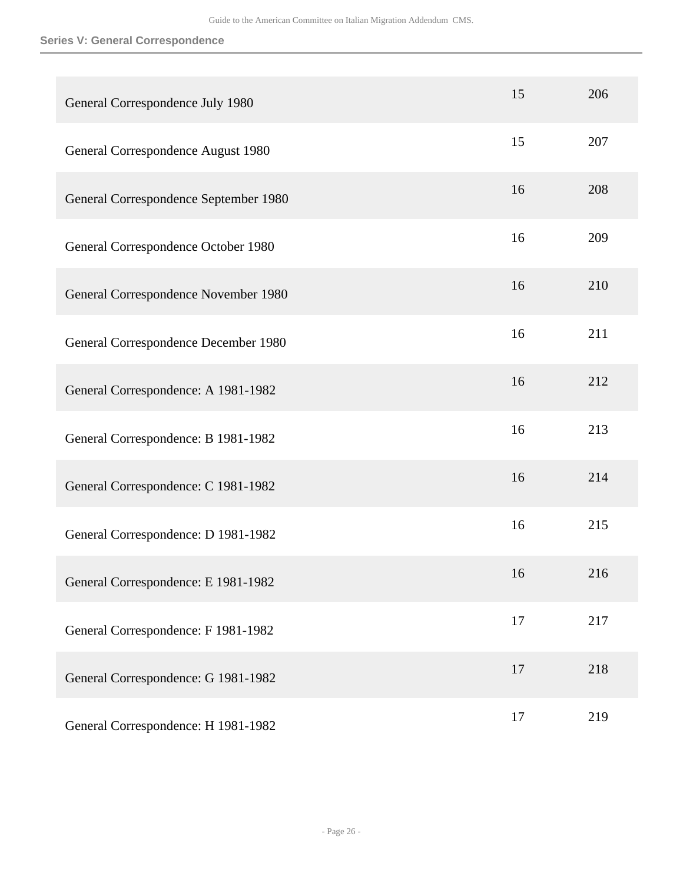| General Correspondence July 1980      | 15 | 206 |
|---------------------------------------|----|-----|
| General Correspondence August 1980    | 15 | 207 |
| General Correspondence September 1980 | 16 | 208 |
| General Correspondence October 1980   | 16 | 209 |
| General Correspondence November 1980  | 16 | 210 |
| General Correspondence December 1980  | 16 | 211 |
| General Correspondence: A 1981-1982   | 16 | 212 |
| General Correspondence: B 1981-1982   | 16 | 213 |
| General Correspondence: C 1981-1982   | 16 | 214 |
| General Correspondence: D 1981-1982   | 16 | 215 |
| General Correspondence: E 1981-1982   | 16 | 216 |
| General Correspondence: F 1981-1982   | 17 | 217 |
| General Correspondence: G 1981-1982   | 17 | 218 |
| General Correspondence: H 1981-1982   | 17 | 219 |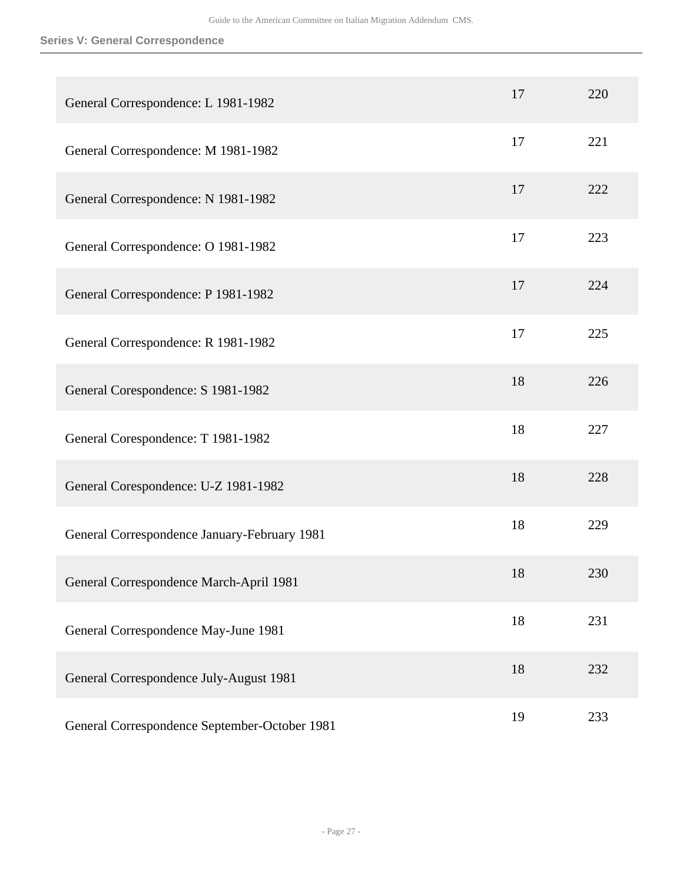| General Correspondence: L 1981-1982           | 17 | 220 |
|-----------------------------------------------|----|-----|
| General Correspondence: M 1981-1982           | 17 | 221 |
| General Correspondence: N 1981-1982           | 17 | 222 |
| General Correspondence: O 1981-1982           | 17 | 223 |
| General Correspondence: P 1981-1982           | 17 | 224 |
| General Correspondence: R 1981-1982           | 17 | 225 |
| General Corespondence: S 1981-1982            | 18 | 226 |
| General Corespondence: T 1981-1982            | 18 | 227 |
| General Corespondence: U-Z 1981-1982          | 18 | 228 |
| General Correspondence January-February 1981  | 18 | 229 |
| General Correspondence March-April 1981       | 18 | 230 |
| General Correspondence May-June 1981          | 18 | 231 |
| General Correspondence July-August 1981       | 18 | 232 |
| General Correspondence September-October 1981 | 19 | 233 |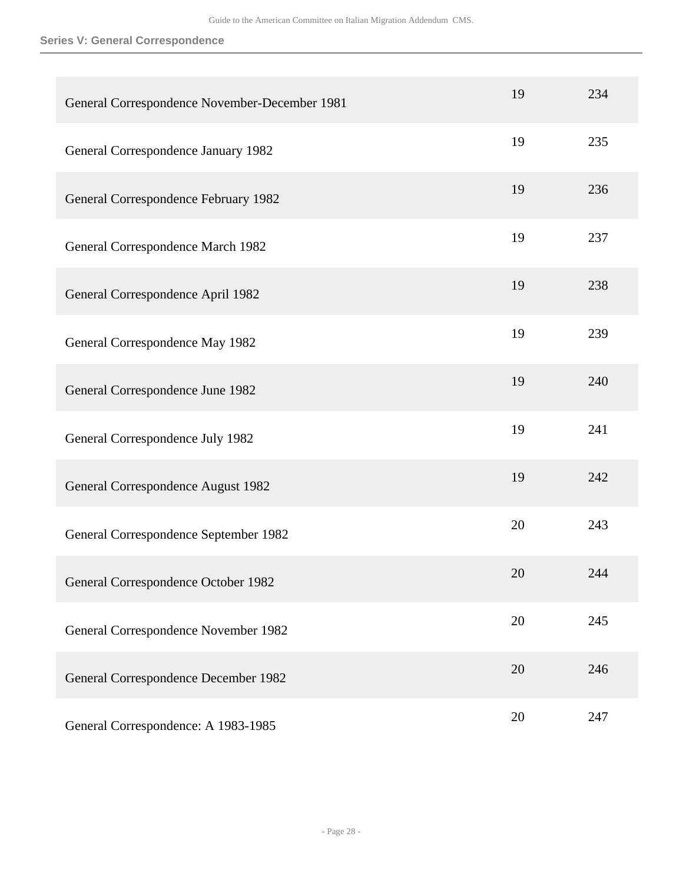| General Correspondence November-December 1981 | 19 | 234 |
|-----------------------------------------------|----|-----|
| General Correspondence January 1982           | 19 | 235 |
| General Correspondence February 1982          | 19 | 236 |
| General Correspondence March 1982             | 19 | 237 |
| General Correspondence April 1982             | 19 | 238 |
| General Correspondence May 1982               | 19 | 239 |
| General Correspondence June 1982              | 19 | 240 |
| General Correspondence July 1982              | 19 | 241 |
| General Correspondence August 1982            | 19 | 242 |
| General Correspondence September 1982         | 20 | 243 |
| General Correspondence October 1982           | 20 | 244 |
| General Correspondence November 1982          | 20 | 245 |
| General Correspondence December 1982          | 20 | 246 |
| General Correspondence: A 1983-1985           | 20 | 247 |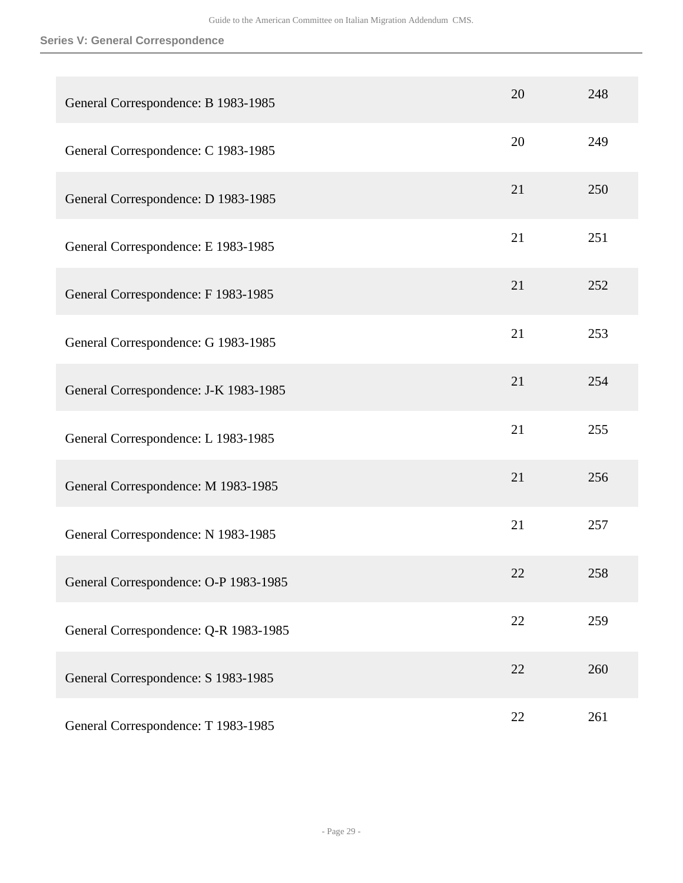| General Correspondence: B 1983-1985   | 20 | 248 |
|---------------------------------------|----|-----|
| General Correspondence: C 1983-1985   | 20 | 249 |
| General Correspondence: D 1983-1985   | 21 | 250 |
| General Correspondence: E 1983-1985   | 21 | 251 |
| General Correspondence: F 1983-1985   | 21 | 252 |
| General Correspondence: G 1983-1985   | 21 | 253 |
| General Correspondence: J-K 1983-1985 | 21 | 254 |
| General Correspondence: L 1983-1985   | 21 | 255 |
| General Correspondence: M 1983-1985   | 21 | 256 |
| General Correspondence: N 1983-1985   | 21 | 257 |
| General Correspondence: O-P 1983-1985 | 22 | 258 |
| General Correspondence: Q-R 1983-1985 | 22 | 259 |
| General Correspondence: S 1983-1985   | 22 | 260 |
| General Correspondence: T 1983-1985   | 22 | 261 |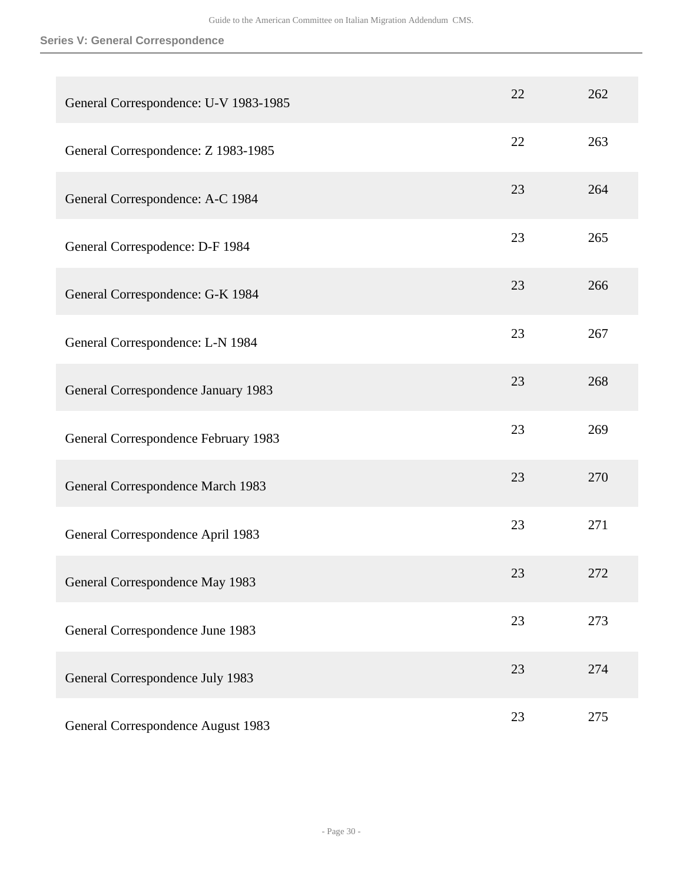| General Correspondence: U-V 1983-1985 | 22 | 262 |
|---------------------------------------|----|-----|
| General Correspondence: Z 1983-1985   | 22 | 263 |
| General Correspondence: A-C 1984      | 23 | 264 |
| General Correspodence: D-F 1984       | 23 | 265 |
| General Correspondence: G-K 1984      | 23 | 266 |
| General Correspondence: L-N 1984      | 23 | 267 |
| General Correspondence January 1983   | 23 | 268 |
| General Correspondence February 1983  | 23 | 269 |
| General Correspondence March 1983     | 23 | 270 |
| General Correspondence April 1983     | 23 | 271 |
| General Correspondence May 1983       | 23 | 272 |
| General Correspondence June 1983      | 23 | 273 |
| General Correspondence July 1983      | 23 | 274 |
| General Correspondence August 1983    | 23 | 275 |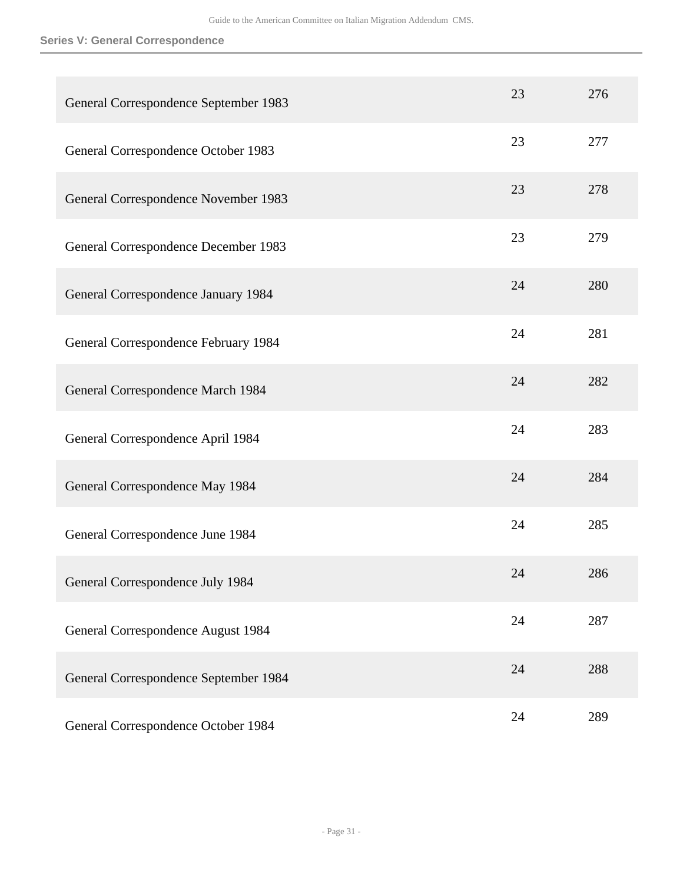| General Correspondence September 1983 | 23 | 276 |
|---------------------------------------|----|-----|
| General Correspondence October 1983   | 23 | 277 |
| General Correspondence November 1983  | 23 | 278 |
| General Correspondence December 1983  | 23 | 279 |
| General Correspondence January 1984   | 24 | 280 |
| General Correspondence February 1984  | 24 | 281 |
| General Correspondence March 1984     | 24 | 282 |
| General Correspondence April 1984     | 24 | 283 |
| General Correspondence May 1984       | 24 | 284 |
| General Correspondence June 1984      | 24 | 285 |
| General Correspondence July 1984      | 24 | 286 |
| General Correspondence August 1984    | 24 | 287 |
| General Correspondence September 1984 | 24 | 288 |
| General Correspondence October 1984   | 24 | 289 |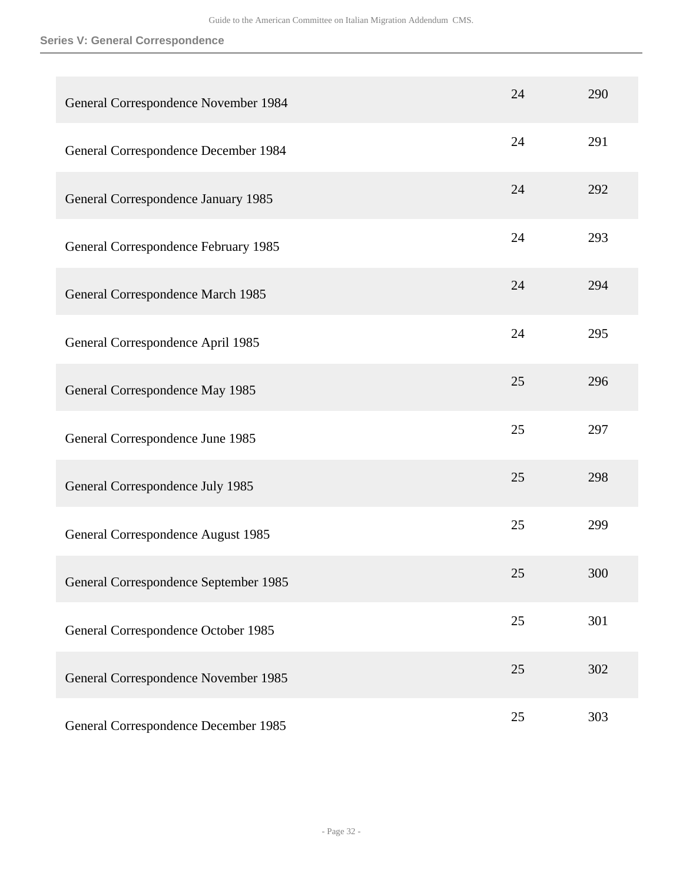| General Correspondence November 1984  | 24 | 290 |
|---------------------------------------|----|-----|
| General Correspondence December 1984  | 24 | 291 |
| General Correspondence January 1985   | 24 | 292 |
| General Correspondence February 1985  | 24 | 293 |
| General Correspondence March 1985     | 24 | 294 |
| General Correspondence April 1985     | 24 | 295 |
| General Correspondence May 1985       | 25 | 296 |
| General Correspondence June 1985      | 25 | 297 |
| General Correspondence July 1985      | 25 | 298 |
| General Correspondence August 1985    | 25 | 299 |
| General Correspondence September 1985 | 25 | 300 |
| General Correspondence October 1985   | 25 | 301 |
| General Correspondence November 1985  | 25 | 302 |
| General Correspondence December 1985  | 25 | 303 |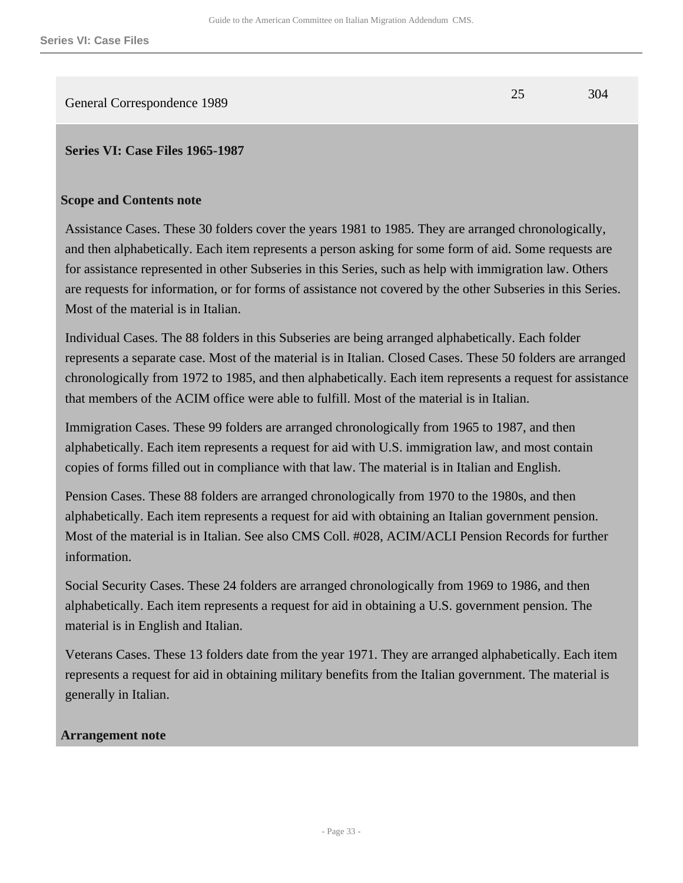<span id="page-32-0"></span>General Correspondence 1989 25 304

### **Scope and Contents note**

Assistance Cases. These 30 folders cover the years 1981 to 1985. They are arranged chronologically, and then alphabetically. Each item represents a person asking for some form of aid. Some requests are for assistance represented in other Subseries in this Series, such as help with immigration law. Others are requests for information, or for forms of assistance not covered by the other Subseries in this Series. Most of the material is in Italian.

Individual Cases. The 88 folders in this Subseries are being arranged alphabetically. Each folder represents a separate case. Most of the material is in Italian. Closed Cases. These 50 folders are arranged chronologically from 1972 to 1985, and then alphabetically. Each item represents a request for assistance that members of the ACIM office were able to fulfill. Most of the material is in Italian.

Immigration Cases. These 99 folders are arranged chronologically from 1965 to 1987, and then alphabetically. Each item represents a request for aid with U.S. immigration law, and most contain copies of forms filled out in compliance with that law. The material is in Italian and English.

Pension Cases. These 88 folders are arranged chronologically from 1970 to the 1980s, and then alphabetically. Each item represents a request for aid with obtaining an Italian government pension. Most of the material is in Italian. See also CMS Coll. #028, ACIM/ACLI Pension Records for further information.

Social Security Cases. These 24 folders are arranged chronologically from 1969 to 1986, and then alphabetically. Each item represents a request for aid in obtaining a U.S. government pension. The material is in English and Italian.

Veterans Cases. These 13 folders date from the year 1971. They are arranged alphabetically. Each item represents a request for aid in obtaining military benefits from the Italian government. The material is generally in Italian.

### **Arrangement note**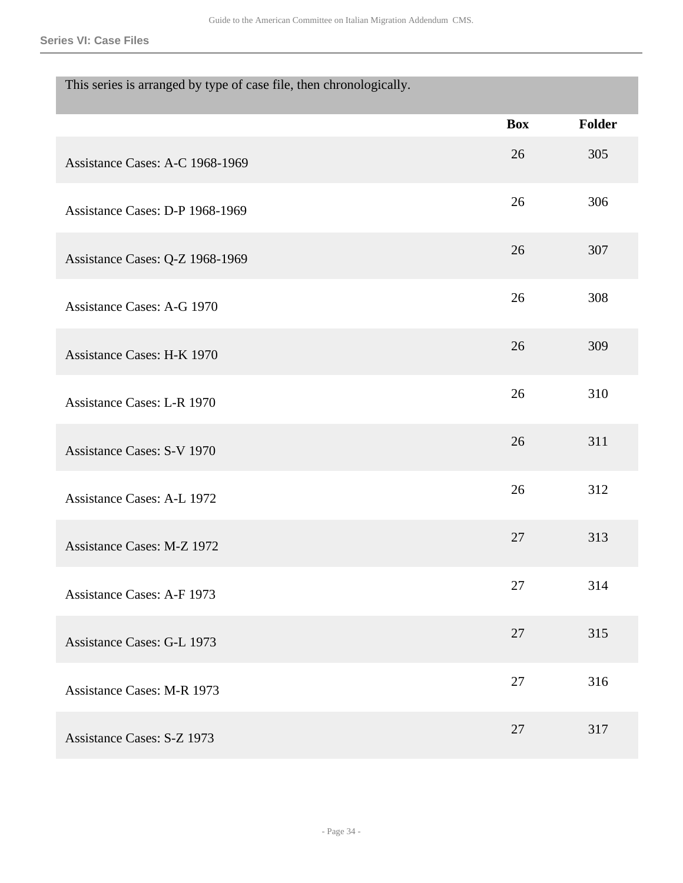**Series VI: Case Files**

| This series is arranged by type of case file, then chronologically. |            |               |
|---------------------------------------------------------------------|------------|---------------|
|                                                                     | <b>Box</b> | <b>Folder</b> |
| Assistance Cases: A-C 1968-1969                                     | 26         | 305           |
| Assistance Cases: D-P 1968-1969                                     | 26         | 306           |
| Assistance Cases: Q-Z 1968-1969                                     | 26         | 307           |
| Assistance Cases: A-G 1970                                          | 26         | 308           |
| <b>Assistance Cases: H-K 1970</b>                                   | 26         | 309           |
| <b>Assistance Cases: L-R 1970</b>                                   | 26         | 310           |
| <b>Assistance Cases: S-V 1970</b>                                   | 26         | 311           |
| <b>Assistance Cases: A-L 1972</b>                                   | 26         | 312           |
| <b>Assistance Cases: M-Z 1972</b>                                   | 27         | 313           |
| <b>Assistance Cases: A-F 1973</b>                                   | 27         | 314           |
| <b>Assistance Cases: G-L 1973</b>                                   | 27         | 315           |
| <b>Assistance Cases: M-R 1973</b>                                   | 27         | 316           |
| <b>Assistance Cases: S-Z 1973</b>                                   | 27         | 317           |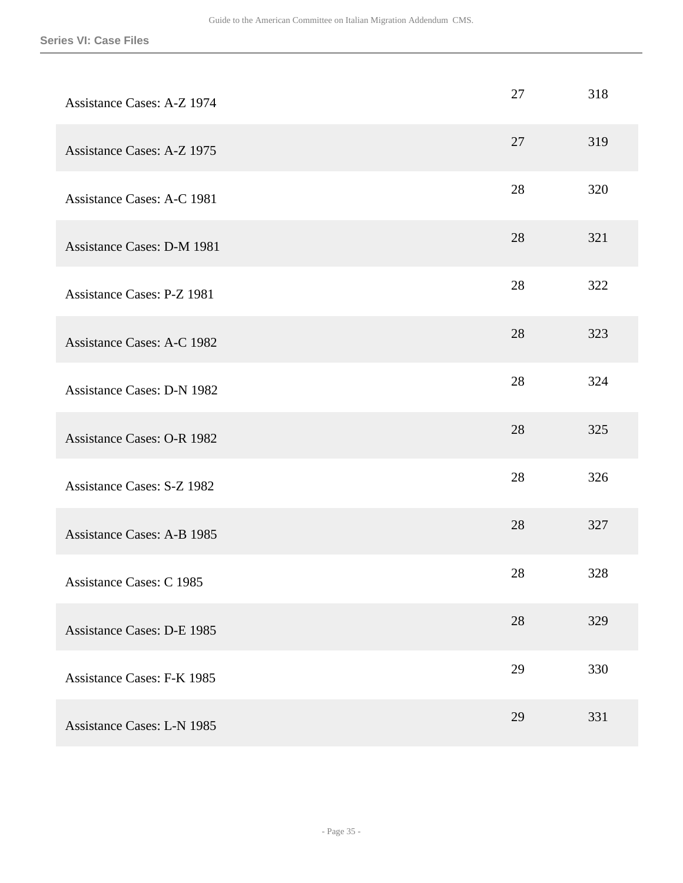| <b>Assistance Cases: A-Z 1974</b> | 27 | 318 |
|-----------------------------------|----|-----|
| <b>Assistance Cases: A-Z 1975</b> | 27 | 319 |
| <b>Assistance Cases: A-C 1981</b> | 28 | 320 |
| <b>Assistance Cases: D-M 1981</b> | 28 | 321 |
| Assistance Cases: P-Z 1981        | 28 | 322 |
| <b>Assistance Cases: A-C 1982</b> | 28 | 323 |
| <b>Assistance Cases: D-N 1982</b> | 28 | 324 |
| <b>Assistance Cases: O-R 1982</b> | 28 | 325 |
| <b>Assistance Cases: S-Z 1982</b> | 28 | 326 |
| <b>Assistance Cases: A-B 1985</b> | 28 | 327 |
| Assistance Cases: C 1985          | 28 | 328 |
| <b>Assistance Cases: D-E 1985</b> | 28 | 329 |
| <b>Assistance Cases: F-K 1985</b> | 29 | 330 |
| <b>Assistance Cases: L-N 1985</b> | 29 | 331 |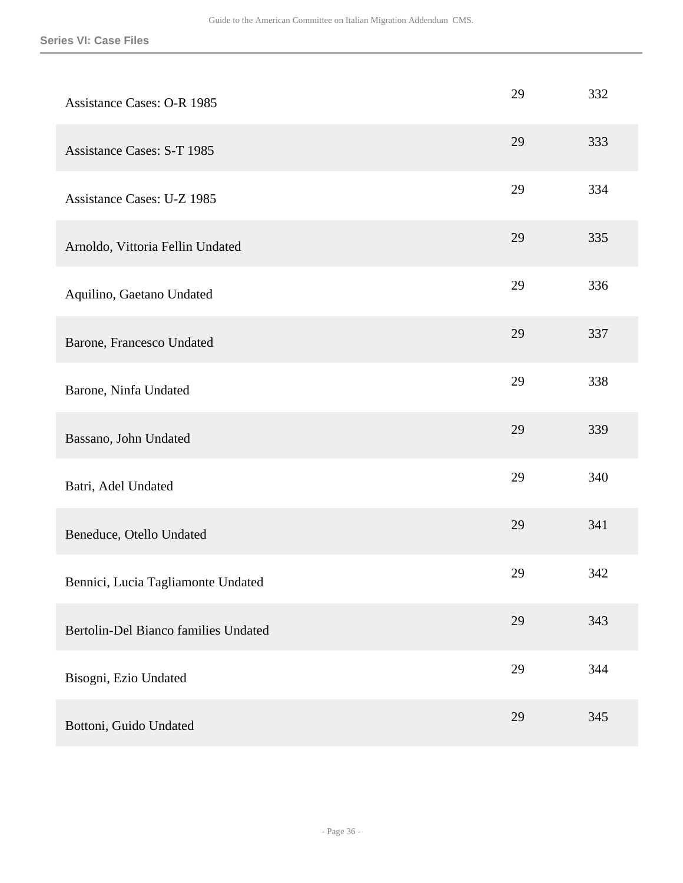| <b>Assistance Cases: O-R 1985</b>    | 29 | 332 |
|--------------------------------------|----|-----|
| <b>Assistance Cases: S-T 1985</b>    | 29 | 333 |
| Assistance Cases: U-Z 1985           | 29 | 334 |
| Arnoldo, Vittoria Fellin Undated     | 29 | 335 |
| Aquilino, Gaetano Undated            | 29 | 336 |
| Barone, Francesco Undated            | 29 | 337 |
| Barone, Ninfa Undated                | 29 | 338 |
| Bassano, John Undated                | 29 | 339 |
| Batri, Adel Undated                  | 29 | 340 |
| Beneduce, Otello Undated             | 29 | 341 |
| Bennici, Lucia Tagliamonte Undated   | 29 | 342 |
| Bertolin-Del Bianco families Undated | 29 | 343 |
| Bisogni, Ezio Undated                | 29 | 344 |
| Bottoni, Guido Undated               | 29 | 345 |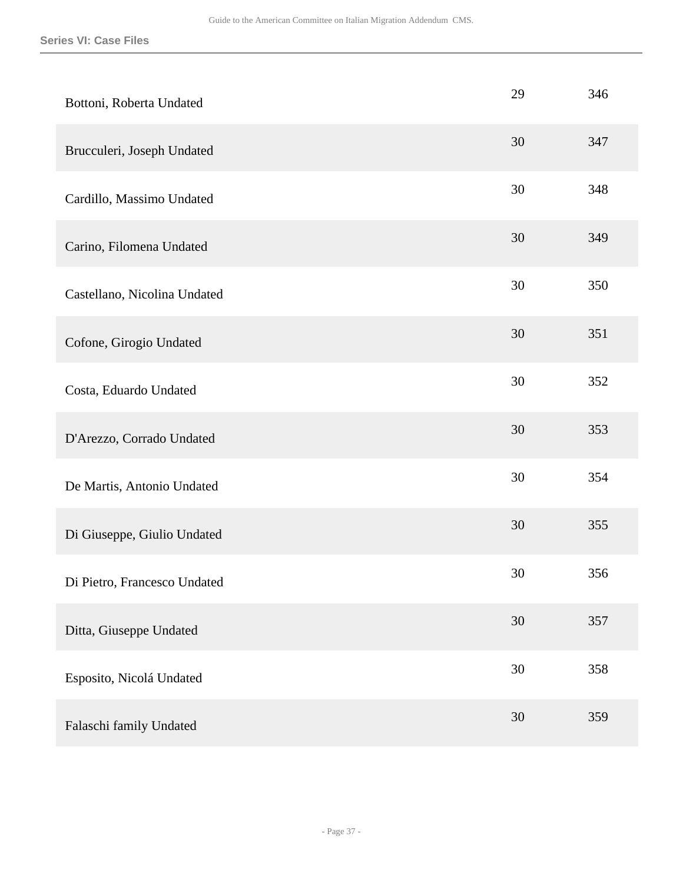| Bottoni, Roberta Undated     | 29     | 346 |
|------------------------------|--------|-----|
| Brucculeri, Joseph Undated   | 30     | 347 |
| Cardillo, Massimo Undated    | 30     | 348 |
| Carino, Filomena Undated     | 30     | 349 |
| Castellano, Nicolina Undated | 30     | 350 |
| Cofone, Girogio Undated      | 30     | 351 |
| Costa, Eduardo Undated       | 30     | 352 |
| D'Arezzo, Corrado Undated    | 30     | 353 |
| De Martis, Antonio Undated   | 30     | 354 |
| Di Giuseppe, Giulio Undated  | 30     | 355 |
| Di Pietro, Francesco Undated | 30     | 356 |
| Ditta, Giuseppe Undated      | $30\,$ | 357 |
| Esposito, Nicolá Undated     | 30     | 358 |
| Falaschi family Undated      | 30     | 359 |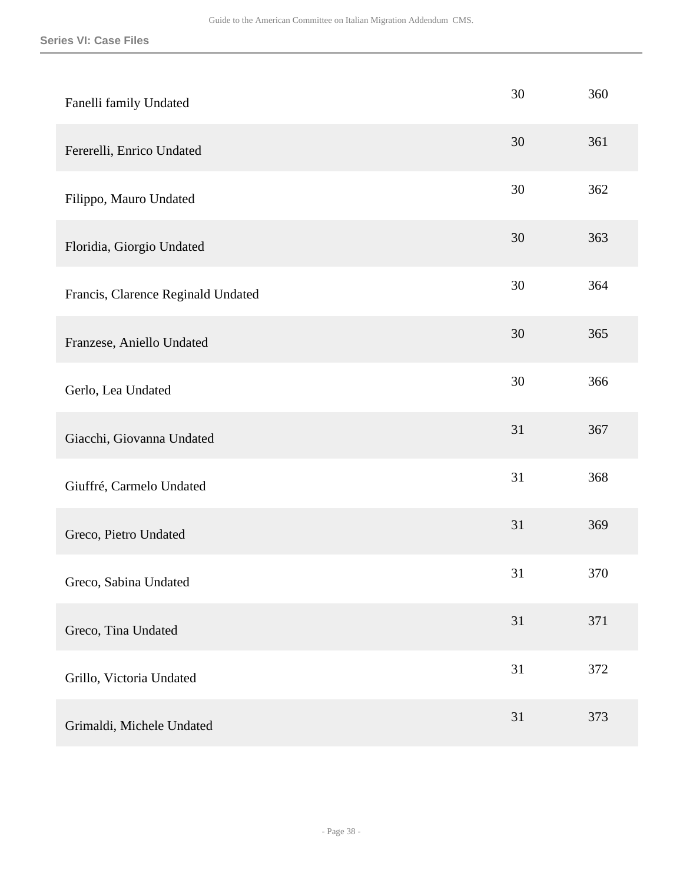| Fanelli family Undated             | 30 | 360 |
|------------------------------------|----|-----|
| Fererelli, Enrico Undated          | 30 | 361 |
| Filippo, Mauro Undated             | 30 | 362 |
| Floridia, Giorgio Undated          | 30 | 363 |
| Francis, Clarence Reginald Undated | 30 | 364 |
| Franzese, Aniello Undated          | 30 | 365 |
| Gerlo, Lea Undated                 | 30 | 366 |
| Giacchi, Giovanna Undated          | 31 | 367 |
| Giuffré, Carmelo Undated           | 31 | 368 |
| Greco, Pietro Undated              | 31 | 369 |
| Greco, Sabina Undated              | 31 | 370 |
| Greco, Tina Undated                | 31 | 371 |
| Grillo, Victoria Undated           | 31 | 372 |
| Grimaldi, Michele Undated          | 31 | 373 |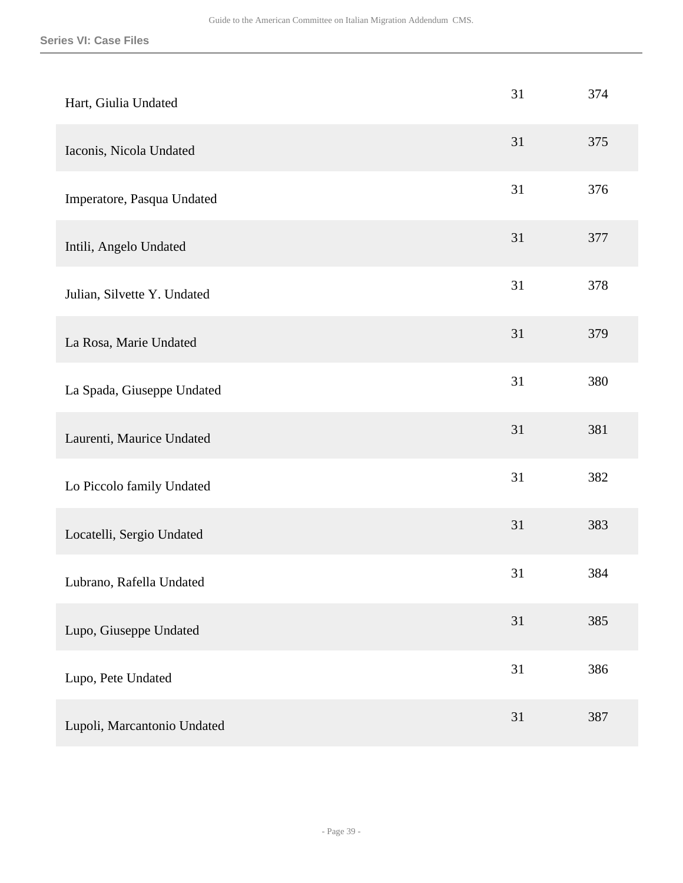| Hart, Giulia Undated        | 31 | 374 |
|-----------------------------|----|-----|
| Iaconis, Nicola Undated     | 31 | 375 |
| Imperatore, Pasqua Undated  | 31 | 376 |
| Intili, Angelo Undated      | 31 | 377 |
| Julian, Silvette Y. Undated | 31 | 378 |
| La Rosa, Marie Undated      | 31 | 379 |
| La Spada, Giuseppe Undated  | 31 | 380 |
| Laurenti, Maurice Undated   | 31 | 381 |
| Lo Piccolo family Undated   | 31 | 382 |
| Locatelli, Sergio Undated   | 31 | 383 |
| Lubrano, Rafella Undated    | 31 | 384 |
| Lupo, Giuseppe Undated      | 31 | 385 |
| Lupo, Pete Undated          | 31 | 386 |
| Lupoli, Marcantonio Undated | 31 | 387 |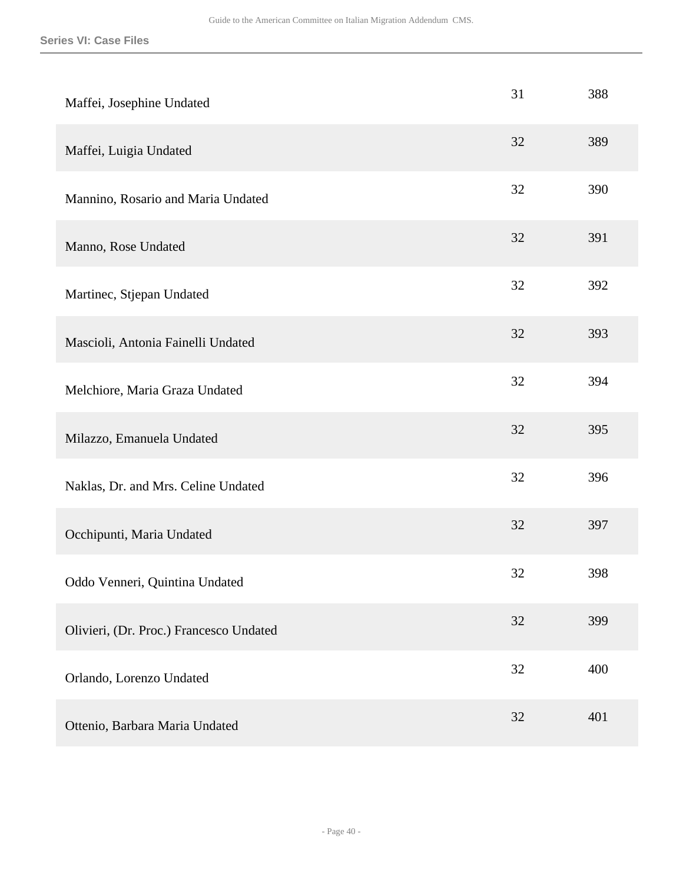| Maffei, Josephine Undated               | 31 | 388 |
|-----------------------------------------|----|-----|
| Maffei, Luigia Undated                  | 32 | 389 |
| Mannino, Rosario and Maria Undated      | 32 | 390 |
| Manno, Rose Undated                     | 32 | 391 |
| Martinec, Stjepan Undated               | 32 | 392 |
| Mascioli, Antonia Fainelli Undated      | 32 | 393 |
| Melchiore, Maria Graza Undated          | 32 | 394 |
| Milazzo, Emanuela Undated               | 32 | 395 |
| Naklas, Dr. and Mrs. Celine Undated     | 32 | 396 |
| Occhipunti, Maria Undated               | 32 | 397 |
| Oddo Venneri, Quintina Undated          | 32 | 398 |
| Olivieri, (Dr. Proc.) Francesco Undated | 32 | 399 |
| Orlando, Lorenzo Undated                | 32 | 400 |
| Ottenio, Barbara Maria Undated          | 32 | 401 |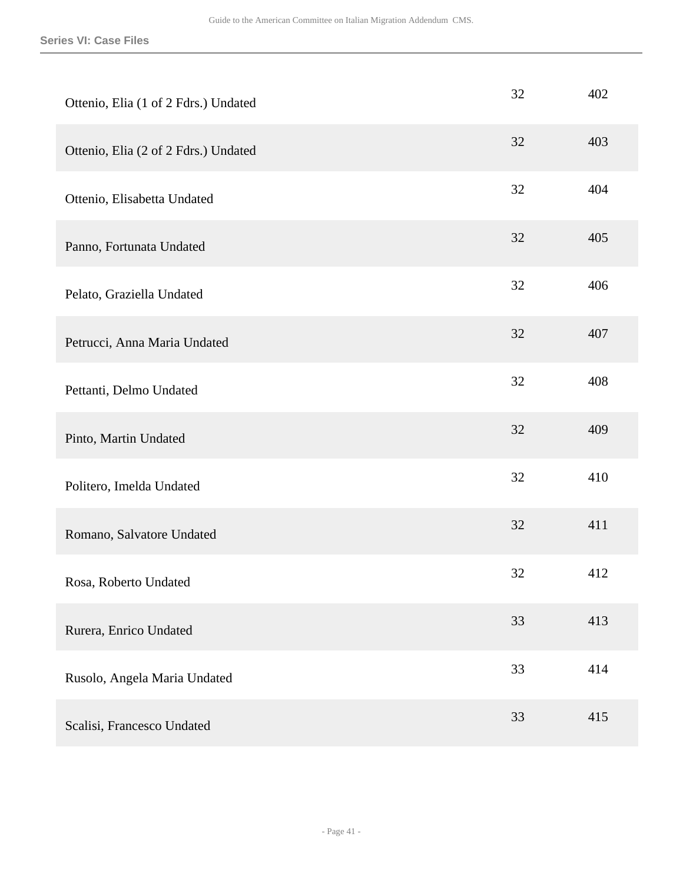| Ottenio, Elia (1 of 2 Fdrs.) Undated | 32 | 402 |
|--------------------------------------|----|-----|
| Ottenio, Elia (2 of 2 Fdrs.) Undated | 32 | 403 |
| Ottenio, Elisabetta Undated          | 32 | 404 |
| Panno, Fortunata Undated             | 32 | 405 |
| Pelato, Graziella Undated            | 32 | 406 |
| Petrucci, Anna Maria Undated         | 32 | 407 |
| Pettanti, Delmo Undated              | 32 | 408 |
| Pinto, Martin Undated                | 32 | 409 |
| Politero, Imelda Undated             | 32 | 410 |
| Romano, Salvatore Undated            | 32 | 411 |
| Rosa, Roberto Undated                | 32 | 412 |
| Rurera, Enrico Undated               | 33 | 413 |
| Rusolo, Angela Maria Undated         | 33 | 414 |
| Scalisi, Francesco Undated           | 33 | 415 |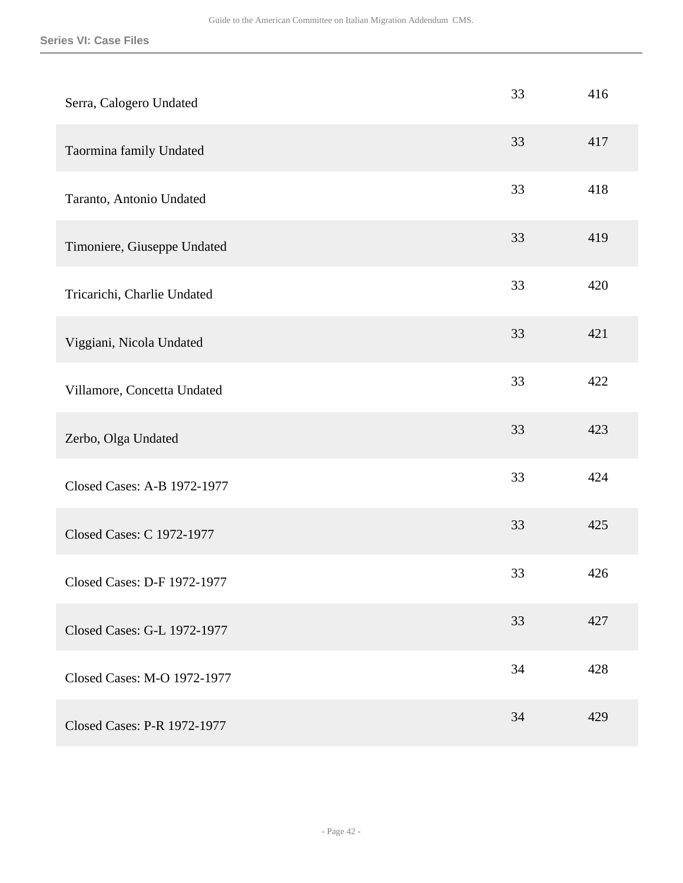| Serra, Calogero Undated     | 33 | 416 |
|-----------------------------|----|-----|
| Taormina family Undated     | 33 | 417 |
| Taranto, Antonio Undated    | 33 | 418 |
| Timoniere, Giuseppe Undated | 33 | 419 |
| Tricarichi, Charlie Undated | 33 | 420 |
| Viggiani, Nicola Undated    | 33 | 421 |
| Villamore, Concetta Undated | 33 | 422 |
| Zerbo, Olga Undated         | 33 | 423 |
| Closed Cases: A-B 1972-1977 | 33 | 424 |
| Closed Cases: C 1972-1977   | 33 | 425 |
| Closed Cases: D-F 1972-1977 | 33 | 426 |
| Closed Cases: G-L 1972-1977 | 33 | 427 |
| Closed Cases: M-O 1972-1977 | 34 | 428 |
| Closed Cases: P-R 1972-1977 | 34 | 429 |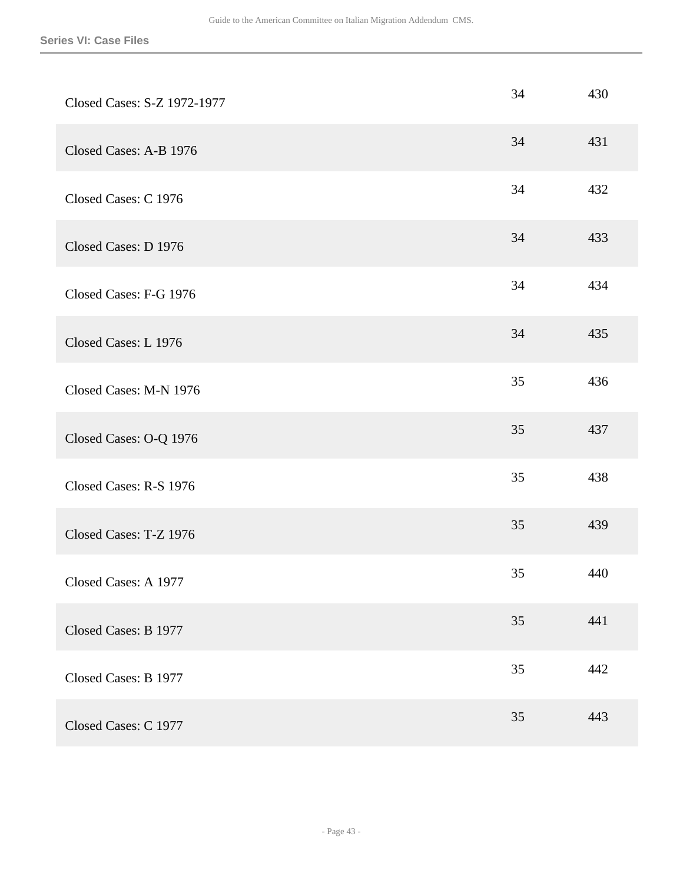| Closed Cases: S-Z 1972-1977 | 34 | 430 |
|-----------------------------|----|-----|
| Closed Cases: A-B 1976      | 34 | 431 |
| Closed Cases: C 1976        | 34 | 432 |
| Closed Cases: D 1976        | 34 | 433 |
| Closed Cases: F-G 1976      | 34 | 434 |
| Closed Cases: L 1976        | 34 | 435 |
| Closed Cases: M-N 1976      | 35 | 436 |
| Closed Cases: O-Q 1976      | 35 | 437 |
| Closed Cases: R-S 1976      | 35 | 438 |
| Closed Cases: T-Z 1976      | 35 | 439 |
| Closed Cases: A 1977        | 35 | 440 |
| Closed Cases: B 1977        | 35 | 441 |
| Closed Cases: B 1977        | 35 | 442 |
| Closed Cases: C 1977        | 35 | 443 |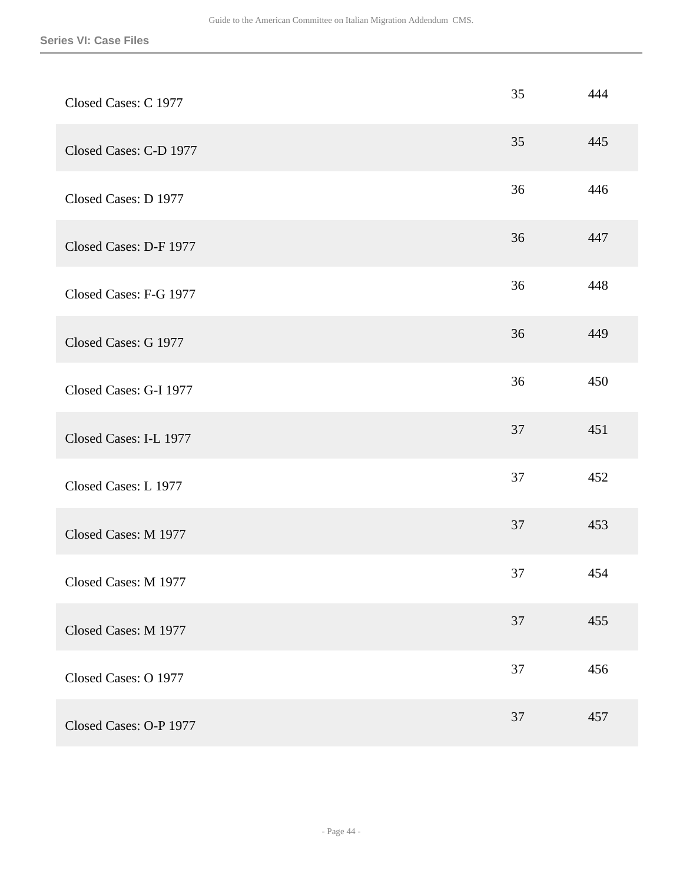| Closed Cases: C 1977   | 35 | 444 |
|------------------------|----|-----|
| Closed Cases: C-D 1977 | 35 | 445 |
| Closed Cases: D 1977   | 36 | 446 |
| Closed Cases: D-F 1977 | 36 | 447 |
| Closed Cases: F-G 1977 | 36 | 448 |
| Closed Cases: G 1977   | 36 | 449 |
| Closed Cases: G-I 1977 | 36 | 450 |
| Closed Cases: I-L 1977 | 37 | 451 |
| Closed Cases: L 1977   | 37 | 452 |
| Closed Cases: M 1977   | 37 | 453 |
| Closed Cases: M 1977   | 37 | 454 |
| Closed Cases: M 1977   | 37 | 455 |
| Closed Cases: O 1977   | 37 | 456 |
| Closed Cases: O-P 1977 | 37 | 457 |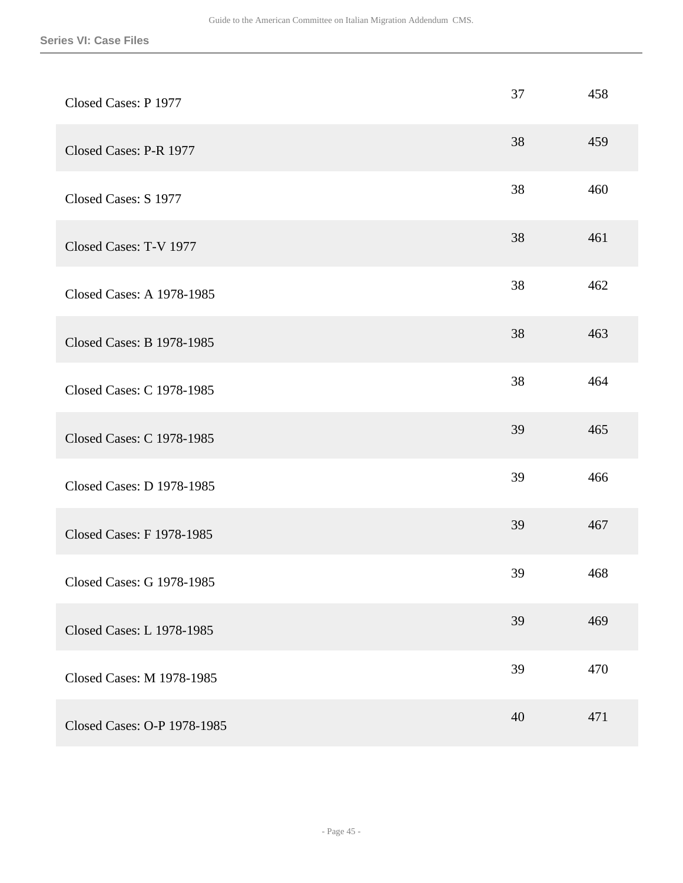| Closed Cases: P 1977             | 37 | 458 |
|----------------------------------|----|-----|
| Closed Cases: P-R 1977           | 38 | 459 |
| Closed Cases: S 1977             | 38 | 460 |
| Closed Cases: T-V 1977           | 38 | 461 |
| Closed Cases: A 1978-1985        | 38 | 462 |
| Closed Cases: B 1978-1985        | 38 | 463 |
| Closed Cases: C 1978-1985        | 38 | 464 |
| Closed Cases: C 1978-1985        | 39 | 465 |
| Closed Cases: D 1978-1985        | 39 | 466 |
| Closed Cases: F 1978-1985        | 39 | 467 |
| Closed Cases: G 1978-1985        | 39 | 468 |
| <b>Closed Cases: L 1978-1985</b> | 39 | 469 |
| Closed Cases: M 1978-1985        | 39 | 470 |
| Closed Cases: O-P 1978-1985      | 40 | 471 |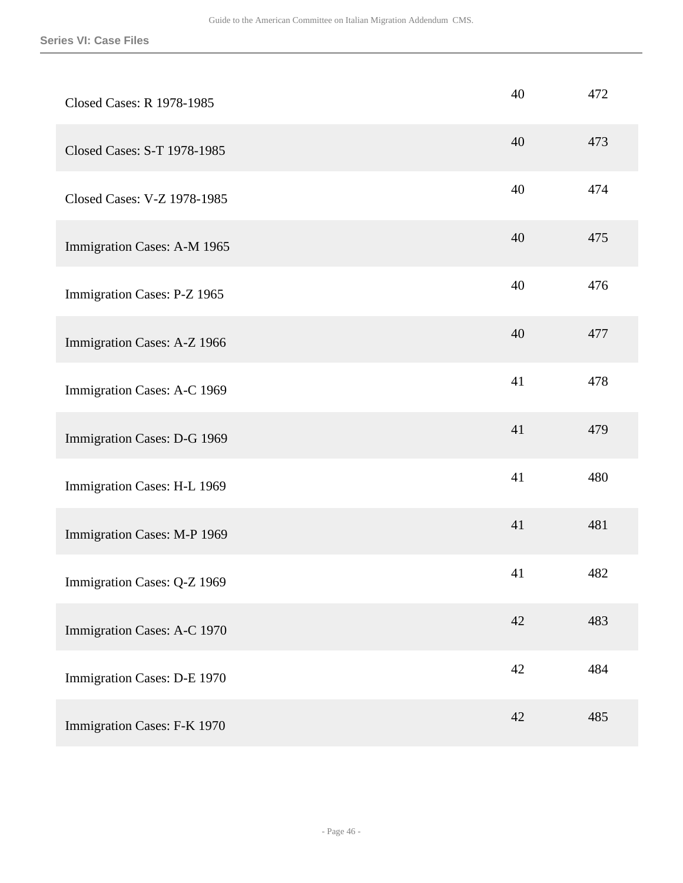| Closed Cases: R 1978-1985   | 40 | 472 |
|-----------------------------|----|-----|
| Closed Cases: S-T 1978-1985 | 40 | 473 |
| Closed Cases: V-Z 1978-1985 | 40 | 474 |
| Immigration Cases: A-M 1965 | 40 | 475 |
| Immigration Cases: P-Z 1965 | 40 | 476 |
| Immigration Cases: A-Z 1966 | 40 | 477 |
| Immigration Cases: A-C 1969 | 41 | 478 |
| Immigration Cases: D-G 1969 | 41 | 479 |
| Immigration Cases: H-L 1969 | 41 | 480 |
| Immigration Cases: M-P 1969 | 41 | 481 |
| Immigration Cases: Q-Z 1969 | 41 | 482 |
| Immigration Cases: A-C 1970 | 42 | 483 |
| Immigration Cases: D-E 1970 | 42 | 484 |
| Immigration Cases: F-K 1970 | 42 | 485 |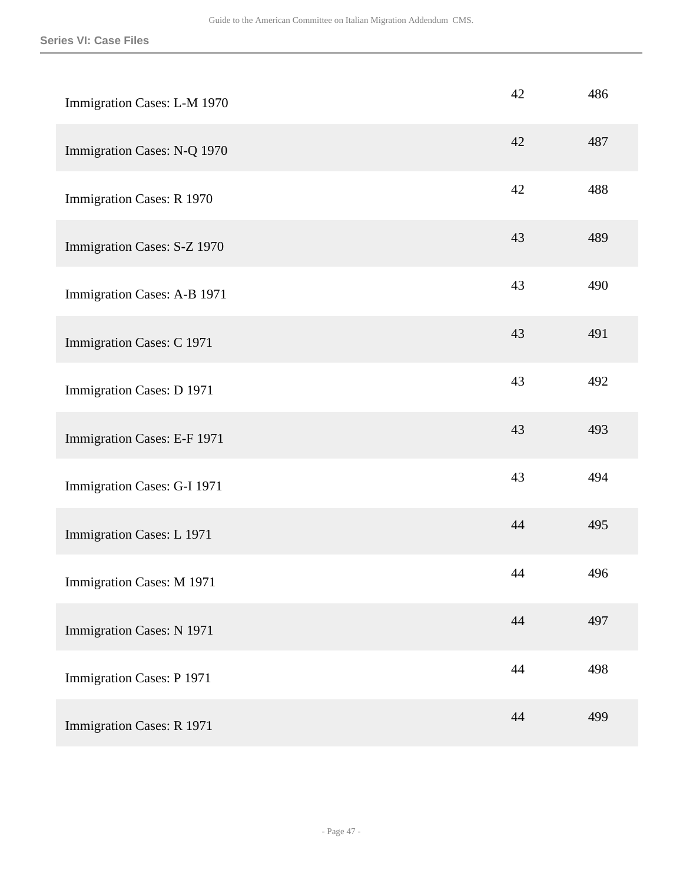| Immigration Cases: L-M 1970 | 42 | 486 |
|-----------------------------|----|-----|
| Immigration Cases: N-Q 1970 | 42 | 487 |
| Immigration Cases: R 1970   | 42 | 488 |
| Immigration Cases: S-Z 1970 | 43 | 489 |
| Immigration Cases: A-B 1971 | 43 | 490 |
| Immigration Cases: C 1971   | 43 | 491 |
| Immigration Cases: D 1971   | 43 | 492 |
| Immigration Cases: E-F 1971 | 43 | 493 |
| Immigration Cases: G-I 1971 | 43 | 494 |
| Immigration Cases: L 1971   | 44 | 495 |
| Immigration Cases: M 1971   | 44 | 496 |
| Immigration Cases: N 1971   | 44 | 497 |
| Immigration Cases: P 1971   | 44 | 498 |
| Immigration Cases: R 1971   | 44 | 499 |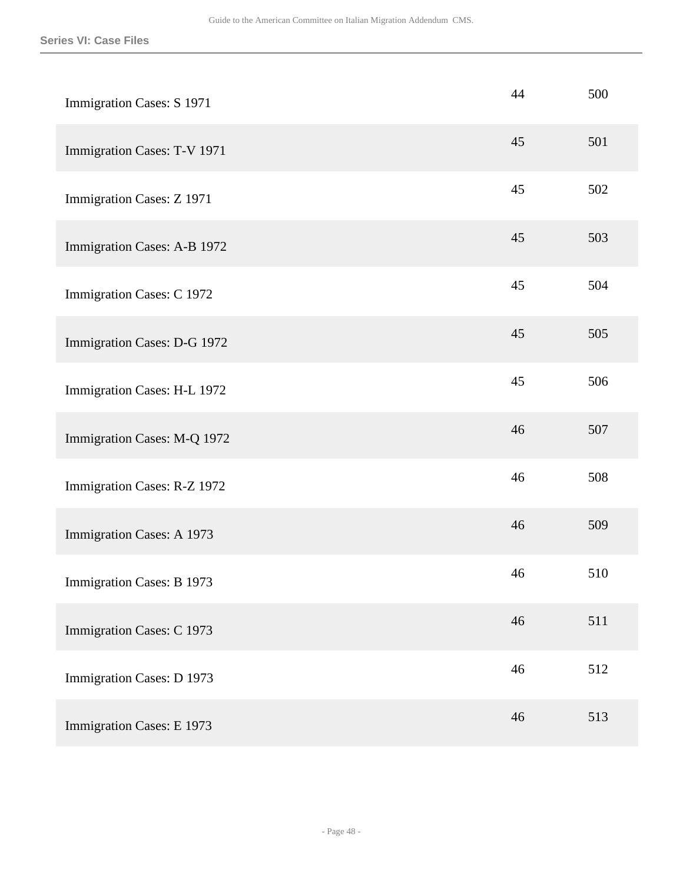| Immigration Cases: S 1971   | 44 | 500 |
|-----------------------------|----|-----|
| Immigration Cases: T-V 1971 | 45 | 501 |
| Immigration Cases: Z 1971   | 45 | 502 |
| Immigration Cases: A-B 1972 | 45 | 503 |
| Immigration Cases: C 1972   | 45 | 504 |
| Immigration Cases: D-G 1972 | 45 | 505 |
| Immigration Cases: H-L 1972 | 45 | 506 |
| Immigration Cases: M-Q 1972 | 46 | 507 |
| Immigration Cases: R-Z 1972 | 46 | 508 |
| Immigration Cases: A 1973   | 46 | 509 |
| Immigration Cases: B 1973   | 46 | 510 |
| Immigration Cases: C 1973   | 46 | 511 |
| Immigration Cases: D 1973   | 46 | 512 |
| Immigration Cases: E 1973   | 46 | 513 |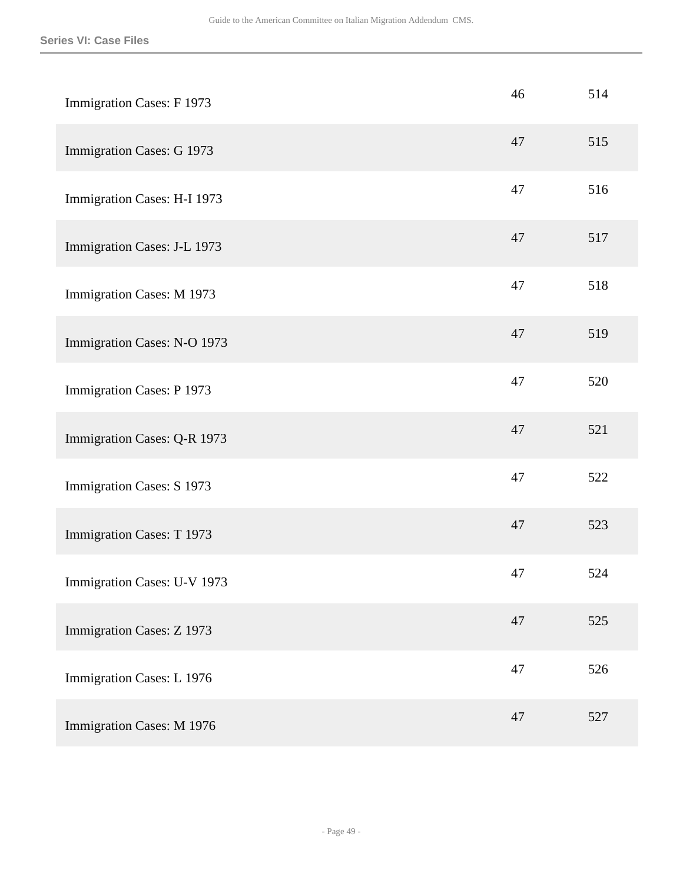| Immigration Cases: F 1973   | 46 | 514 |
|-----------------------------|----|-----|
| Immigration Cases: G 1973   | 47 | 515 |
| Immigration Cases: H-I 1973 | 47 | 516 |
| Immigration Cases: J-L 1973 | 47 | 517 |
| Immigration Cases: M 1973   | 47 | 518 |
| Immigration Cases: N-O 1973 | 47 | 519 |
| Immigration Cases: P 1973   | 47 | 520 |
| Immigration Cases: Q-R 1973 | 47 | 521 |
| Immigration Cases: S 1973   | 47 | 522 |
| Immigration Cases: T 1973   | 47 | 523 |
| Immigration Cases: U-V 1973 | 47 | 524 |
| Immigration Cases: Z 1973   | 47 | 525 |
| Immigration Cases: L 1976   | 47 | 526 |
| Immigration Cases: M 1976   | 47 | 527 |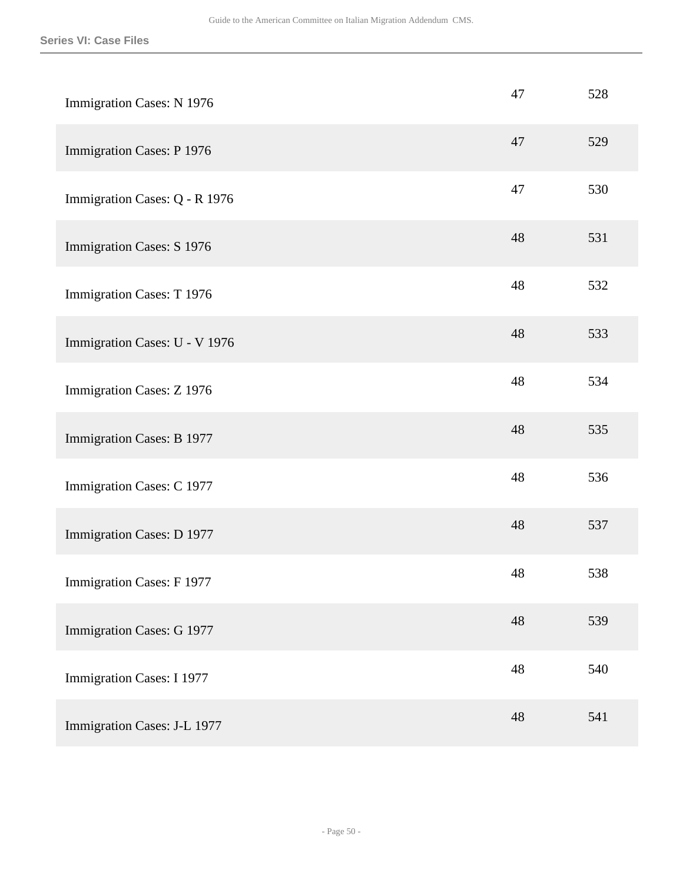| Immigration Cases: N 1976        | 47 | 528 |
|----------------------------------|----|-----|
| Immigration Cases: P 1976        | 47 | 529 |
| Immigration Cases: Q - R 1976    | 47 | 530 |
| Immigration Cases: S 1976        | 48 | 531 |
| Immigration Cases: T 1976        | 48 | 532 |
| Immigration Cases: U - V 1976    | 48 | 533 |
| Immigration Cases: Z 1976        | 48 | 534 |
| Immigration Cases: B 1977        | 48 | 535 |
| Immigration Cases: C 1977        | 48 | 536 |
| Immigration Cases: D 1977        | 48 | 537 |
| Immigration Cases: F 1977        | 48 | 538 |
| Immigration Cases: G 1977        | 48 | 539 |
| <b>Immigration Cases: I 1977</b> | 48 | 540 |
| Immigration Cases: J-L 1977      | 48 | 541 |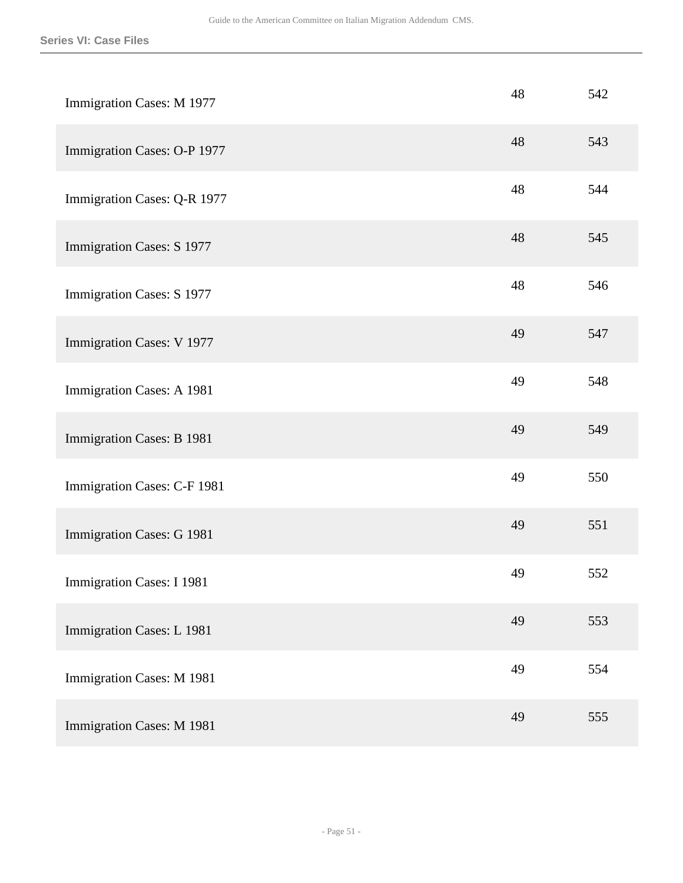| Immigration Cases: M 1977        | 48 | 542 |
|----------------------------------|----|-----|
| Immigration Cases: O-P 1977      | 48 | 543 |
| Immigration Cases: Q-R 1977      | 48 | 544 |
| Immigration Cases: S 1977        | 48 | 545 |
| Immigration Cases: S 1977        | 48 | 546 |
| Immigration Cases: V 1977        | 49 | 547 |
| Immigration Cases: A 1981        | 49 | 548 |
| Immigration Cases: B 1981        | 49 | 549 |
| Immigration Cases: C-F 1981      | 49 | 550 |
| Immigration Cases: G 1981        | 49 | 551 |
| <b>Immigration Cases: I 1981</b> | 49 | 552 |
| Immigration Cases: L 1981        | 49 | 553 |
| Immigration Cases: M 1981        | 49 | 554 |
| Immigration Cases: M 1981        | 49 | 555 |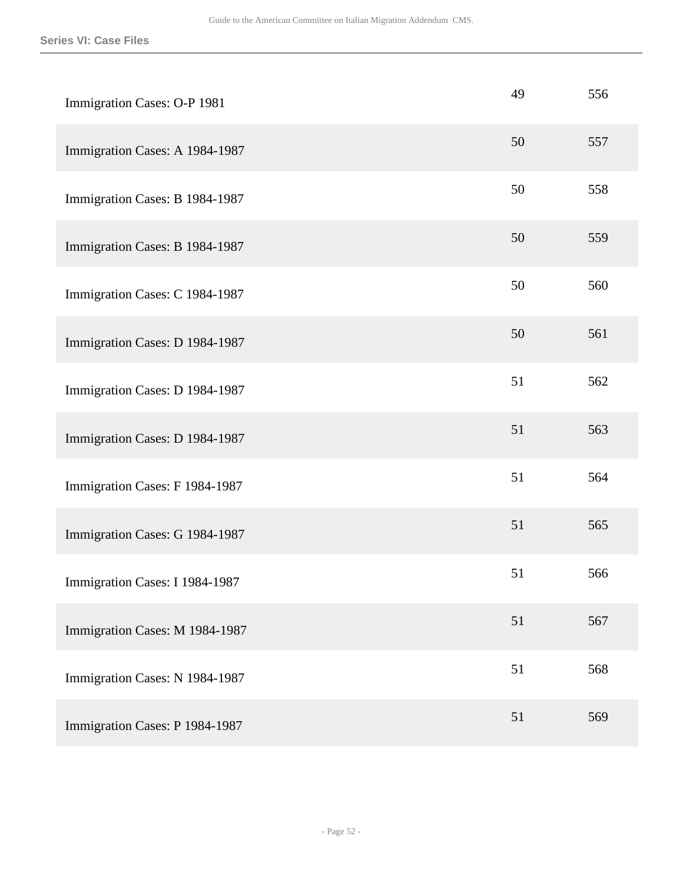| Immigration Cases: O-P 1981    | 49 | 556 |
|--------------------------------|----|-----|
| Immigration Cases: A 1984-1987 | 50 | 557 |
| Immigration Cases: B 1984-1987 | 50 | 558 |
| Immigration Cases: B 1984-1987 | 50 | 559 |
| Immigration Cases: C 1984-1987 | 50 | 560 |
| Immigration Cases: D 1984-1987 | 50 | 561 |
| Immigration Cases: D 1984-1987 | 51 | 562 |
| Immigration Cases: D 1984-1987 | 51 | 563 |
| Immigration Cases: F 1984-1987 | 51 | 564 |
| Immigration Cases: G 1984-1987 | 51 | 565 |
| Immigration Cases: I 1984-1987 | 51 | 566 |
| Immigration Cases: M 1984-1987 | 51 | 567 |
| Immigration Cases: N 1984-1987 | 51 | 568 |
| Immigration Cases: P 1984-1987 | 51 | 569 |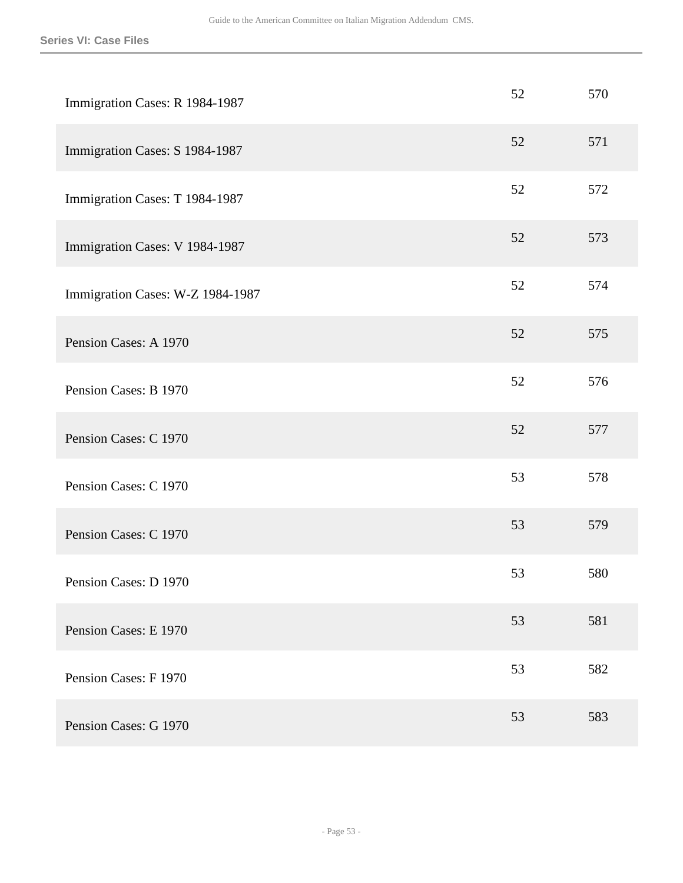| Immigration Cases: R 1984-1987   | 52 | 570 |
|----------------------------------|----|-----|
| Immigration Cases: S 1984-1987   | 52 | 571 |
| Immigration Cases: T 1984-1987   | 52 | 572 |
| Immigration Cases: V 1984-1987   | 52 | 573 |
| Immigration Cases: W-Z 1984-1987 | 52 | 574 |
| Pension Cases: A 1970            | 52 | 575 |
| Pension Cases: B 1970            | 52 | 576 |
| Pension Cases: C 1970            | 52 | 577 |
| Pension Cases: C 1970            | 53 | 578 |
| Pension Cases: C 1970            | 53 | 579 |
| Pension Cases: D 1970            | 53 | 580 |
| Pension Cases: E 1970            | 53 | 581 |
| Pension Cases: F 1970            | 53 | 582 |
| Pension Cases: G 1970            | 53 | 583 |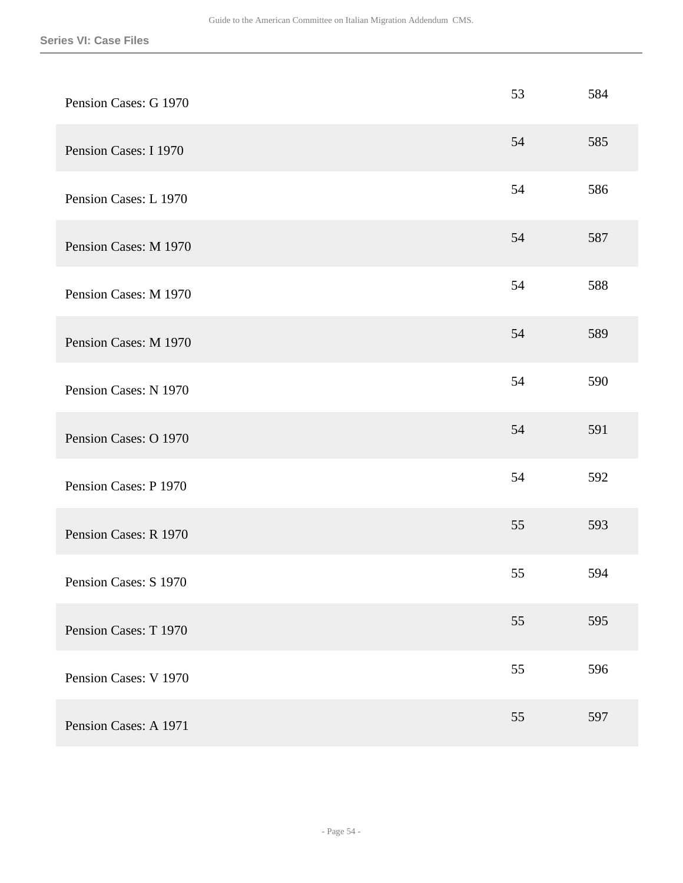| Pension Cases: G 1970 | 53 | 584 |
|-----------------------|----|-----|
| Pension Cases: I 1970 | 54 | 585 |
| Pension Cases: L 1970 | 54 | 586 |
| Pension Cases: M 1970 | 54 | 587 |
| Pension Cases: M 1970 | 54 | 588 |
| Pension Cases: M 1970 | 54 | 589 |
| Pension Cases: N 1970 | 54 | 590 |
| Pension Cases: O 1970 | 54 | 591 |
| Pension Cases: P 1970 | 54 | 592 |
| Pension Cases: R 1970 | 55 | 593 |
| Pension Cases: S 1970 | 55 | 594 |
| Pension Cases: T 1970 | 55 | 595 |
| Pension Cases: V 1970 | 55 | 596 |
| Pension Cases: A 1971 | 55 | 597 |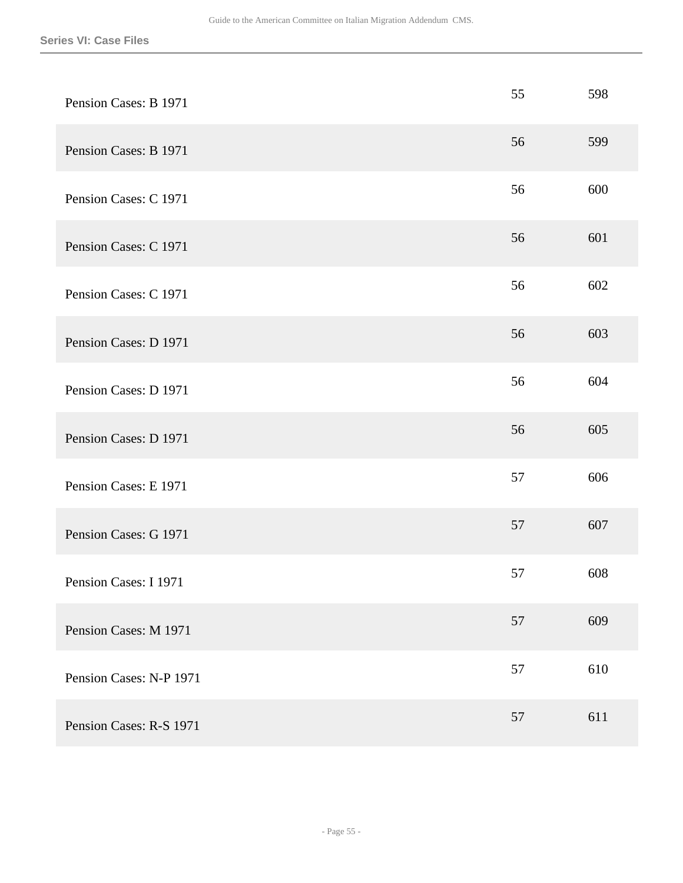| Pension Cases: B 1971   | 55 | 598 |
|-------------------------|----|-----|
| Pension Cases: B 1971   | 56 | 599 |
| Pension Cases: C 1971   | 56 | 600 |
| Pension Cases: C 1971   | 56 | 601 |
| Pension Cases: C 1971   | 56 | 602 |
| Pension Cases: D 1971   | 56 | 603 |
| Pension Cases: D 1971   | 56 | 604 |
| Pension Cases: D 1971   | 56 | 605 |
| Pension Cases: E 1971   | 57 | 606 |
| Pension Cases: G 1971   | 57 | 607 |
| Pension Cases: I 1971   | 57 | 608 |
| Pension Cases: M 1971   | 57 | 609 |
| Pension Cases: N-P 1971 | 57 | 610 |
| Pension Cases: R-S 1971 | 57 | 611 |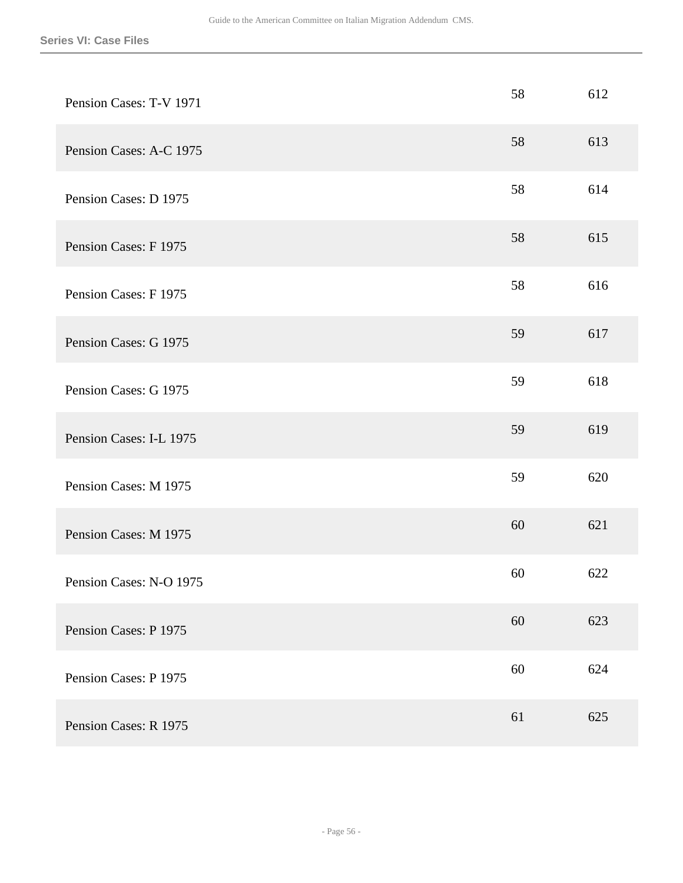| Pension Cases: T-V 1971 | 58 | 612 |
|-------------------------|----|-----|
| Pension Cases: A-C 1975 | 58 | 613 |
| Pension Cases: D 1975   | 58 | 614 |
| Pension Cases: F 1975   | 58 | 615 |
| Pension Cases: F 1975   | 58 | 616 |
| Pension Cases: G 1975   | 59 | 617 |
| Pension Cases: G 1975   | 59 | 618 |
| Pension Cases: I-L 1975 | 59 | 619 |
| Pension Cases: M 1975   | 59 | 620 |
| Pension Cases: M 1975   | 60 | 621 |
| Pension Cases: N-O 1975 | 60 | 622 |
| Pension Cases: P 1975   | 60 | 623 |
| Pension Cases: P 1975   | 60 | 624 |
| Pension Cases: R 1975   | 61 | 625 |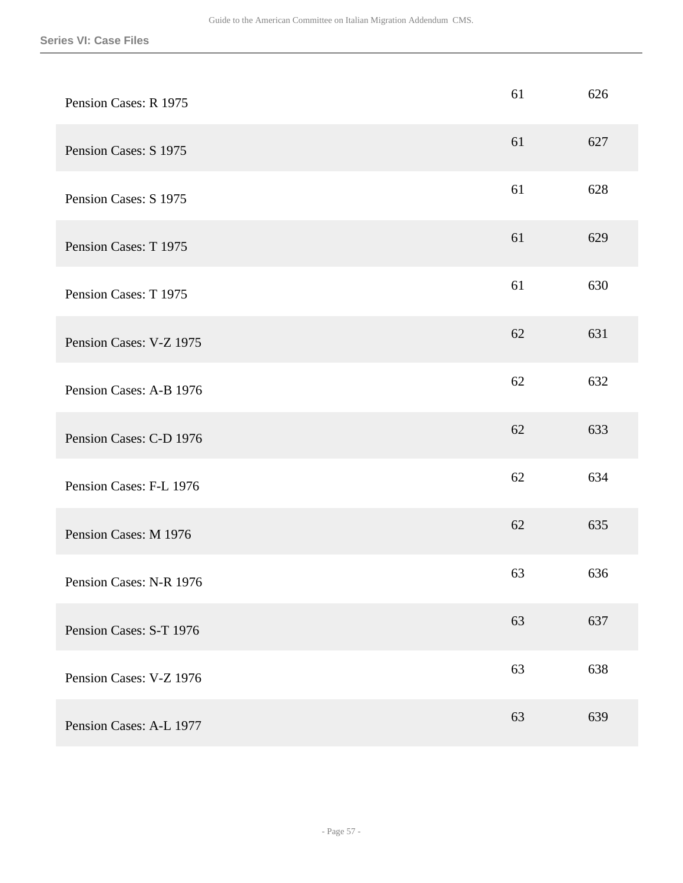| Pension Cases: R 1975   | 61 | 626 |
|-------------------------|----|-----|
| Pension Cases: S 1975   | 61 | 627 |
| Pension Cases: S 1975   | 61 | 628 |
| Pension Cases: T 1975   | 61 | 629 |
| Pension Cases: T 1975   | 61 | 630 |
| Pension Cases: V-Z 1975 | 62 | 631 |
| Pension Cases: A-B 1976 | 62 | 632 |
| Pension Cases: C-D 1976 | 62 | 633 |
| Pension Cases: F-L 1976 | 62 | 634 |
| Pension Cases: M 1976   | 62 | 635 |
| Pension Cases: N-R 1976 | 63 | 636 |
| Pension Cases: S-T 1976 | 63 | 637 |
| Pension Cases: V-Z 1976 | 63 | 638 |
| Pension Cases: A-L 1977 | 63 | 639 |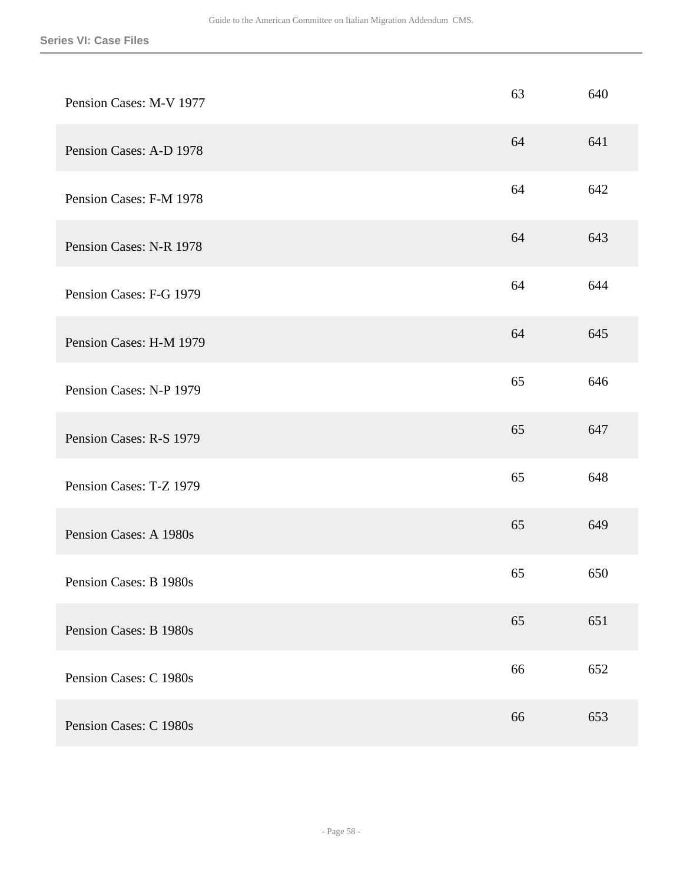| Pension Cases: M-V 1977 | 63 | 640 |
|-------------------------|----|-----|
| Pension Cases: A-D 1978 | 64 | 641 |
| Pension Cases: F-M 1978 | 64 | 642 |
| Pension Cases: N-R 1978 | 64 | 643 |
| Pension Cases: F-G 1979 | 64 | 644 |
| Pension Cases: H-M 1979 | 64 | 645 |
| Pension Cases: N-P 1979 | 65 | 646 |
| Pension Cases: R-S 1979 | 65 | 647 |
| Pension Cases: T-Z 1979 | 65 | 648 |
| Pension Cases: A 1980s  | 65 | 649 |
| Pension Cases: B 1980s  | 65 | 650 |
| Pension Cases: B 1980s  | 65 | 651 |
| Pension Cases: C 1980s  | 66 | 652 |
| Pension Cases: C 1980s  | 66 | 653 |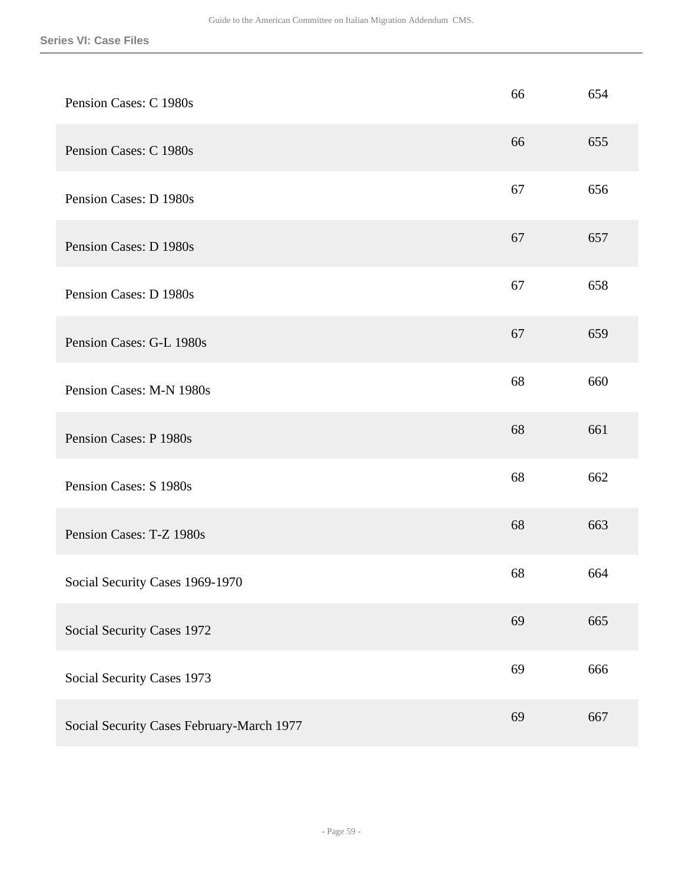| Pension Cases: C 1980s                    | 66 | 654 |
|-------------------------------------------|----|-----|
| Pension Cases: C 1980s                    | 66 | 655 |
| Pension Cases: D 1980s                    | 67 | 656 |
| Pension Cases: D 1980s                    | 67 | 657 |
| Pension Cases: D 1980s                    | 67 | 658 |
| Pension Cases: G-L 1980s                  | 67 | 659 |
| Pension Cases: M-N 1980s                  | 68 | 660 |
| Pension Cases: P 1980s                    | 68 | 661 |
| Pension Cases: S 1980s                    | 68 | 662 |
| Pension Cases: T-Z 1980s                  | 68 | 663 |
| Social Security Cases 1969-1970           | 68 | 664 |
| Social Security Cases 1972                | 69 | 665 |
| Social Security Cases 1973                | 69 | 666 |
| Social Security Cases February-March 1977 | 69 | 667 |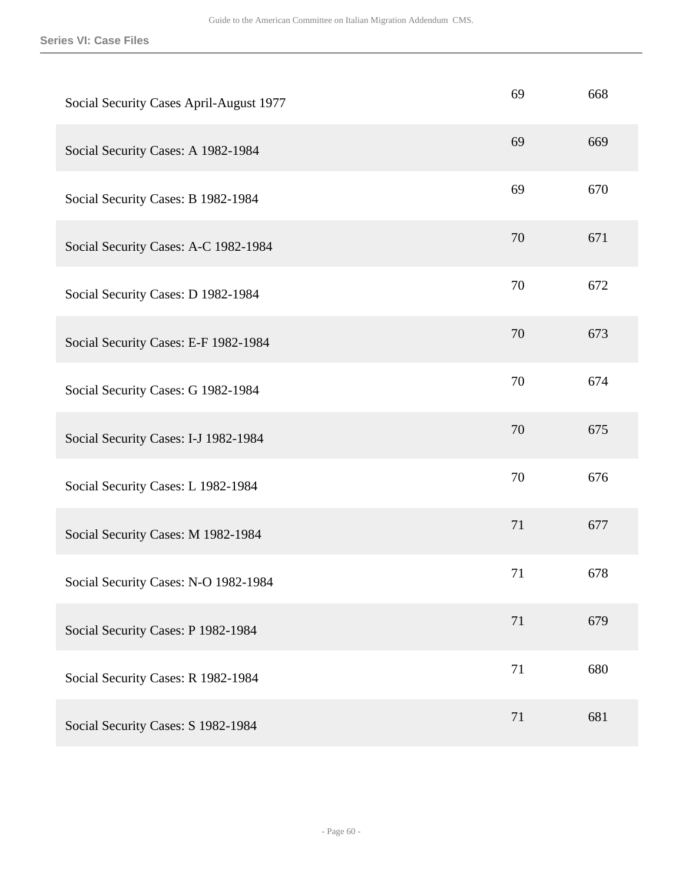| Social Security Cases April-August 1977 | 69 | 668 |
|-----------------------------------------|----|-----|
| Social Security Cases: A 1982-1984      | 69 | 669 |
| Social Security Cases: B 1982-1984      | 69 | 670 |
| Social Security Cases: A-C 1982-1984    | 70 | 671 |
| Social Security Cases: D 1982-1984      | 70 | 672 |
| Social Security Cases: E-F 1982-1984    | 70 | 673 |
| Social Security Cases: G 1982-1984      | 70 | 674 |
| Social Security Cases: I-J 1982-1984    | 70 | 675 |
| Social Security Cases: L 1982-1984      | 70 | 676 |
| Social Security Cases: M 1982-1984      | 71 | 677 |
| Social Security Cases: N-O 1982-1984    | 71 | 678 |
| Social Security Cases: P 1982-1984      | 71 | 679 |
| Social Security Cases: R 1982-1984      | 71 | 680 |
| Social Security Cases: S 1982-1984      | 71 | 681 |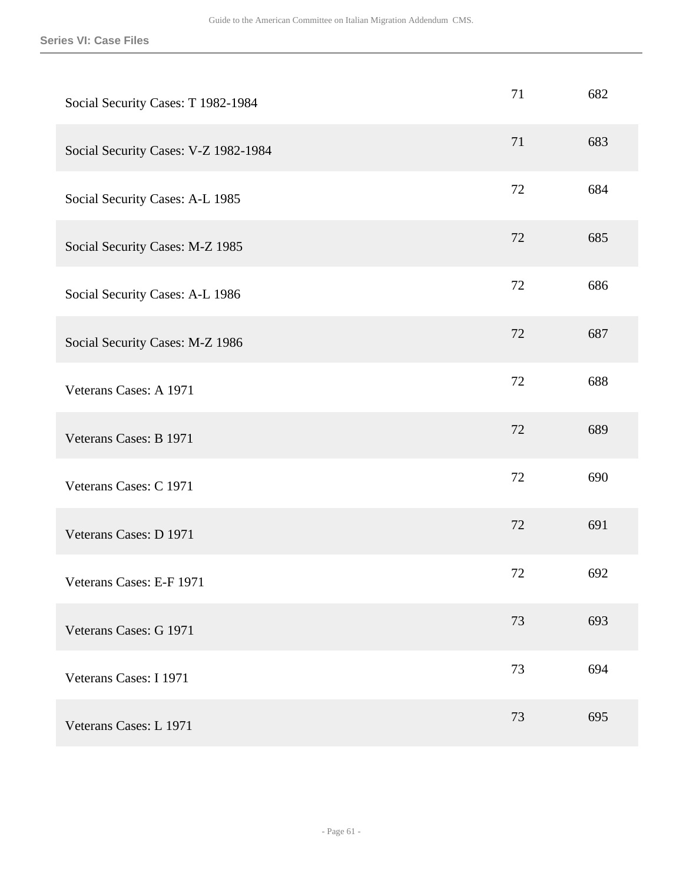| Social Security Cases: T 1982-1984   | 71 | 682 |
|--------------------------------------|----|-----|
| Social Security Cases: V-Z 1982-1984 | 71 | 683 |
| Social Security Cases: A-L 1985      | 72 | 684 |
| Social Security Cases: M-Z 1985      | 72 | 685 |
| Social Security Cases: A-L 1986      | 72 | 686 |
| Social Security Cases: M-Z 1986      | 72 | 687 |
| Veterans Cases: A 1971               | 72 | 688 |
| Veterans Cases: B 1971               | 72 | 689 |
| Veterans Cases: C 1971               | 72 | 690 |
| Veterans Cases: D 1971               | 72 | 691 |
| Veterans Cases: E-F 1971             | 72 | 692 |
| Veterans Cases: G 1971               | 73 | 693 |
| Veterans Cases: I 1971               | 73 | 694 |
| Veterans Cases: L 1971               | 73 | 695 |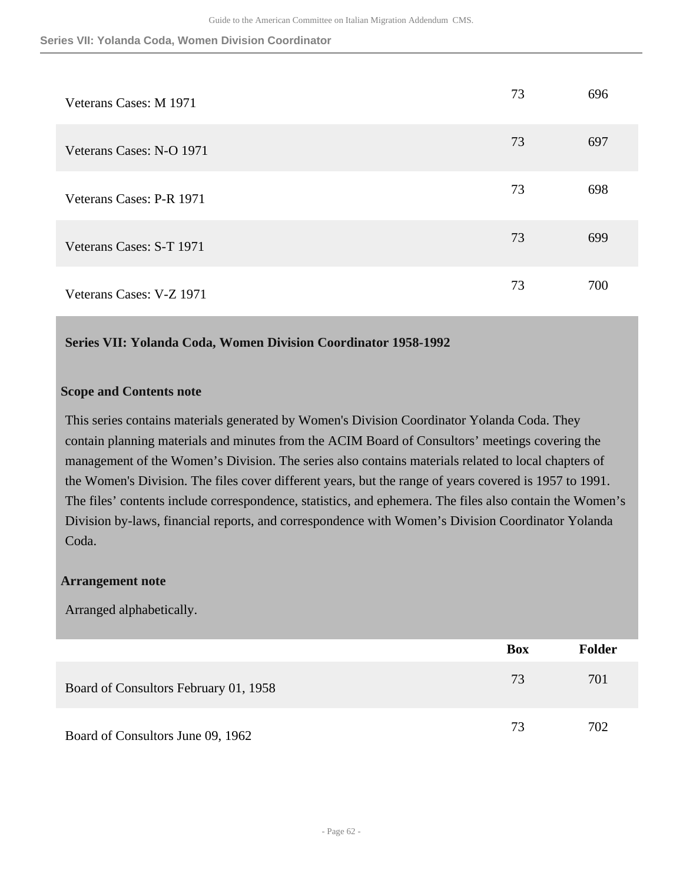| Veterans Cases: M 1971   | 73 | 696 |
|--------------------------|----|-----|
| Veterans Cases: N-O 1971 | 73 | 697 |
| Veterans Cases: P-R 1971 | 73 | 698 |
| Veterans Cases: S-T 1971 | 73 | 699 |
| Veterans Cases: V-Z 1971 | 73 | 700 |

#### **Series VII: Yolanda Coda, Women Division Coordinator 1958-1992**

#### **Scope and Contents note**

This series contains materials generated by Women's Division Coordinator Yolanda Coda. They contain planning materials and minutes from the ACIM Board of Consultors' meetings covering the management of the Women's Division. The series also contains materials related to local chapters of the Women's Division. The files cover different years, but the range of years covered is 1957 to 1991. The files' contents include correspondence, statistics, and ephemera. The files also contain the Women's Division by-laws, financial reports, and correspondence with Women's Division Coordinator Yolanda Coda.

#### **Arrangement note**

Arranged alphabetically.

|                                       | Box | <b>Folder</b> |
|---------------------------------------|-----|---------------|
| Board of Consultors February 01, 1958 | 73  | 701           |
| Board of Consultors June 09, 1962     | 73  | 702           |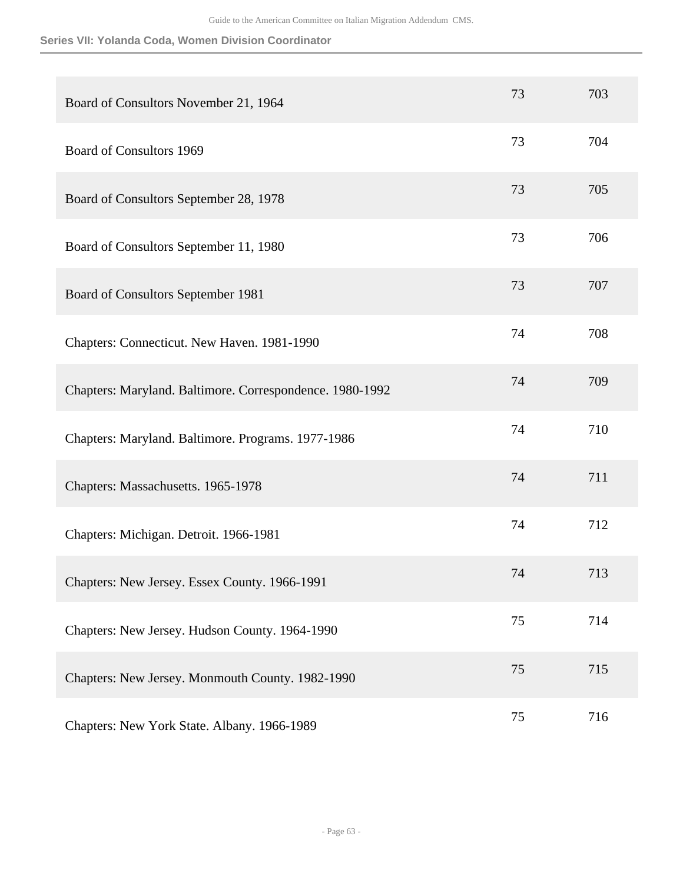# **Series VII: Yolanda Coda, Women Division Coordinator**

| Board of Consultors November 21, 1964                    | 73 | 703 |
|----------------------------------------------------------|----|-----|
| <b>Board of Consultors 1969</b>                          | 73 | 704 |
| Board of Consultors September 28, 1978                   | 73 | 705 |
| Board of Consultors September 11, 1980                   | 73 | 706 |
| Board of Consultors September 1981                       | 73 | 707 |
| Chapters: Connecticut. New Haven. 1981-1990              | 74 | 708 |
| Chapters: Maryland. Baltimore. Correspondence. 1980-1992 | 74 | 709 |
| Chapters: Maryland. Baltimore. Programs. 1977-1986       | 74 | 710 |
| Chapters: Massachusetts. 1965-1978                       | 74 | 711 |
| Chapters: Michigan. Detroit. 1966-1981                   | 74 | 712 |
| Chapters: New Jersey. Essex County. 1966-1991            | 74 | 713 |
| Chapters: New Jersey. Hudson County. 1964-1990           | 75 | 714 |
| Chapters: New Jersey. Monmouth County. 1982-1990         | 75 | 715 |
| Chapters: New York State. Albany. 1966-1989              | 75 | 716 |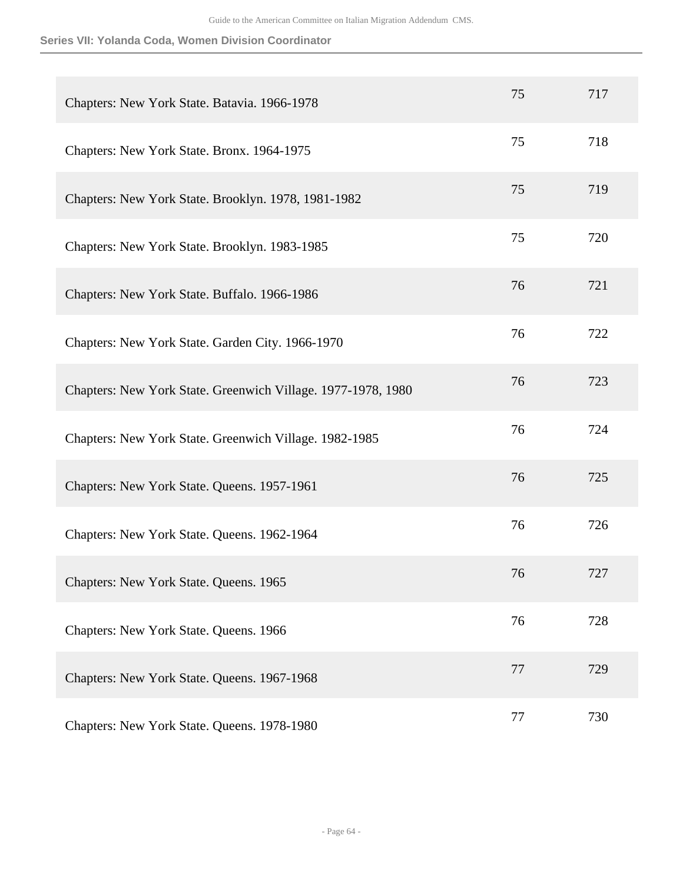**Series VII: Yolanda Coda, Women Division Coordinator**

| Chapters: New York State. Batavia. 1966-1978                 | 75 | 717 |
|--------------------------------------------------------------|----|-----|
| Chapters: New York State. Bronx. 1964-1975                   | 75 | 718 |
| Chapters: New York State. Brooklyn. 1978, 1981-1982          | 75 | 719 |
| Chapters: New York State. Brooklyn. 1983-1985                | 75 | 720 |
| Chapters: New York State. Buffalo. 1966-1986                 | 76 | 721 |
| Chapters: New York State. Garden City. 1966-1970             | 76 | 722 |
| Chapters: New York State. Greenwich Village. 1977-1978, 1980 | 76 | 723 |
| Chapters: New York State. Greenwich Village. 1982-1985       | 76 | 724 |
| Chapters: New York State. Queens. 1957-1961                  | 76 | 725 |
| Chapters: New York State. Queens. 1962-1964                  | 76 | 726 |
| Chapters: New York State. Queens. 1965                       | 76 | 727 |
| Chapters: New York State. Queens. 1966                       | 76 | 728 |
| Chapters: New York State. Queens. 1967-1968                  | 77 | 729 |
| Chapters: New York State. Queens. 1978-1980                  | 77 | 730 |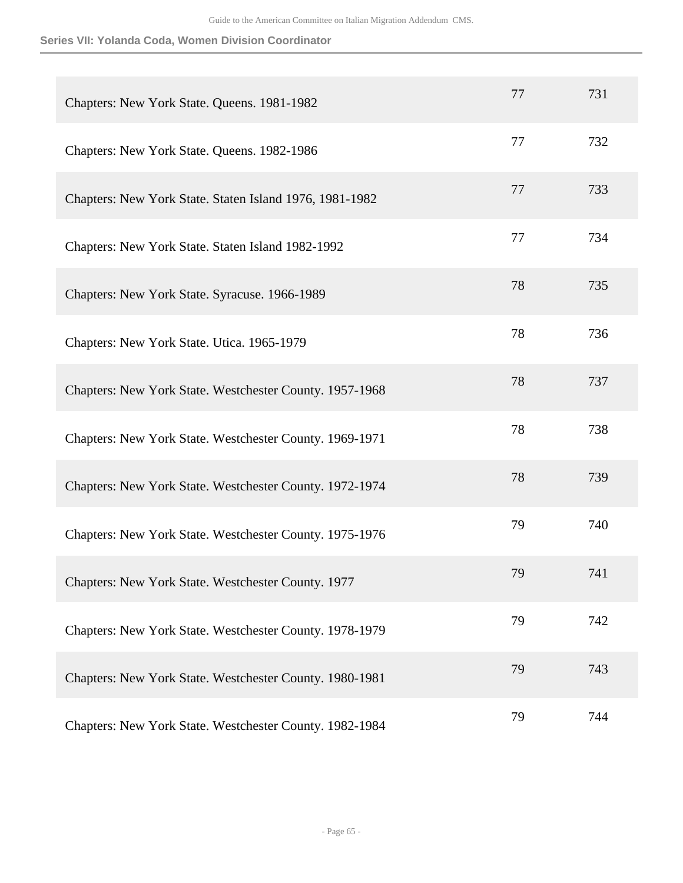**Series VII: Yolanda Coda, Women Division Coordinator**

| Chapters: New York State. Queens. 1981-1982             | 77 | 731 |
|---------------------------------------------------------|----|-----|
| Chapters: New York State. Queens. 1982-1986             | 77 | 732 |
| Chapters: New York State. Staten Island 1976, 1981-1982 | 77 | 733 |
| Chapters: New York State. Staten Island 1982-1992       | 77 | 734 |
| Chapters: New York State. Syracuse. 1966-1989           | 78 | 735 |
| Chapters: New York State. Utica. 1965-1979              | 78 | 736 |
| Chapters: New York State. Westchester County. 1957-1968 | 78 | 737 |
| Chapters: New York State. Westchester County. 1969-1971 | 78 | 738 |
| Chapters: New York State. Westchester County. 1972-1974 | 78 | 739 |
| Chapters: New York State. Westchester County. 1975-1976 | 79 | 740 |
| Chapters: New York State. Westchester County. 1977      | 79 | 741 |
| Chapters: New York State. Westchester County. 1978-1979 | 79 | 742 |
| Chapters: New York State. Westchester County. 1980-1981 | 79 | 743 |
| Chapters: New York State. Westchester County. 1982-1984 | 79 | 744 |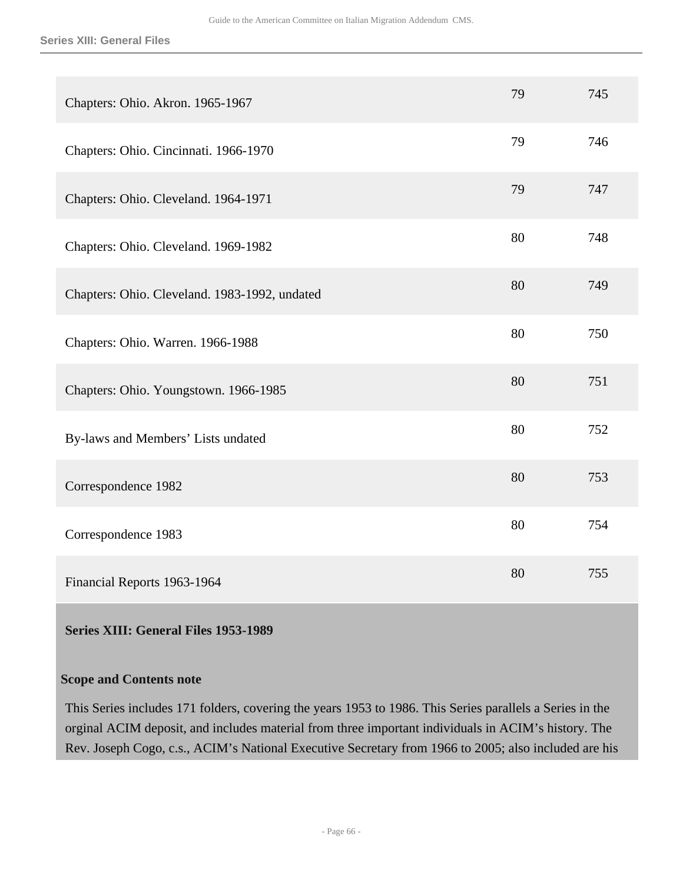| Chapters: Ohio. Akron. 1965-1967              | 79 | 745 |
|-----------------------------------------------|----|-----|
| Chapters: Ohio. Cincinnati. 1966-1970         | 79 | 746 |
| Chapters: Ohio. Cleveland. 1964-1971          | 79 | 747 |
| Chapters: Ohio. Cleveland. 1969-1982          | 80 | 748 |
| Chapters: Ohio. Cleveland. 1983-1992, undated | 80 | 749 |
| Chapters: Ohio. Warren. 1966-1988             | 80 | 750 |
| Chapters: Ohio. Youngstown. 1966-1985         | 80 | 751 |
| By-laws and Members' Lists undated            | 80 | 752 |
| Correspondence 1982                           | 80 | 753 |
| Correspondence 1983                           | 80 | 754 |
| Financial Reports 1963-1964                   | 80 | 755 |

**Series XIII: General Files 1953-1989** 

# **Scope and Contents note**

This Series includes 171 folders, covering the years 1953 to 1986. This Series parallels a Series in the orginal ACIM deposit, and includes material from three important individuals in ACIM's history. The Rev. Joseph Cogo, c.s., ACIM's National Executive Secretary from 1966 to 2005; also included are his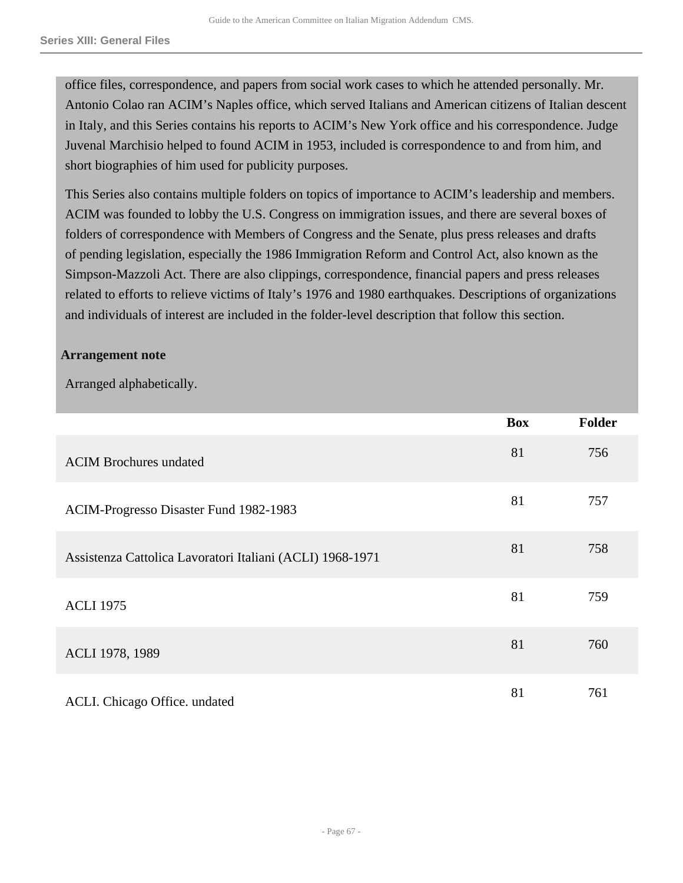office files, correspondence, and papers from social work cases to which he attended personally. Mr. Antonio Colao ran ACIM's Naples office, which served Italians and American citizens of Italian descent in Italy, and this Series contains his reports to ACIM's New York office and his correspondence. Judge Juvenal Marchisio helped to found ACIM in 1953, included is correspondence to and from him, and short biographies of him used for publicity purposes.

This Series also contains multiple folders on topics of importance to ACIM's leadership and members. ACIM was founded to lobby the U.S. Congress on immigration issues, and there are several boxes of folders of correspondence with Members of Congress and the Senate, plus press releases and drafts of pending legislation, especially the 1986 Immigration Reform and Control Act, also known as the Simpson-Mazzoli Act. There are also clippings, correspondence, financial papers and press releases related to efforts to relieve victims of Italy's 1976 and 1980 earthquakes. Descriptions of organizations and individuals of interest are included in the folder-level description that follow this section.

# **Arrangement note**

Arranged alphabetically.

|                                                           | <b>Box</b> | <b>Folder</b> |
|-----------------------------------------------------------|------------|---------------|
| <b>ACIM Brochures undated</b>                             | 81         | 756           |
| ACIM-Progresso Disaster Fund 1982-1983                    | 81         | 757           |
| Assistenza Cattolica Lavoratori Italiani (ACLI) 1968-1971 | 81         | 758           |
| <b>ACLI 1975</b>                                          | 81         | 759           |
| ACLI 1978, 1989                                           | 81         | 760           |
| ACLI. Chicago Office. undated                             | 81         | 761           |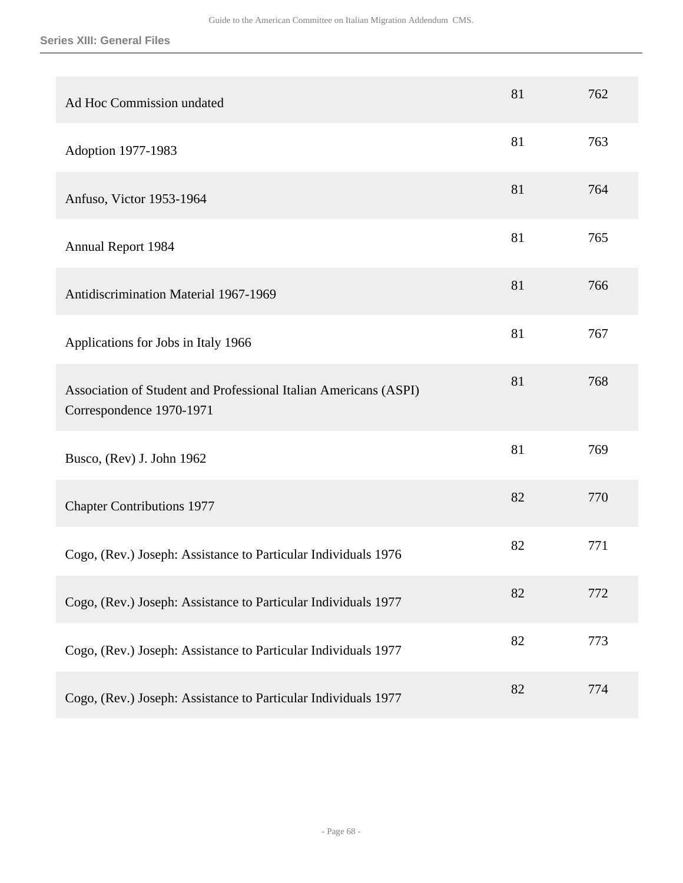| Ad Hoc Commission undated                                                                    | 81 | 762 |
|----------------------------------------------------------------------------------------------|----|-----|
| Adoption 1977-1983                                                                           | 81 | 763 |
| Anfuso, Victor 1953-1964                                                                     | 81 | 764 |
| <b>Annual Report 1984</b>                                                                    | 81 | 765 |
| Antidiscrimination Material 1967-1969                                                        | 81 | 766 |
| Applications for Jobs in Italy 1966                                                          | 81 | 767 |
| Association of Student and Professional Italian Americans (ASPI)<br>Correspondence 1970-1971 | 81 | 768 |
| Busco, (Rev) J. John 1962                                                                    | 81 | 769 |
| <b>Chapter Contributions 1977</b>                                                            | 82 | 770 |
| Cogo, (Rev.) Joseph: Assistance to Particular Individuals 1976                               | 82 | 771 |
| Cogo, (Rev.) Joseph: Assistance to Particular Individuals 1977                               | 82 | 772 |
| Cogo, (Rev.) Joseph: Assistance to Particular Individuals 1977                               | 82 | 773 |
| Cogo, (Rev.) Joseph: Assistance to Particular Individuals 1977                               | 82 | 774 |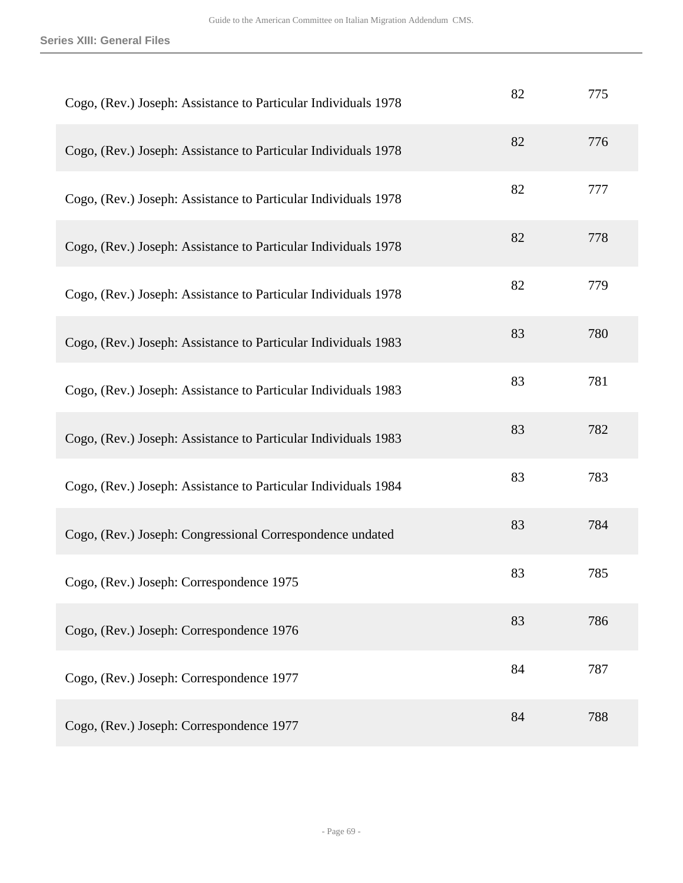**Series XIII: General Files**

| Cogo, (Rev.) Joseph: Assistance to Particular Individuals 1978 | 82 | 775 |
|----------------------------------------------------------------|----|-----|
| Cogo, (Rev.) Joseph: Assistance to Particular Individuals 1978 | 82 | 776 |
| Cogo, (Rev.) Joseph: Assistance to Particular Individuals 1978 | 82 | 777 |
| Cogo, (Rev.) Joseph: Assistance to Particular Individuals 1978 | 82 | 778 |
| Cogo, (Rev.) Joseph: Assistance to Particular Individuals 1978 | 82 | 779 |
| Cogo, (Rev.) Joseph: Assistance to Particular Individuals 1983 | 83 | 780 |
| Cogo, (Rev.) Joseph: Assistance to Particular Individuals 1983 | 83 | 781 |
| Cogo, (Rev.) Joseph: Assistance to Particular Individuals 1983 | 83 | 782 |
| Cogo, (Rev.) Joseph: Assistance to Particular Individuals 1984 | 83 | 783 |
| Cogo, (Rev.) Joseph: Congressional Correspondence undated      | 83 | 784 |
| Cogo, (Rev.) Joseph: Correspondence 1975                       | 83 | 785 |
| Cogo, (Rev.) Joseph: Correspondence 1976                       | 83 | 786 |
| Cogo, (Rev.) Joseph: Correspondence 1977                       | 84 | 787 |
| Cogo, (Rev.) Joseph: Correspondence 1977                       | 84 | 788 |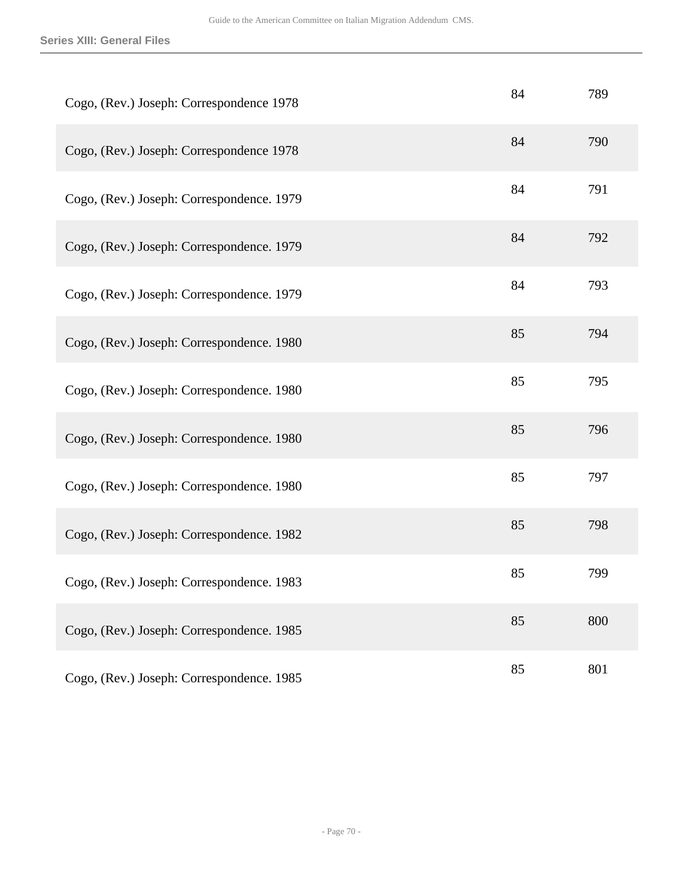| Cogo, (Rev.) Joseph: Correspondence 1978  | 84 | 789 |
|-------------------------------------------|----|-----|
| Cogo, (Rev.) Joseph: Correspondence 1978  | 84 | 790 |
| Cogo, (Rev.) Joseph: Correspondence. 1979 | 84 | 791 |
| Cogo, (Rev.) Joseph: Correspondence. 1979 | 84 | 792 |
| Cogo, (Rev.) Joseph: Correspondence. 1979 | 84 | 793 |
| Cogo, (Rev.) Joseph: Correspondence. 1980 | 85 | 794 |
| Cogo, (Rev.) Joseph: Correspondence. 1980 | 85 | 795 |
| Cogo, (Rev.) Joseph: Correspondence. 1980 | 85 | 796 |
| Cogo, (Rev.) Joseph: Correspondence. 1980 | 85 | 797 |
| Cogo, (Rev.) Joseph: Correspondence. 1982 | 85 | 798 |
| Cogo, (Rev.) Joseph: Correspondence. 1983 | 85 | 799 |
| Cogo, (Rev.) Joseph: Correspondence. 1985 | 85 | 800 |
| Cogo, (Rev.) Joseph: Correspondence. 1985 | 85 | 801 |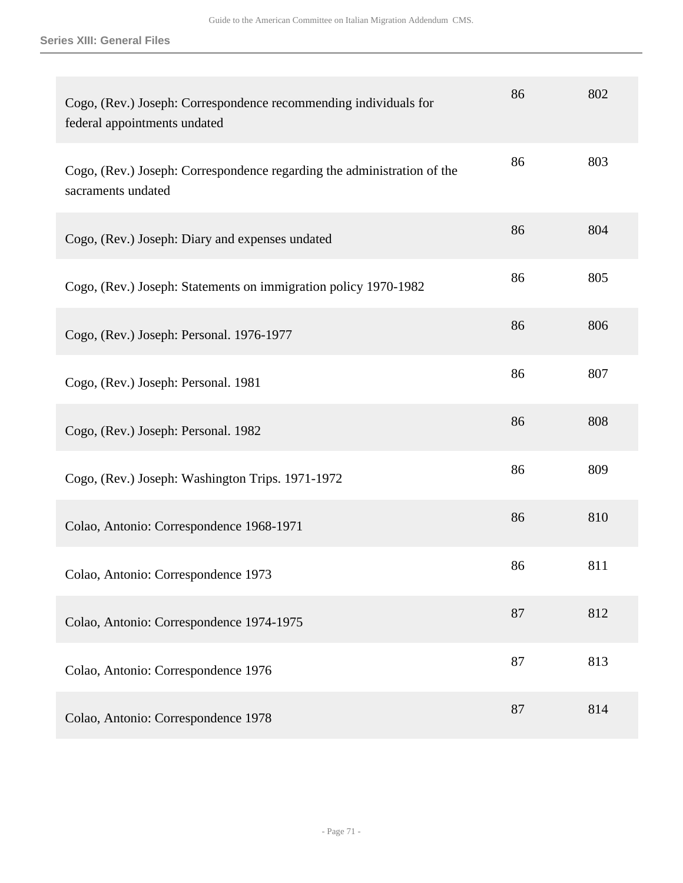| Cogo, (Rev.) Joseph: Correspondence recommending individuals for<br>federal appointments undated | 86 | 802 |
|--------------------------------------------------------------------------------------------------|----|-----|
| Cogo, (Rev.) Joseph: Correspondence regarding the administration of the<br>sacraments undated    | 86 | 803 |
| Cogo, (Rev.) Joseph: Diary and expenses undated                                                  | 86 | 804 |
| Cogo, (Rev.) Joseph: Statements on immigration policy 1970-1982                                  | 86 | 805 |
| Cogo, (Rev.) Joseph: Personal. 1976-1977                                                         | 86 | 806 |
| Cogo, (Rev.) Joseph: Personal. 1981                                                              | 86 | 807 |
| Cogo, (Rev.) Joseph: Personal. 1982                                                              | 86 | 808 |
| Cogo, (Rev.) Joseph: Washington Trips. 1971-1972                                                 | 86 | 809 |
| Colao, Antonio: Correspondence 1968-1971                                                         | 86 | 810 |
| Colao, Antonio: Correspondence 1973                                                              | 86 | 811 |
| Colao, Antonio: Correspondence 1974-1975                                                         | 87 | 812 |
| Colao, Antonio: Correspondence 1976                                                              | 87 | 813 |
| Colao, Antonio: Correspondence 1978                                                              | 87 | 814 |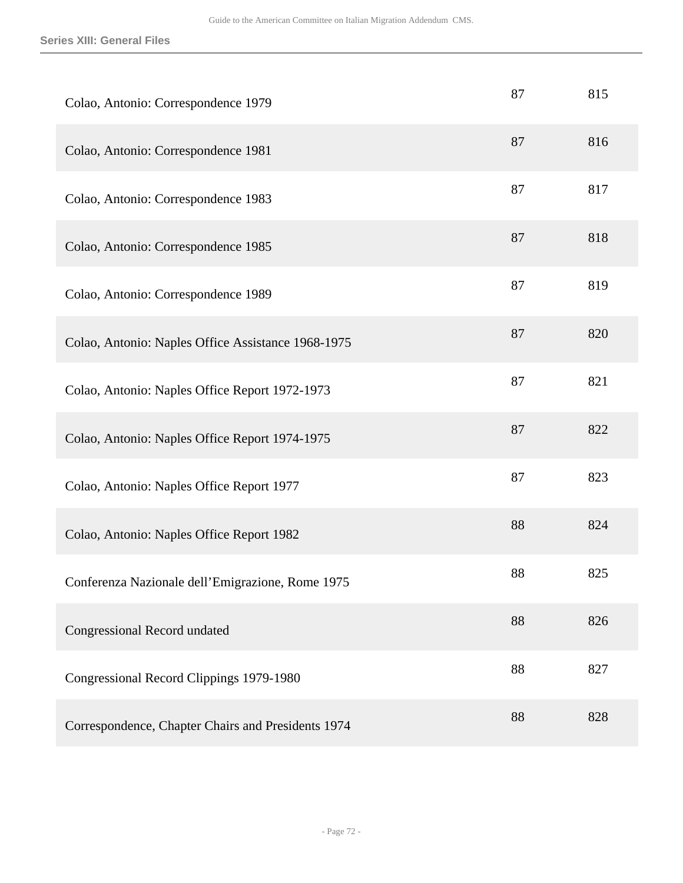| Colao, Antonio: Correspondence 1979                | 87 | 815 |
|----------------------------------------------------|----|-----|
| Colao, Antonio: Correspondence 1981                | 87 | 816 |
| Colao, Antonio: Correspondence 1983                | 87 | 817 |
| Colao, Antonio: Correspondence 1985                | 87 | 818 |
| Colao, Antonio: Correspondence 1989                | 87 | 819 |
| Colao, Antonio: Naples Office Assistance 1968-1975 | 87 | 820 |
| Colao, Antonio: Naples Office Report 1972-1973     | 87 | 821 |
| Colao, Antonio: Naples Office Report 1974-1975     | 87 | 822 |
| Colao, Antonio: Naples Office Report 1977          | 87 | 823 |
| Colao, Antonio: Naples Office Report 1982          | 88 | 824 |
| Conferenza Nazionale dell'Emigrazione, Rome 1975   | 88 | 825 |
| <b>Congressional Record undated</b>                | 88 | 826 |
| Congressional Record Clippings 1979-1980           | 88 | 827 |
| Correspondence, Chapter Chairs and Presidents 1974 | 88 | 828 |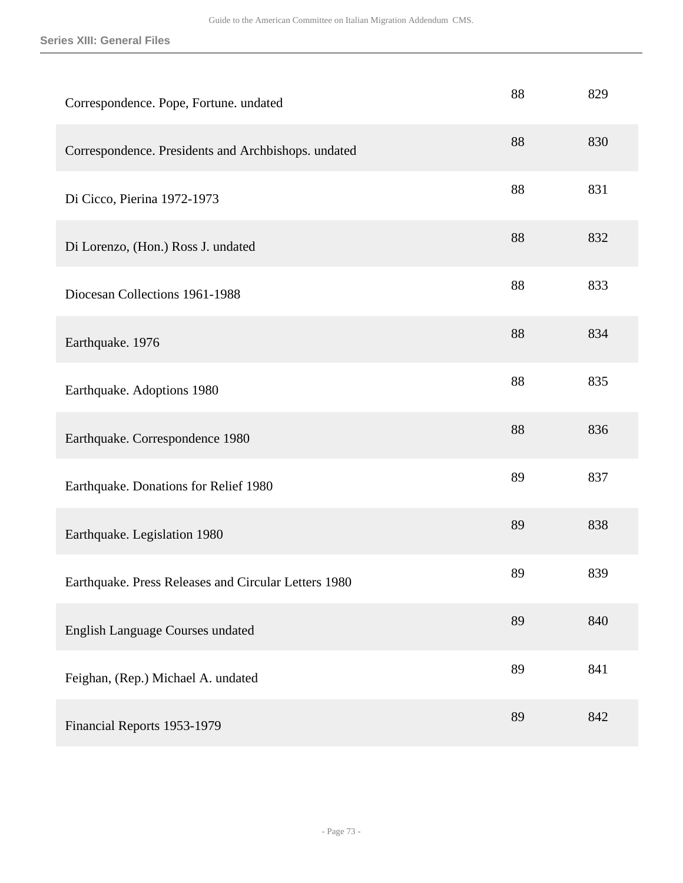| Correspondence. Pope, Fortune. undated               | 88 | 829 |
|------------------------------------------------------|----|-----|
| Correspondence. Presidents and Archbishops. undated  | 88 | 830 |
| Di Cicco, Pierina 1972-1973                          | 88 | 831 |
| Di Lorenzo, (Hon.) Ross J. undated                   | 88 | 832 |
| Diocesan Collections 1961-1988                       | 88 | 833 |
| Earthquake. 1976                                     | 88 | 834 |
| Earthquake. Adoptions 1980                           | 88 | 835 |
| Earthquake. Correspondence 1980                      | 88 | 836 |
| Earthquake. Donations for Relief 1980                | 89 | 837 |
| Earthquake. Legislation 1980                         | 89 | 838 |
| Earthquake. Press Releases and Circular Letters 1980 | 89 | 839 |
| <b>English Language Courses undated</b>              | 89 | 840 |
| Feighan, (Rep.) Michael A. undated                   | 89 | 841 |
| Financial Reports 1953-1979                          | 89 | 842 |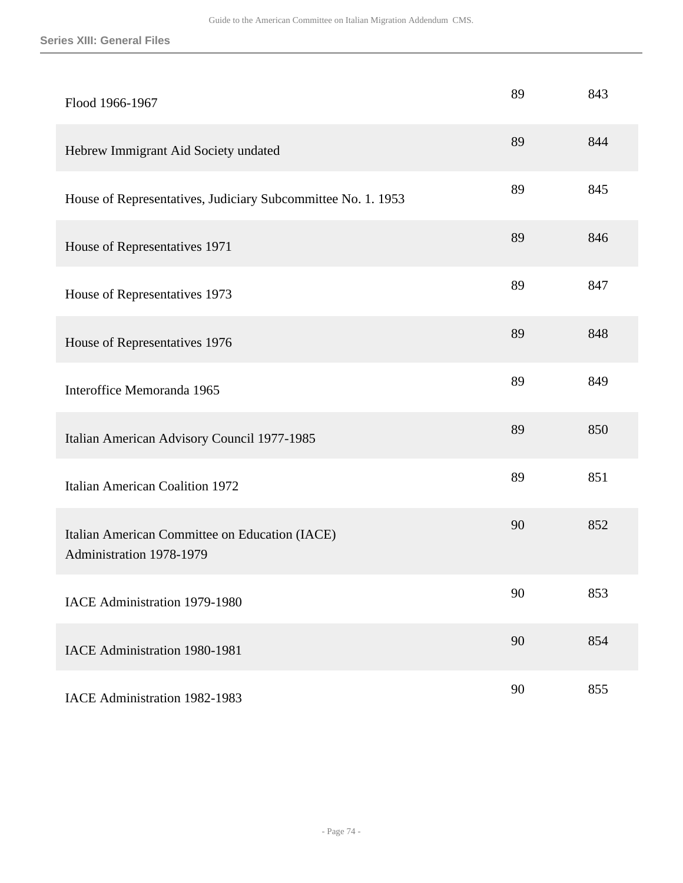| Flood 1966-1967                                                            | 89 | 843 |
|----------------------------------------------------------------------------|----|-----|
| Hebrew Immigrant Aid Society undated                                       | 89 | 844 |
| House of Representatives, Judiciary Subcommittee No. 1. 1953               | 89 | 845 |
| House of Representatives 1971                                              | 89 | 846 |
| House of Representatives 1973                                              | 89 | 847 |
| House of Representatives 1976                                              | 89 | 848 |
| Interoffice Memoranda 1965                                                 | 89 | 849 |
| Italian American Advisory Council 1977-1985                                | 89 | 850 |
| <b>Italian American Coalition 1972</b>                                     | 89 | 851 |
| Italian American Committee on Education (IACE)<br>Administration 1978-1979 | 90 | 852 |
| IACE Administration 1979-1980                                              | 90 | 853 |
| IACE Administration 1980-1981                                              | 90 | 854 |
| IACE Administration 1982-1983                                              | 90 | 855 |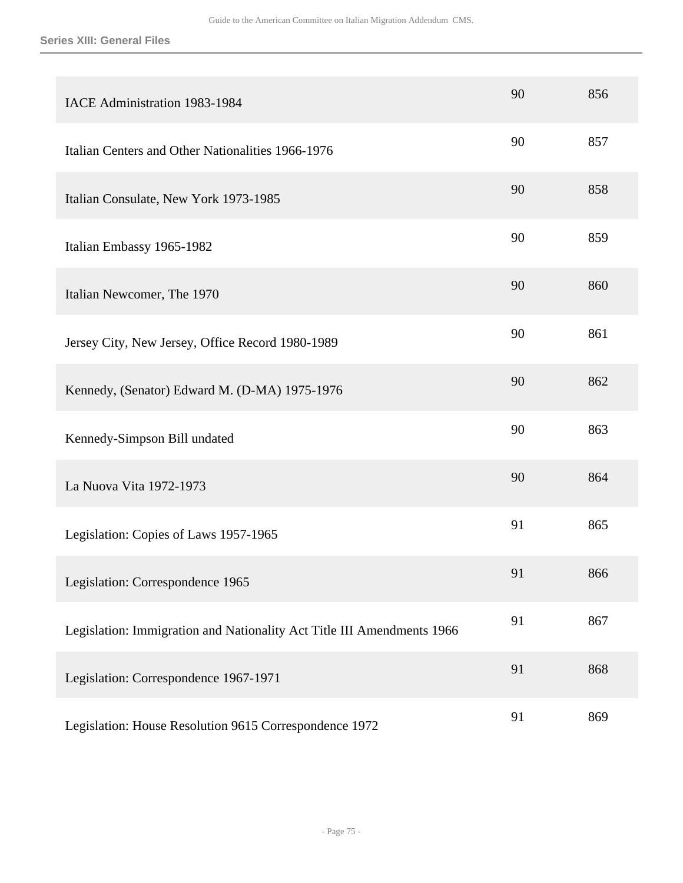| IACE Administration 1983-1984                                          | 90 | 856 |
|------------------------------------------------------------------------|----|-----|
| Italian Centers and Other Nationalities 1966-1976                      | 90 | 857 |
| Italian Consulate, New York 1973-1985                                  | 90 | 858 |
| Italian Embassy 1965-1982                                              | 90 | 859 |
| Italian Newcomer, The 1970                                             | 90 | 860 |
| Jersey City, New Jersey, Office Record 1980-1989                       | 90 | 861 |
| Kennedy, (Senator) Edward M. (D-MA) 1975-1976                          | 90 | 862 |
| Kennedy-Simpson Bill undated                                           | 90 | 863 |
| La Nuova Vita 1972-1973                                                | 90 | 864 |
| Legislation: Copies of Laws 1957-1965                                  | 91 | 865 |
| Legislation: Correspondence 1965                                       | 91 | 866 |
| Legislation: Immigration and Nationality Act Title III Amendments 1966 | 91 | 867 |
| Legislation: Correspondence 1967-1971                                  | 91 | 868 |
| Legislation: House Resolution 9615 Correspondence 1972                 | 91 | 869 |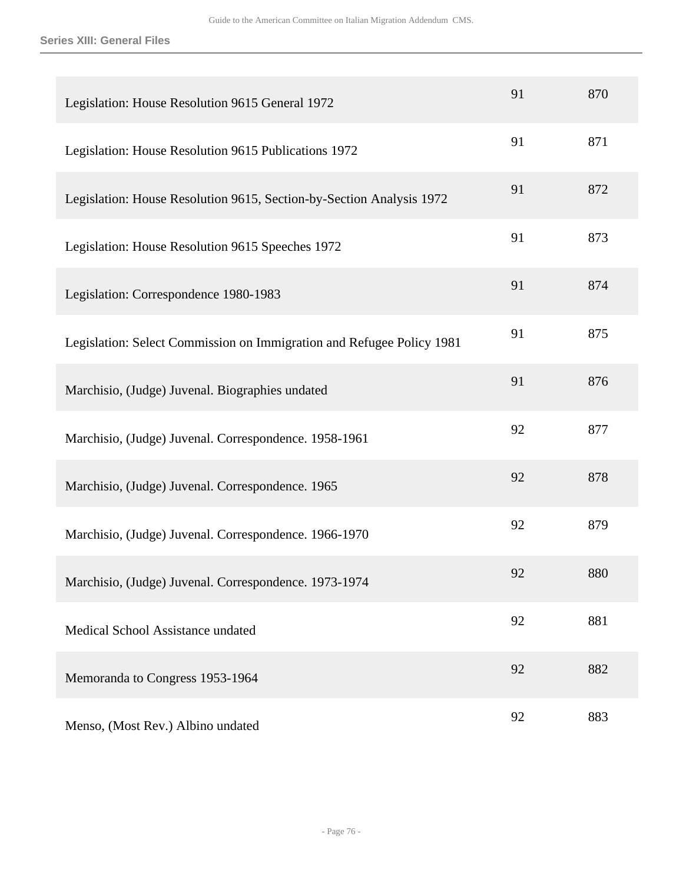| Legislation: House Resolution 9615 General 1972                       | 91 | 870 |
|-----------------------------------------------------------------------|----|-----|
| Legislation: House Resolution 9615 Publications 1972                  | 91 | 871 |
| Legislation: House Resolution 9615, Section-by-Section Analysis 1972  | 91 | 872 |
| Legislation: House Resolution 9615 Speeches 1972                      | 91 | 873 |
| Legislation: Correspondence 1980-1983                                 | 91 | 874 |
| Legislation: Select Commission on Immigration and Refugee Policy 1981 | 91 | 875 |
| Marchisio, (Judge) Juvenal. Biographies undated                       | 91 | 876 |
| Marchisio, (Judge) Juvenal. Correspondence. 1958-1961                 | 92 | 877 |
| Marchisio, (Judge) Juvenal. Correspondence. 1965                      | 92 | 878 |
| Marchisio, (Judge) Juvenal. Correspondence. 1966-1970                 | 92 | 879 |
| Marchisio, (Judge) Juvenal. Correspondence. 1973-1974                 | 92 | 880 |
| Medical School Assistance undated                                     | 92 | 881 |
| Memoranda to Congress 1953-1964                                       | 92 | 882 |
| Menso, (Most Rev.) Albino undated                                     | 92 | 883 |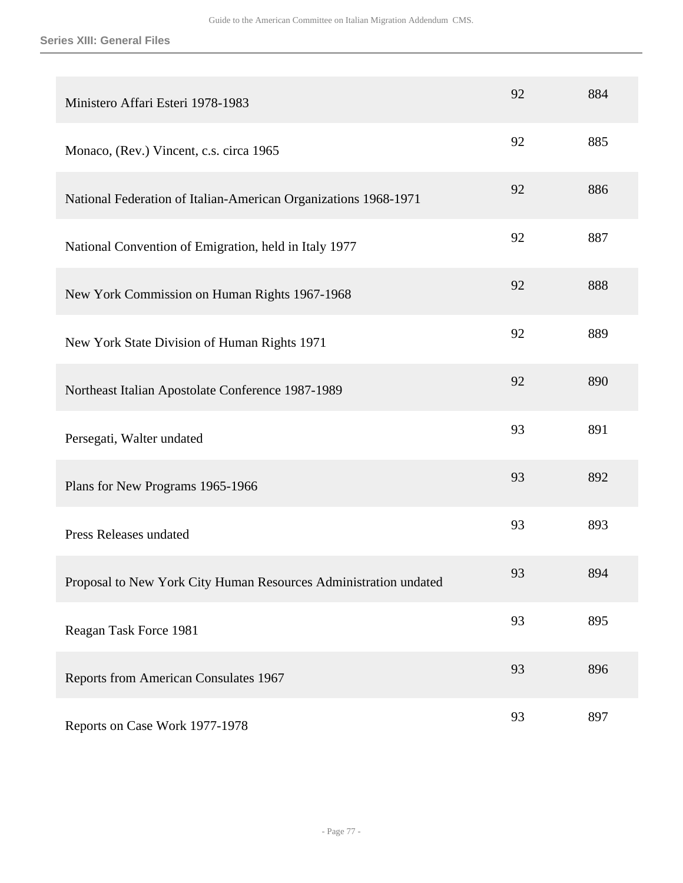| Ministero Affari Esteri 1978-1983                                | 92 | 884 |
|------------------------------------------------------------------|----|-----|
| Monaco, (Rev.) Vincent, c.s. circa 1965                          | 92 | 885 |
| National Federation of Italian-American Organizations 1968-1971  | 92 | 886 |
| National Convention of Emigration, held in Italy 1977            | 92 | 887 |
| New York Commission on Human Rights 1967-1968                    | 92 | 888 |
| New York State Division of Human Rights 1971                     | 92 | 889 |
| Northeast Italian Apostolate Conference 1987-1989                | 92 | 890 |
| Persegati, Walter undated                                        | 93 | 891 |
| Plans for New Programs 1965-1966                                 | 93 | 892 |
| Press Releases undated                                           | 93 | 893 |
| Proposal to New York City Human Resources Administration undated | 93 | 894 |
| Reagan Task Force 1981                                           | 93 | 895 |
| Reports from American Consulates 1967                            | 93 | 896 |
| Reports on Case Work 1977-1978                                   | 93 | 897 |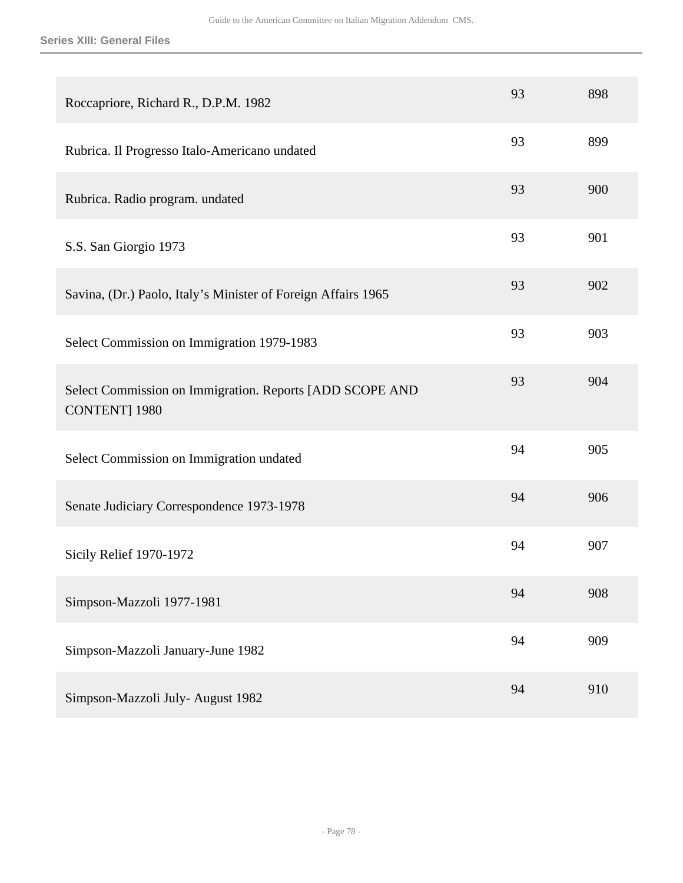| Roccapriore, Richard R., D.P.M. 1982                                              | 93 | 898 |
|-----------------------------------------------------------------------------------|----|-----|
| Rubrica. Il Progresso Italo-Americano undated                                     | 93 | 899 |
| Rubrica. Radio program. undated                                                   | 93 | 900 |
| S.S. San Giorgio 1973                                                             | 93 | 901 |
| Savina, (Dr.) Paolo, Italy's Minister of Foreign Affairs 1965                     | 93 | 902 |
| Select Commission on Immigration 1979-1983                                        | 93 | 903 |
| Select Commission on Immigration. Reports [ADD SCOPE AND<br><b>CONTENT</b> ] 1980 | 93 | 904 |
| Select Commission on Immigration undated                                          | 94 | 905 |
| Senate Judiciary Correspondence 1973-1978                                         | 94 | 906 |
| Sicily Relief 1970-1972                                                           | 94 | 907 |
| Simpson-Mazzoli 1977-1981                                                         | 94 | 908 |
| Simpson-Mazzoli January-June 1982                                                 | 94 | 909 |
| Simpson-Mazzoli July- August 1982                                                 | 94 | 910 |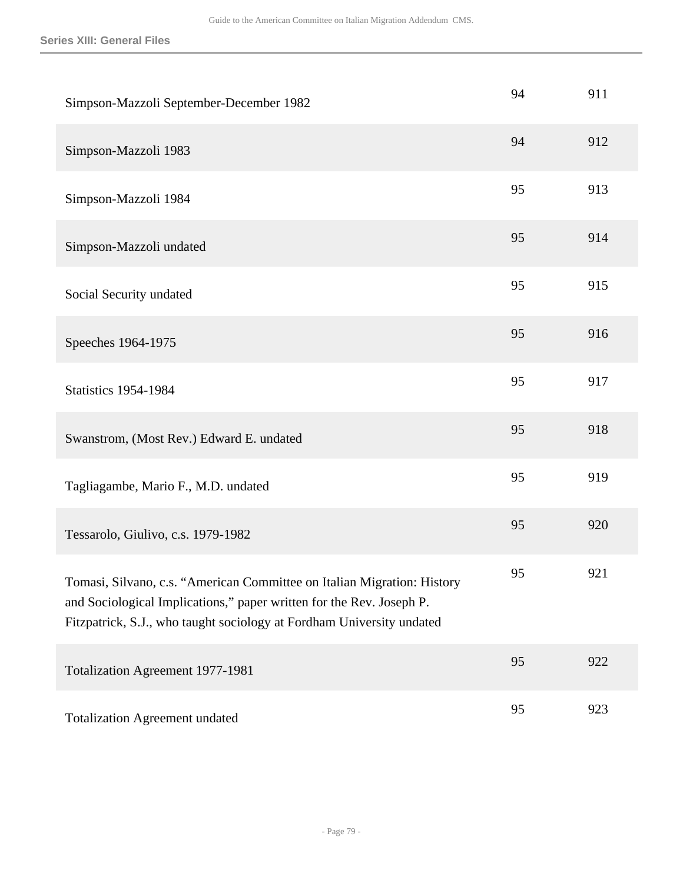| Simpson-Mazzoli September-December 1982                                                                                                                                                                                  | 94 | 911 |
|--------------------------------------------------------------------------------------------------------------------------------------------------------------------------------------------------------------------------|----|-----|
| Simpson-Mazzoli 1983                                                                                                                                                                                                     | 94 | 912 |
| Simpson-Mazzoli 1984                                                                                                                                                                                                     | 95 | 913 |
| Simpson-Mazzoli undated                                                                                                                                                                                                  | 95 | 914 |
| Social Security undated                                                                                                                                                                                                  | 95 | 915 |
| Speeches 1964-1975                                                                                                                                                                                                       | 95 | 916 |
| <b>Statistics 1954-1984</b>                                                                                                                                                                                              | 95 | 917 |
| Swanstrom, (Most Rev.) Edward E. undated                                                                                                                                                                                 | 95 | 918 |
| Tagliagambe, Mario F., M.D. undated                                                                                                                                                                                      | 95 | 919 |
| Tessarolo, Giulivo, c.s. 1979-1982                                                                                                                                                                                       | 95 | 920 |
| Tomasi, Silvano, c.s. "American Committee on Italian Migration: History<br>and Sociological Implications," paper written for the Rev. Joseph P.<br>Fitzpatrick, S.J., who taught sociology at Fordham University undated | 95 | 921 |
| <b>Totalization Agreement 1977-1981</b>                                                                                                                                                                                  | 95 | 922 |
| <b>Totalization Agreement undated</b>                                                                                                                                                                                    | 95 | 923 |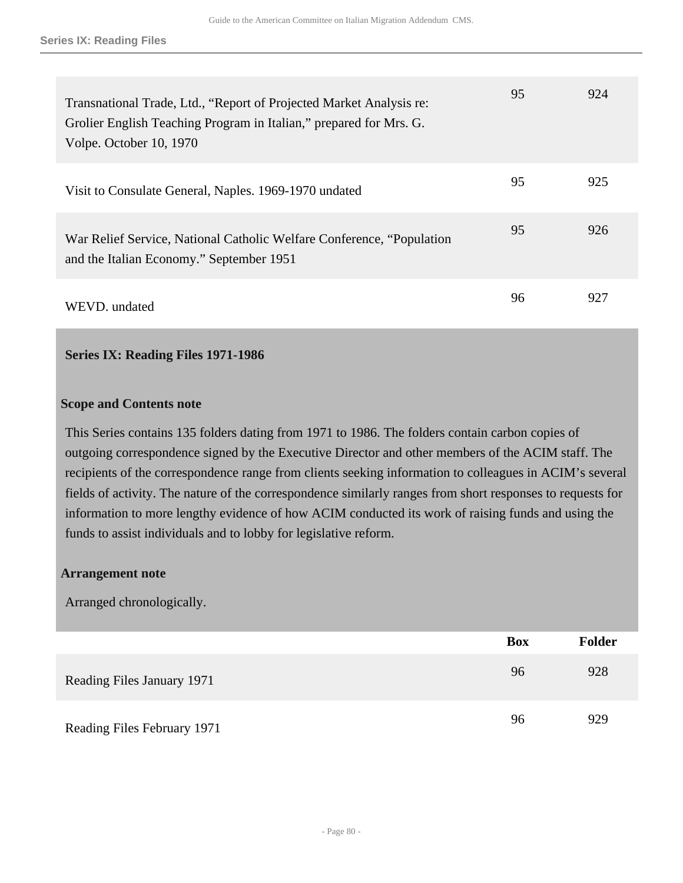| Transnational Trade, Ltd., "Report of Projected Market Analysis re:<br>Grolier English Teaching Program in Italian," prepared for Mrs. G.<br>Volpe. October 10, 1970 | 95 | 924 |
|----------------------------------------------------------------------------------------------------------------------------------------------------------------------|----|-----|
| Visit to Consulate General, Naples. 1969-1970 undated                                                                                                                | 95 | 925 |
| War Relief Service, National Catholic Welfare Conference, "Population"<br>and the Italian Economy." September 1951                                                   | 95 | 926 |
| WEVD. undated                                                                                                                                                        | 96 | 927 |

## **Series IX: Reading Files 1971-1986**

### **Scope and Contents note**

This Series contains 135 folders dating from 1971 to 1986. The folders contain carbon copies of outgoing correspondence signed by the Executive Director and other members of the ACIM staff. The recipients of the correspondence range from clients seeking information to colleagues in ACIM's several fields of activity. The nature of the correspondence similarly ranges from short responses to requests for information to more lengthy evidence of how ACIM conducted its work of raising funds and using the funds to assist individuals and to lobby for legislative reform.

### **Arrangement note**

Arranged chronologically.

|                             | <b>Box</b> | <b>Folder</b> |
|-----------------------------|------------|---------------|
| Reading Files January 1971  | 96         | 928           |
| Reading Files February 1971 | 96         | 929           |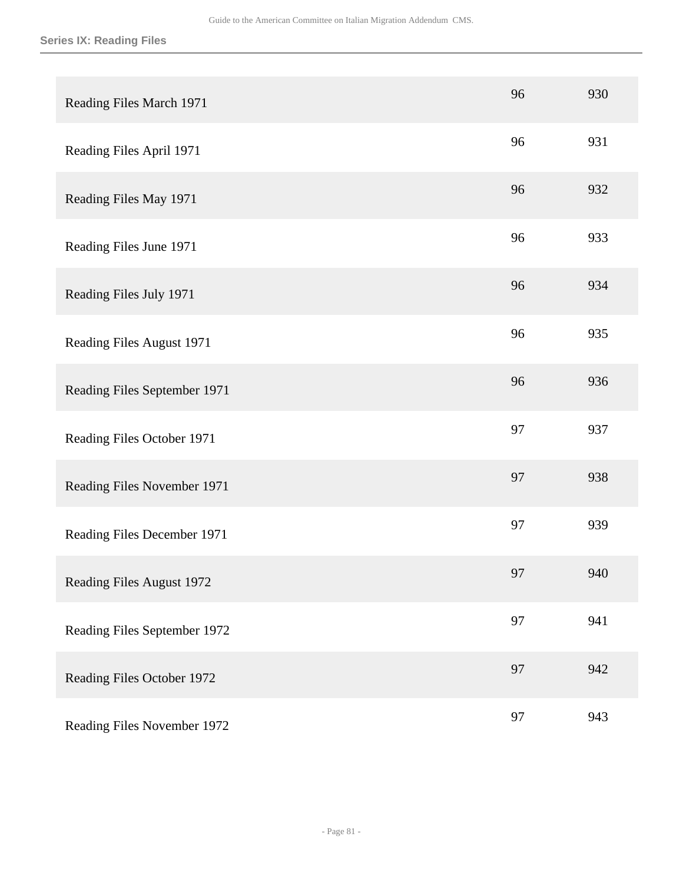| Reading Files March 1971     | 96 | 930 |
|------------------------------|----|-----|
| Reading Files April 1971     | 96 | 931 |
| Reading Files May 1971       | 96 | 932 |
| Reading Files June 1971      | 96 | 933 |
| Reading Files July 1971      | 96 | 934 |
| Reading Files August 1971    | 96 | 935 |
| Reading Files September 1971 | 96 | 936 |
| Reading Files October 1971   | 97 | 937 |
| Reading Files November 1971  | 97 | 938 |
| Reading Files December 1971  | 97 | 939 |
| Reading Files August 1972    | 97 | 940 |
| Reading Files September 1972 | 97 | 941 |
| Reading Files October 1972   | 97 | 942 |
| Reading Files November 1972  | 97 | 943 |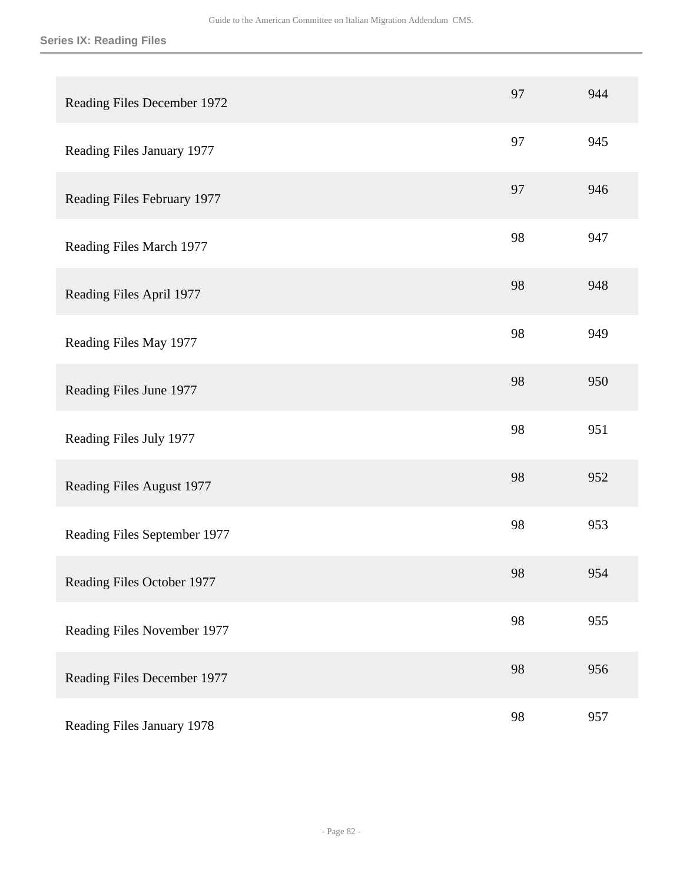| Reading Files December 1972  | 97 | 944 |
|------------------------------|----|-----|
| Reading Files January 1977   | 97 | 945 |
| Reading Files February 1977  | 97 | 946 |
| Reading Files March 1977     | 98 | 947 |
| Reading Files April 1977     | 98 | 948 |
| Reading Files May 1977       | 98 | 949 |
| Reading Files June 1977      | 98 | 950 |
| Reading Files July 1977      | 98 | 951 |
| Reading Files August 1977    | 98 | 952 |
| Reading Files September 1977 | 98 | 953 |
| Reading Files October 1977   | 98 | 954 |
| Reading Files November 1977  | 98 | 955 |
| Reading Files December 1977  | 98 | 956 |
| Reading Files January 1978   | 98 | 957 |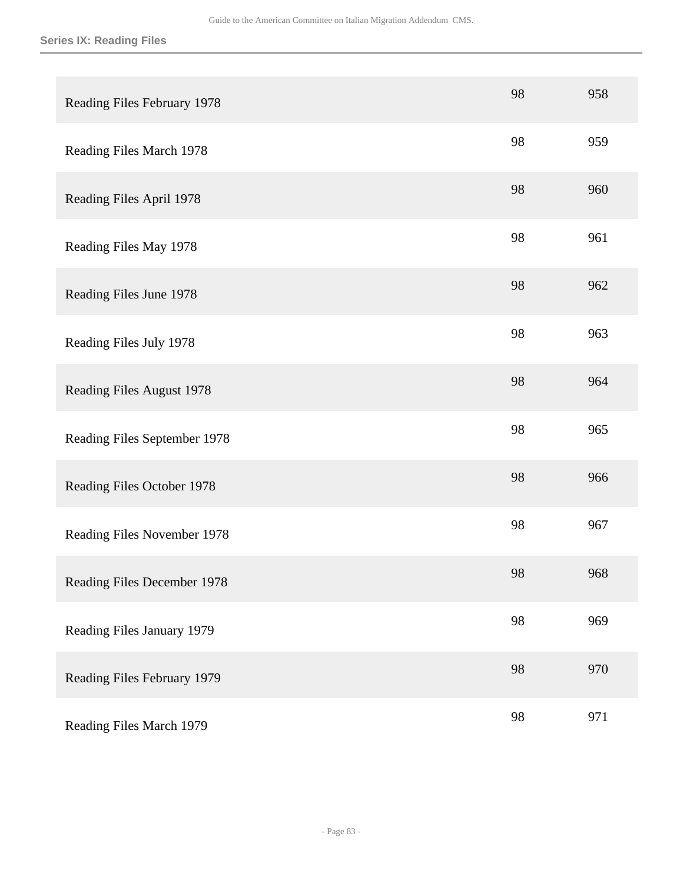| Reading Files February 1978  | 98 | 958 |
|------------------------------|----|-----|
| Reading Files March 1978     | 98 | 959 |
| Reading Files April 1978     | 98 | 960 |
| Reading Files May 1978       | 98 | 961 |
| Reading Files June 1978      | 98 | 962 |
| Reading Files July 1978      | 98 | 963 |
| Reading Files August 1978    | 98 | 964 |
| Reading Files September 1978 | 98 | 965 |
| Reading Files October 1978   | 98 | 966 |
| Reading Files November 1978  | 98 | 967 |
| Reading Files December 1978  | 98 | 968 |
| Reading Files January 1979   | 98 | 969 |
| Reading Files February 1979  | 98 | 970 |
| Reading Files March 1979     | 98 | 971 |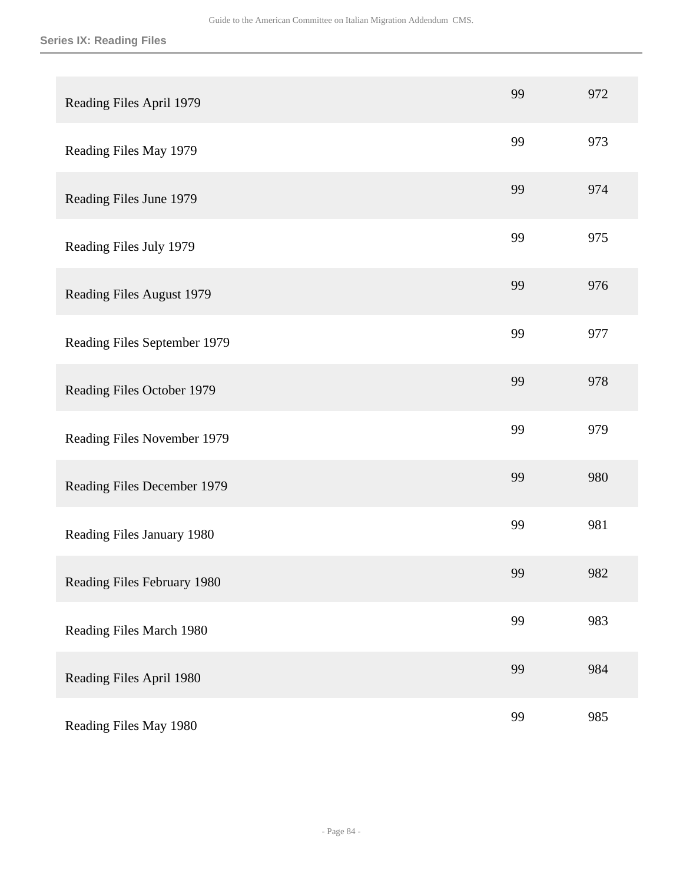| Reading Files April 1979     | 99 | 972 |
|------------------------------|----|-----|
| Reading Files May 1979       | 99 | 973 |
| Reading Files June 1979      | 99 | 974 |
| Reading Files July 1979      | 99 | 975 |
| Reading Files August 1979    | 99 | 976 |
| Reading Files September 1979 | 99 | 977 |
| Reading Files October 1979   | 99 | 978 |
| Reading Files November 1979  | 99 | 979 |
| Reading Files December 1979  | 99 | 980 |
| Reading Files January 1980   | 99 | 981 |
| Reading Files February 1980  | 99 | 982 |
| Reading Files March 1980     | 99 | 983 |
| Reading Files April 1980     | 99 | 984 |
| Reading Files May 1980       | 99 | 985 |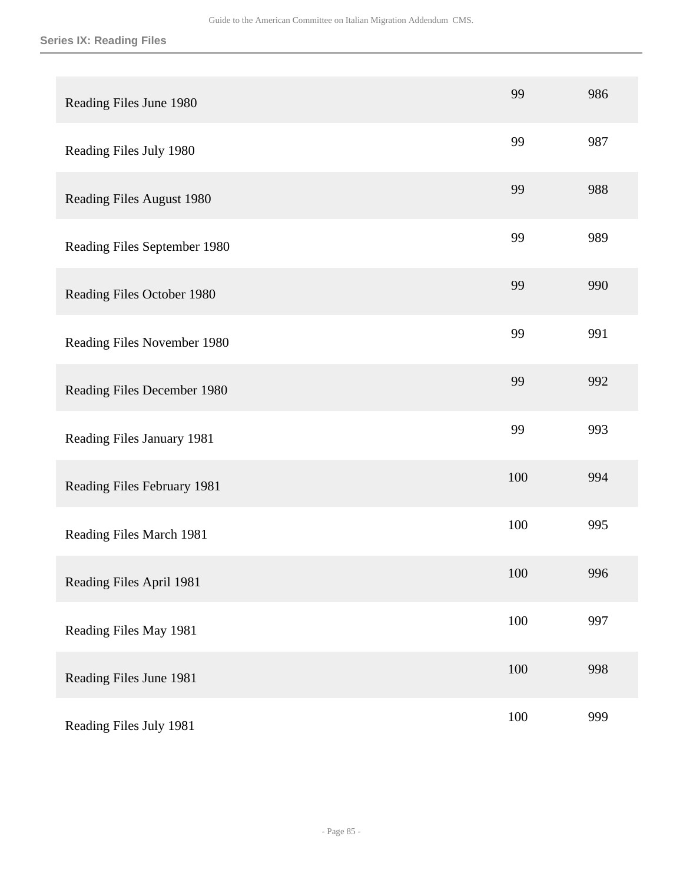| Reading Files June 1980      | 99  | 986 |
|------------------------------|-----|-----|
| Reading Files July 1980      | 99  | 987 |
| Reading Files August 1980    | 99  | 988 |
| Reading Files September 1980 | 99  | 989 |
| Reading Files October 1980   | 99  | 990 |
| Reading Files November 1980  | 99  | 991 |
| Reading Files December 1980  | 99  | 992 |
| Reading Files January 1981   | 99  | 993 |
| Reading Files February 1981  | 100 | 994 |
| Reading Files March 1981     | 100 | 995 |
| Reading Files April 1981     | 100 | 996 |
| Reading Files May 1981       | 100 | 997 |
| Reading Files June 1981      | 100 | 998 |
| Reading Files July 1981      | 100 | 999 |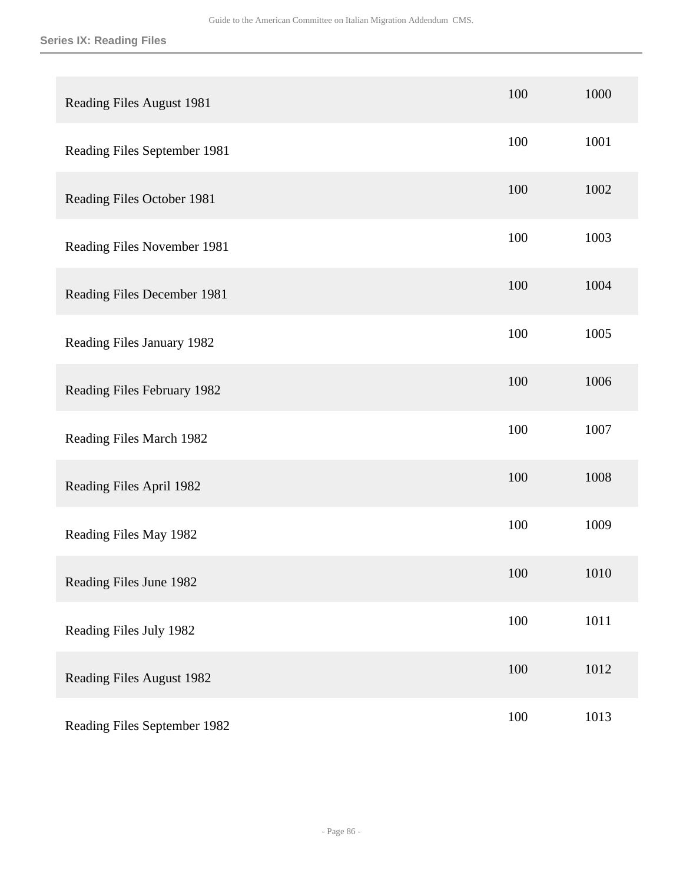| Reading Files August 1981    | 100 | 1000 |
|------------------------------|-----|------|
| Reading Files September 1981 | 100 | 1001 |
| Reading Files October 1981   | 100 | 1002 |
| Reading Files November 1981  | 100 | 1003 |
| Reading Files December 1981  | 100 | 1004 |
| Reading Files January 1982   | 100 | 1005 |
| Reading Files February 1982  | 100 | 1006 |
| Reading Files March 1982     | 100 | 1007 |
| Reading Files April 1982     | 100 | 1008 |
| Reading Files May 1982       | 100 | 1009 |
| Reading Files June 1982      | 100 | 1010 |
| Reading Files July 1982      | 100 | 1011 |
| Reading Files August 1982    | 100 | 1012 |
| Reading Files September 1982 | 100 | 1013 |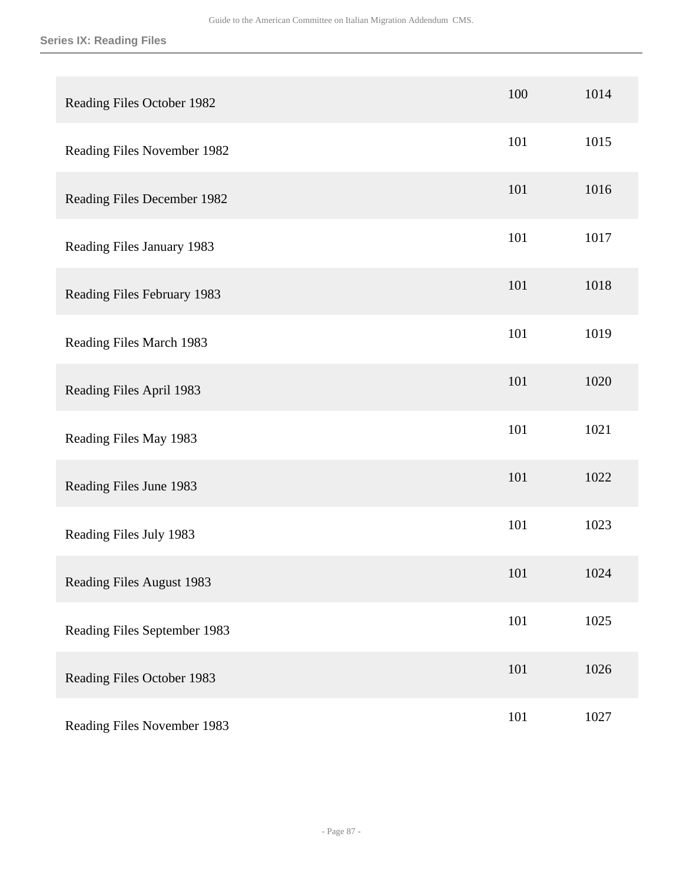| Reading Files October 1982       | 100 | 1014 |
|----------------------------------|-----|------|
| Reading Files November 1982      | 101 | 1015 |
| Reading Files December 1982      | 101 | 1016 |
| Reading Files January 1983       | 101 | 1017 |
| Reading Files February 1983      | 101 | 1018 |
| Reading Files March 1983         | 101 | 1019 |
| Reading Files April 1983         | 101 | 1020 |
| Reading Files May 1983           | 101 | 1021 |
| Reading Files June 1983          | 101 | 1022 |
| Reading Files July 1983          | 101 | 1023 |
| <b>Reading Files August 1983</b> | 101 | 1024 |
| Reading Files September 1983     | 101 | 1025 |
| Reading Files October 1983       | 101 | 1026 |
| Reading Files November 1983      | 101 | 1027 |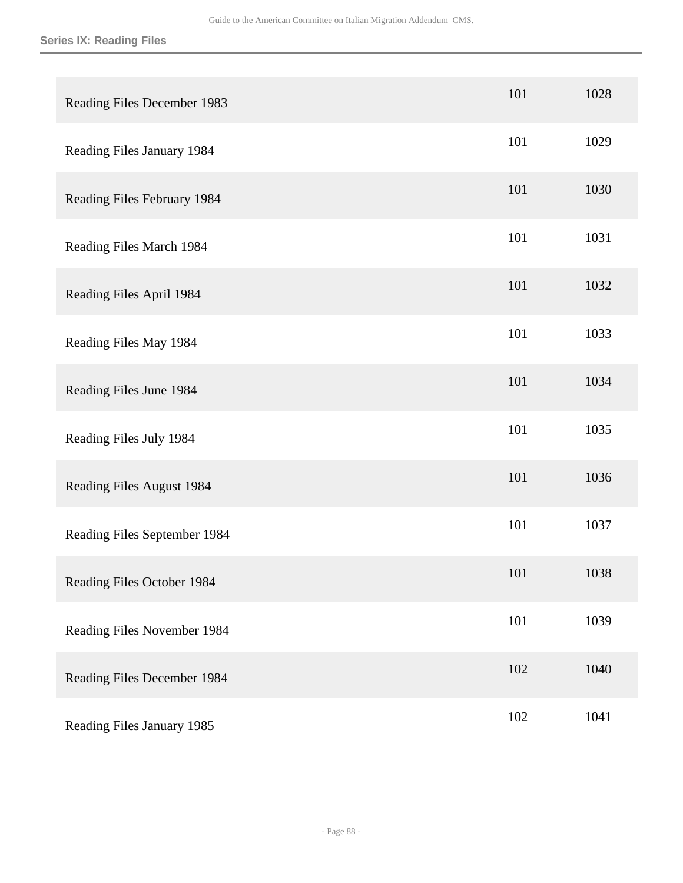| Reading Files December 1983  | 101 | 1028 |
|------------------------------|-----|------|
| Reading Files January 1984   | 101 | 1029 |
| Reading Files February 1984  | 101 | 1030 |
| Reading Files March 1984     | 101 | 1031 |
| Reading Files April 1984     | 101 | 1032 |
| Reading Files May 1984       | 101 | 1033 |
| Reading Files June 1984      | 101 | 1034 |
| Reading Files July 1984      | 101 | 1035 |
| Reading Files August 1984    | 101 | 1036 |
| Reading Files September 1984 | 101 | 1037 |
| Reading Files October 1984   | 101 | 1038 |
| Reading Files November 1984  | 101 | 1039 |
| Reading Files December 1984  | 102 | 1040 |
| Reading Files January 1985   | 102 | 1041 |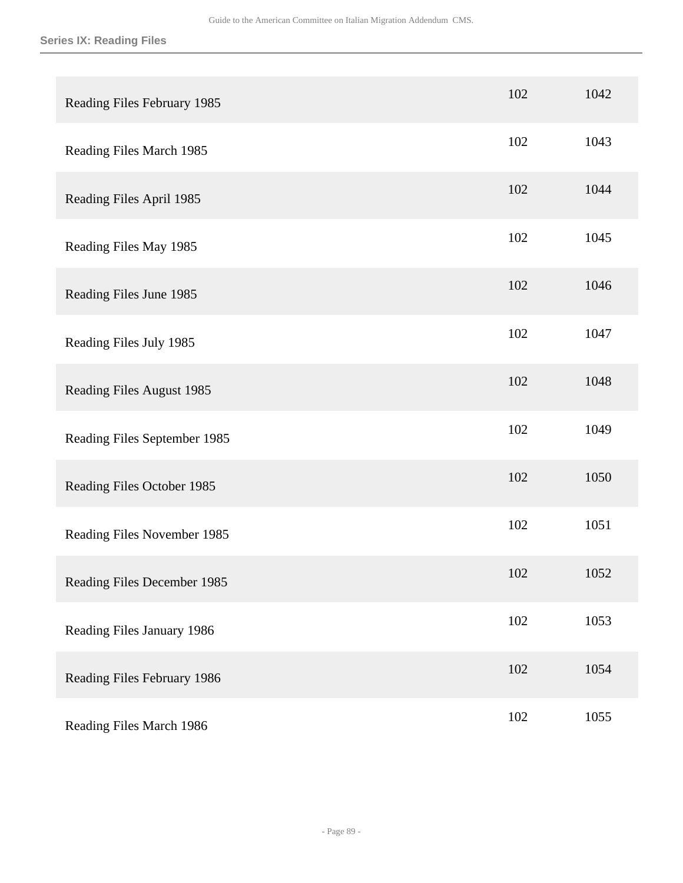| Reading Files February 1985  | 102 | 1042 |
|------------------------------|-----|------|
| Reading Files March 1985     | 102 | 1043 |
| Reading Files April 1985     | 102 | 1044 |
| Reading Files May 1985       | 102 | 1045 |
| Reading Files June 1985      | 102 | 1046 |
| Reading Files July 1985      | 102 | 1047 |
| Reading Files August 1985    | 102 | 1048 |
| Reading Files September 1985 | 102 | 1049 |
| Reading Files October 1985   | 102 | 1050 |
| Reading Files November 1985  | 102 | 1051 |
| Reading Files December 1985  | 102 | 1052 |
| Reading Files January 1986   | 102 | 1053 |
| Reading Files February 1986  | 102 | 1054 |
| Reading Files March 1986     | 102 | 1055 |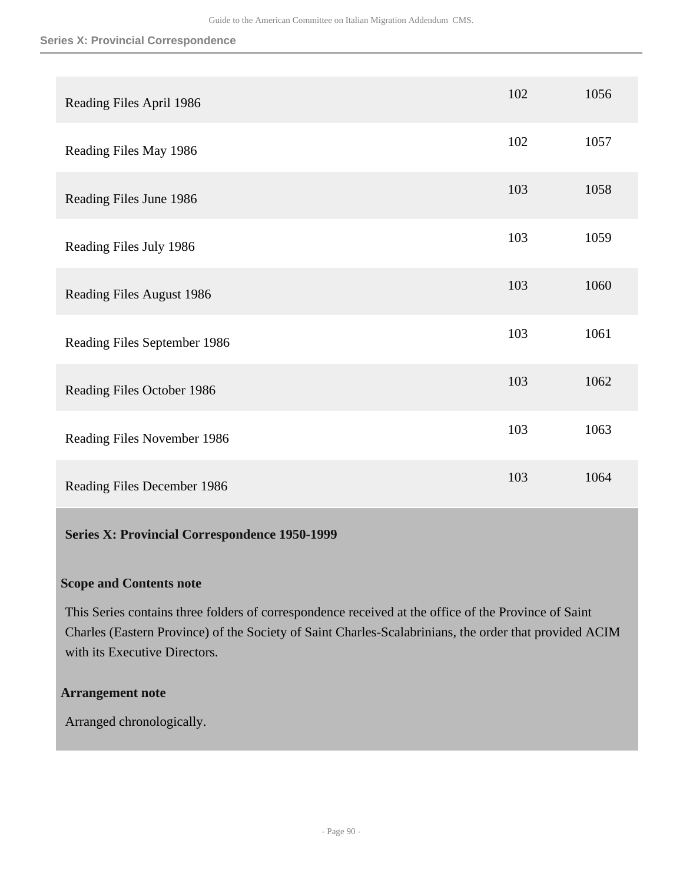#### **Series X: Provincial Correspondence**

| Reading Files April 1986     | 102 | 1056 |
|------------------------------|-----|------|
| Reading Files May 1986       | 102 | 1057 |
| Reading Files June 1986      | 103 | 1058 |
| Reading Files July 1986      | 103 | 1059 |
| Reading Files August 1986    | 103 | 1060 |
| Reading Files September 1986 | 103 | 1061 |
| Reading Files October 1986   | 103 | 1062 |
| Reading Files November 1986  | 103 | 1063 |
| Reading Files December 1986  | 103 | 1064 |

## **Series X: Provincial Correspondence 1950-1999**

# **Scope and Contents note**

This Series contains three folders of correspondence received at the office of the Province of Saint Charles (Eastern Province) of the Society of Saint Charles-Scalabrinians, the order that provided ACIM with its Executive Directors.

## **Arrangement note**

Arranged chronologically.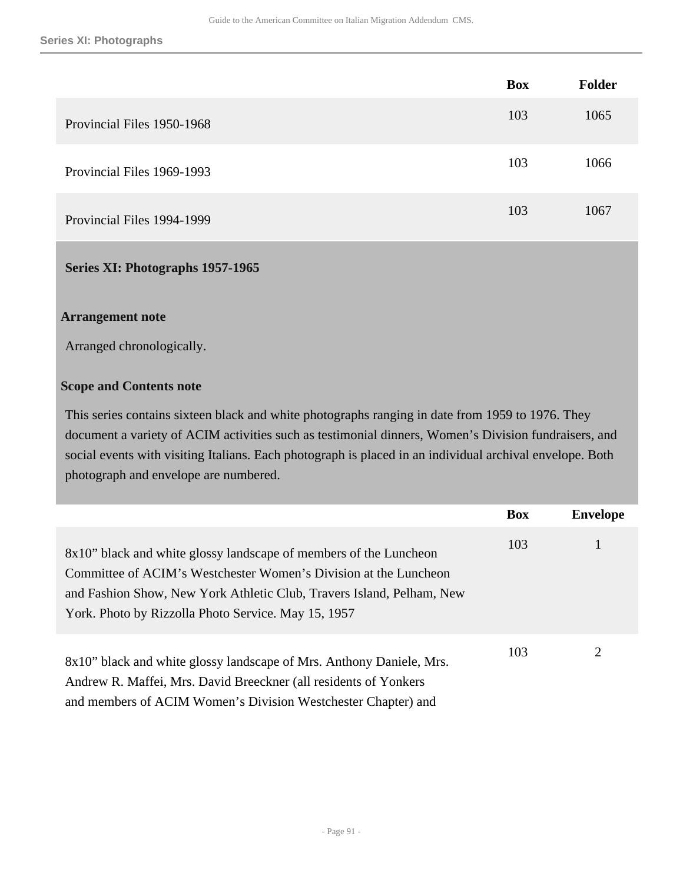|                            | <b>Box</b> | <b>Folder</b> |
|----------------------------|------------|---------------|
| Provincial Files 1950-1968 | 103        | 1065          |
| Provincial Files 1969-1993 | 103        | 1066          |
| Provincial Files 1994-1999 | 103        | 1067          |

## **Series XI: Photographs 1957-1965**

## **Arrangement note**

Arranged chronologically.

## **Scope and Contents note**

This series contains sixteen black and white photographs ranging in date from 1959 to 1976. They document a variety of ACIM activities such as testimonial dinners, Women's Division fundraisers, and social events with visiting Italians. Each photograph is placed in an individual archival envelope. Both photograph and envelope are numbered.

|                                                                                                                                                                                                                                                                       | <b>Box</b> | <b>Envelope</b> |
|-----------------------------------------------------------------------------------------------------------------------------------------------------------------------------------------------------------------------------------------------------------------------|------------|-----------------|
| 8x10" black and white glossy landscape of members of the Luncheon<br>Committee of ACIM's Westchester Women's Division at the Luncheon<br>and Fashion Show, New York Athletic Club, Travers Island, Pelham, New<br>York. Photo by Rizzolla Photo Service. May 15, 1957 | 103        |                 |
| 8x10" black and white glossy landscape of Mrs. Anthony Daniele, Mrs.<br>Andrew R. Maffei, Mrs. David Breeckner (all residents of Yonkers<br>and members of ACIM Women's Division Westchester Chapter) and                                                             | 103        | 2               |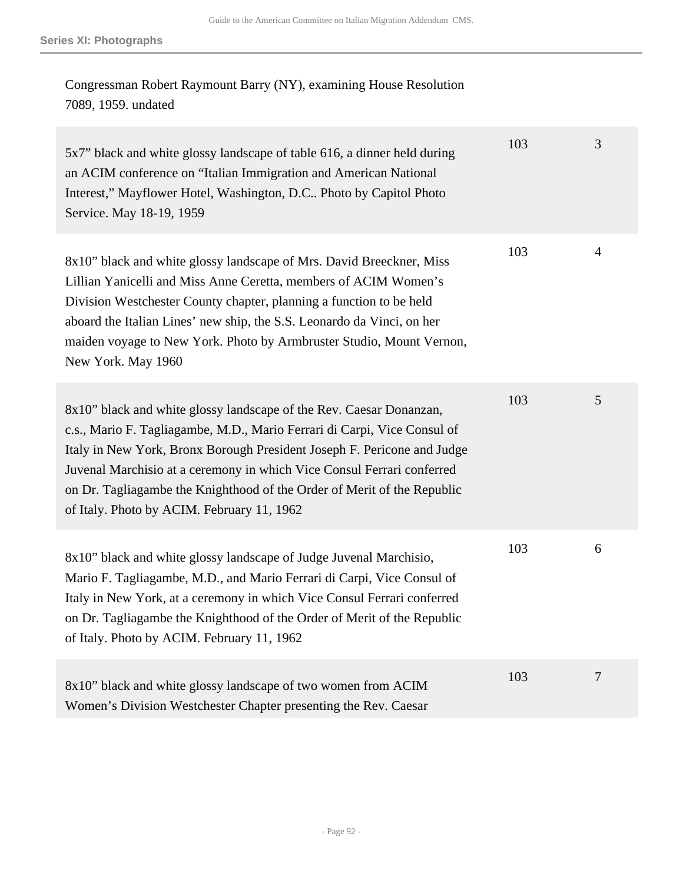Congressman Robert Raymount Barry (NY), examining House Resolution 7089, 1959. undated

| 5x7" black and white glossy landscape of table 616, a dinner held during<br>an ACIM conference on "Italian Immigration and American National<br>Interest," Mayflower Hotel, Washington, D.C Photo by Capitol Photo<br>Service. May 18-19, 1959                                                                                                                                                                                | 103 | 3              |
|-------------------------------------------------------------------------------------------------------------------------------------------------------------------------------------------------------------------------------------------------------------------------------------------------------------------------------------------------------------------------------------------------------------------------------|-----|----------------|
| 8x10" black and white glossy landscape of Mrs. David Breeckner, Miss<br>Lillian Yanicelli and Miss Anne Ceretta, members of ACIM Women's<br>Division Westchester County chapter, planning a function to be held<br>aboard the Italian Lines' new ship, the S.S. Leonardo da Vinci, on her<br>maiden voyage to New York. Photo by Armbruster Studio, Mount Vernon,<br>New York. May 1960                                       | 103 | $\overline{4}$ |
| 8x10" black and white glossy landscape of the Rev. Caesar Donanzan,<br>c.s., Mario F. Tagliagambe, M.D., Mario Ferrari di Carpi, Vice Consul of<br>Italy in New York, Bronx Borough President Joseph F. Pericone and Judge<br>Juvenal Marchisio at a ceremony in which Vice Consul Ferrari conferred<br>on Dr. Tagliagambe the Knighthood of the Order of Merit of the Republic<br>of Italy. Photo by ACIM. February 11, 1962 | 103 | 5              |
| 8x10" black and white glossy landscape of Judge Juvenal Marchisio,<br>Mario F. Tagliagambe, M.D., and Mario Ferrari di Carpi, Vice Consul of<br>Italy in New York, at a ceremony in which Vice Consul Ferrari conferred<br>on Dr. Tagliagambe the Knighthood of the Order of Merit of the Republic<br>of Italy. Photo by ACIM. February 11, 1962                                                                              | 103 | 6              |
| 8x10" black and white glossy landscape of two women from ACIM<br>Women's Division Westchester Chapter presenting the Rev. Caesar                                                                                                                                                                                                                                                                                              | 103 | 7              |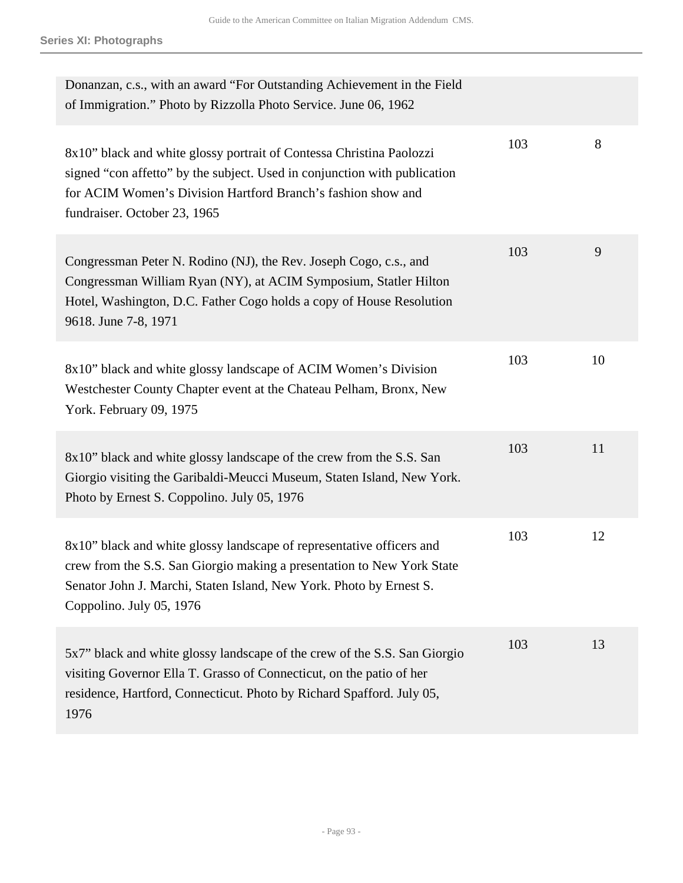| Donanzan, c.s., with an award "For Outstanding Achievement in the Field<br>of Immigration." Photo by Rizzolla Photo Service. June 06, 1962                                                                                                         |     |    |
|----------------------------------------------------------------------------------------------------------------------------------------------------------------------------------------------------------------------------------------------------|-----|----|
| 8x10" black and white glossy portrait of Contessa Christina Paolozzi<br>signed "con affetto" by the subject. Used in conjunction with publication<br>for ACIM Women's Division Hartford Branch's fashion show and<br>fundraiser. October 23, 1965  | 103 | 8  |
| Congressman Peter N. Rodino (NJ), the Rev. Joseph Cogo, c.s., and<br>Congressman William Ryan (NY), at ACIM Symposium, Statler Hilton<br>Hotel, Washington, D.C. Father Cogo holds a copy of House Resolution<br>9618. June 7-8, 1971              | 103 | 9  |
| 8x10" black and white glossy landscape of ACIM Women's Division<br>Westchester County Chapter event at the Chateau Pelham, Bronx, New<br>York. February 09, 1975                                                                                   | 103 | 10 |
| 8x10" black and white glossy landscape of the crew from the S.S. San<br>Giorgio visiting the Garibaldi-Meucci Museum, Staten Island, New York.<br>Photo by Ernest S. Coppolino. July 05, 1976                                                      | 103 | 11 |
| 8x10" black and white glossy landscape of representative officers and<br>crew from the S.S. San Giorgio making a presentation to New York State<br>Senator John J. Marchi, Staten Island, New York. Photo by Ernest S.<br>Coppolino. July 05, 1976 | 103 | 12 |
| 5x7" black and white glossy landscape of the crew of the S.S. San Giorgio<br>visiting Governor Ella T. Grasso of Connecticut, on the patio of her<br>residence, Hartford, Connecticut. Photo by Richard Spafford. July 05,<br>1976                 | 103 | 13 |